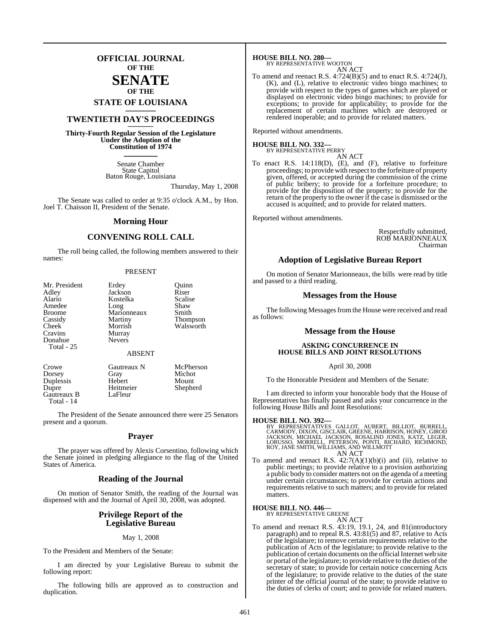## **OFFICIAL JOURNAL OF THE**

## **SENATE OF THE**

# **STATE OF LOUISIANA \_\_\_\_\_\_\_**

# **TWENTIETH DAY'S PROCEEDINGS \_\_\_\_\_\_\_**

**Thirty-Fourth Regular Session of the Legislature Under the Adoption of the Constitution of 1974 \_\_\_\_\_\_\_**

> Senate Chamber State Capitol Baton Rouge, Louisiana

> > Thursday, May 1, 2008

The Senate was called to order at 9:35 o'clock A.M., by Hon. Joel T. Chaisson II, President of the Senate.

#### **Morning Hour**

### **CONVENING ROLL CALL**

The roll being called, the following members answered to their names:

#### PRESENT

| Erdey         | Ouinn               |
|---------------|---------------------|
| Jackson       | Riser               |
| Kostelka      | Scalise             |
| Long          | Shaw                |
| Marionneaux   | Smith               |
| Martiny       | Thompson            |
| Morrish       | Walsworth           |
| Murray        |                     |
| <b>Nevers</b> |                     |
|               |                     |
| <b>ABSENT</b> |                     |
|               | McPherson           |
|               | Michot              |
| Hebert        | Mount               |
|               | Gautreaux N<br>Gray |

Dupre Heitmeier Shepherd<br>Gautreaux B LaFleur

Gautreaux B Total - 14

The President of the Senate announced there were 25 Senators present and a quorum.

#### **Prayer**

The prayer was offered by Alexis Corsentino, following which the Senate joined in pledging allegiance to the flag of the United States of America.

#### **Reading of the Journal**

On motion of Senator Smith, the reading of the Journal was dispensed with and the Journal of April 30, 2008, was adopted.

#### **Privilege Report of the Legislative Bureau**

#### May 1, 2008

To the President and Members of the Senate:

I am directed by your Legislative Bureau to submit the following report:

The following bills are approved as to construction and duplication.

**HOUSE BILL NO. 280—** BY REPRESENTATIVE WOOTON

AN ACT

To amend and reenact R.S.  $4:724(B)(5)$  and to enact R.S.  $4:724(J)$ , (K), and (L), relative to electronic video bingo machines; to provide with respect to the types of games which are played or displayed on electronic video bingo machines; to provide for exceptions; to provide for applicability; to provide for the replacement of certain machines which are destroyed or rendered inoperable; and to provide for related matters.

Reported without amendments.

**HOUSE BILL NO. 332—** BY REPRESENTATIVE PERRY

AN ACT

To enact R.S. 14:118(D), (E), and (F), relative to forfeiture proceedings; to provide with respect to the forfeiture of property given, offered, or accepted during the commission of the crime of public bribery; to provide for a forfeiture procedure; to provide for the disposition of the property; to provide for the return of the property to the owner if the case is dismissed or the accused is acquitted; and to provide for related matters.

Reported without amendments.

Respectfully submitted, ROB MARIONNEAUX Chairman

#### **Adoption of Legislative Bureau Report**

On motion of Senator Marionneaux, the bills were read by title and passed to a third reading.

#### **Messages from the House**

The following Messages from the House were received and read as follows:

#### **Message from the House**

#### **ASKING CONCURRENCE IN HOUSE BILLS AND JOINT RESOLUTIONS**

#### April 30, 2008

To the Honorable President and Members of the Senate:

I am directed to inform your honorable body that the House of Representatives has finally passed and asks your concurrence in the following House Bills and Joint Resolutions:

#### **HOUSE BILL NO. 392—**

BY REPRESENTATIVES GALLOT, AUBERT, BILLIOT, BURRELL,<br>CARMODY, DIXON,GISCLAIR,GREENE,HARRISON,HONEY,GIROD<br>JACKSON, MICHAEL JACKSON, ROSALIND JONES, KATZ, LEGER,<br>LORUSSO, MORRELL, PETERSON, PONTI, RICHARD, RICHMOND,<br>ROY,JANE AN ACT

To amend and reenact R.S.  $42:7(A)(1)(b)(i)$  and (ii), relative to public meetings; to provide relative to a provision authorizing a public body to consider matters not on the agenda of a meeting under certain circumstances; to provide for certain actions and requirements relative to such matters; and to provide for related matters.

#### **HOUSE BILL NO. 446—**

BY REPRESENTATIVE GREENE

- AN ACT
- To amend and reenact R.S. 43:19, 19.1, 24, and 81(introductory paragraph) and to repeal R.S. 43:81(5) and 87, relative to Acts of the legislature; to remove certain requirements relative to the publication of Acts of the legislature; to provide relative to the publication of certain documents on the official Internet web site or portal of the legislature; to provide relative to the duties of the secretary of state; to provide for certain notice concerning Acts of the legislature; to provide relative to the duties of the state printer of the official journal of the state; to provide relative to the duties of clerks of court; and to provide for related matters.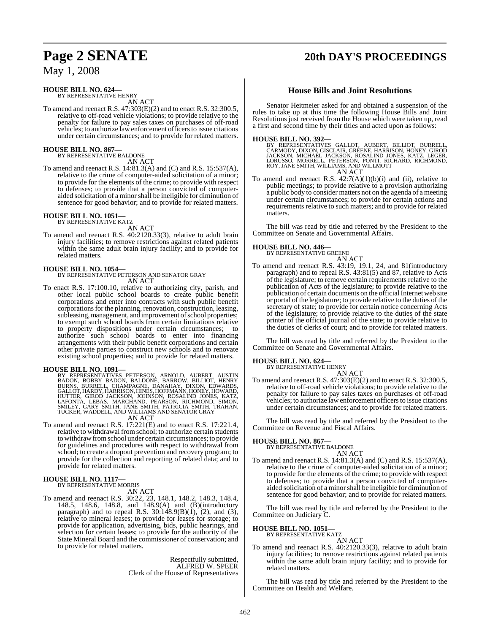# **Page 2 SENATE 20th DAY'S PROCEEDINGS**

May 1, 2008

# **HOUSE BILL NO. 624—** BY REPRESENTATIVE HENRY

AN ACT

To amend and reenact R.S. 47:303(E)(2) and to enact R.S. 32:300.5, relative to off-road vehicle violations; to provide relative to the penalty for failure to pay sales taxes on purchases of off-road vehicles; to authorize law enforcement officers to issue citations under certain circumstances; and to provide for related matters.

#### **HOUSE BILL NO. 867—** BY REPRESENTATIVE BALDONE

AN ACT

To amend and reenact R.S. 14:81.3(A) and (C) and R.S. 15:537(A), relative to the crime of computer-aided solicitation of a minor; to provide for the elements of the crime; to provide with respect to defenses; to provide that a person convicted of computeraided solicitation of a minorshall be ineligible for diminution of sentence for good behavior; and to provide for related matters.

# **HOUSE BILL NO. 1051—** BY REPRESENTATIVE KATZ

AN ACT

To amend and reenact R.S. 40:2120.33(3), relative to adult brain injury facilities; to remove restrictions against related patients within the same adult brain injury facility; and to provide for related matters.

#### **HOUSE BILL NO. 1054—**

BY REPRESENTATIVE PETERSON AND SENATOR GRAY AN ACT

To enact R.S. 17:100.10, relative to authorizing city, parish, and other local public school boards to create public benefit corporations and enter into contracts with such public benefit corporations for the planning, renovation, construction, leasing, subleasing, management, and improvement of school properties; to exempt such school boards from certain limitations relative to property dispositions under certain circumstances; to authorize such school boards to enter into financing arrangements with their public benefit corporations and certain other private parties to construct new schools and to renovate existing school properties; and to provide for related matters.

#### **HOUSE BILL NO. 1091—**

BY REPRESENTATIVES PETERSON, ARNOLD, AUBERT, AUSTIN<br>BADON, BOBBY BADON, BALDONE, BARROW, BILLIOT, HENRY<br>BURNS, BURRELL, CHAMPAGNE, DANAHAY, DIXON, EDWARDS,<br>GALLOT,HARDY,HARRISON,HINES,HOFFMANN,HONEY,HOWARD,<br>HUTTER, GIROD J

AN ACT

To amend and reenact R.S. 17:221(E) and to enact R.S. 17:221.4, relative to withdrawal from school; to authorize certain students to withdrawfromschool under certain circumstances; to provide for guidelines and procedures with respect to withdrawal from school; to create a dropout prevention and recovery program; to provide for the collection and reporting of related data; and to provide for related matters.

# **HOUSE BILL NO. 1117—** BY REPRESENTATIVE MORRIS

AN ACT

To amend and reenact R.S. 30:22, 23, 148.1, 148.2, 148.3, 148.4, 148.5, 148.6, 148.8, and 148.9(A) and (B)(introductory paragraph) and to repeal R.S. 30:148.9(B)(1), (2), and (3), relative to mineral leases; to provide for leases for storage; to provide for application, advertising, bids, public hearings, and selection for certain leases; to provide for the authority of the State Mineral Board and the commissioner of conservation; and to provide for related matters.

> Respectfully submitted, ALFRED W. SPEER Clerk of the House of Representatives

### **House Bills and Joint Resolutions**

Senator Heitmeier asked for and obtained a suspension of the rules to take up at this time the following House Bills and Joint Resolutions just received from the House which were taken up, read a first and second time by their titles and acted upon as follows:

**HOUSE BILL NO. 392—**<br>BY REPRESENTATIVES GALLOT, AUBERT, BILLIOT, BURRELL,<br>CARMODY, DIXON, GISCLAIR, GREENE, HARRISON, HONEY, GIROD<br>JACKSON, MICHAEL JACKSON, ROSALIND JONES, KATZ, LEGER,<br>LORUSSO, MORRELL, PETERSON, PONTI,

AN ACT

To amend and reenact R.S.  $42:7(A)(1)(b)(i)$  and (ii), relative to public meetings; to provide relative to a provision authorizing a public body to consider matters not on the agenda of a meeting under certain circumstances; to provide for certain actions and requirements relative to such matters; and to provide for related matters.

The bill was read by title and referred by the President to the Committee on Senate and Governmental Affairs.

#### **HOUSE BILL NO. 446—**

BY REPRESENTATIVE GREENE AN ACT

To amend and reenact R.S. 43:19, 19.1, 24, and 81(introductory paragraph) and to repeal R.S. 43:81(5) and 87, relative to Acts of the legislature; to remove certain requirements relative to the publication of Acts of the legislature; to provide relative to the publication of certain documents on the official Internet web site or portal of the legislature; to provide relative to the duties of the secretary of state; to provide for certain notice concerning Acts of the legislature; to provide relative to the duties of the state printer of the official journal of the state; to provide relative to the duties of clerks of court; and to provide for related matters.

The bill was read by title and referred by the President to the Committee on Senate and Governmental Affairs.

#### **HOUSE BILL NO. 624—**

BY REPRESENTATIVE HENRY AN ACT

To amend and reenact R.S. 47:303(E)(2) and to enact R.S. 32:300.5, relative to off-road vehicle violations; to provide relative to the penalty for failure to pay sales taxes on purchases of off-road vehicles; to authorize law enforcement officers to issue citations under certain circumstances; and to provide for related matters.

The bill was read by title and referred by the President to the Committee on Revenue and Fiscal Affairs.

#### **HOUSE BILL NO. 867—** BY REPRESENTATIVE BALDONE

AN ACT

To amend and reenact R.S. 14:81.3(A) and (C) and R.S. 15:537(A), relative to the crime of computer-aided solicitation of a minor; to provide for the elements of the crime; to provide with respect to defenses; to provide that a person convicted of computeraided solicitation of a minorshall be ineligible for diminution of sentence for good behavior; and to provide for related matters.

The bill was read by title and referred by the President to the Committee on Judiciary C.

# **HOUSE BILL NO. 1051—** BY REPRESENTATIVE KATZ

AN ACT To amend and reenact R.S. 40:2120.33(3), relative to adult brain injury facilities; to remove restrictions against related patients within the same adult brain injury facility; and to provide for related matters.

The bill was read by title and referred by the President to the Committee on Health and Welfare.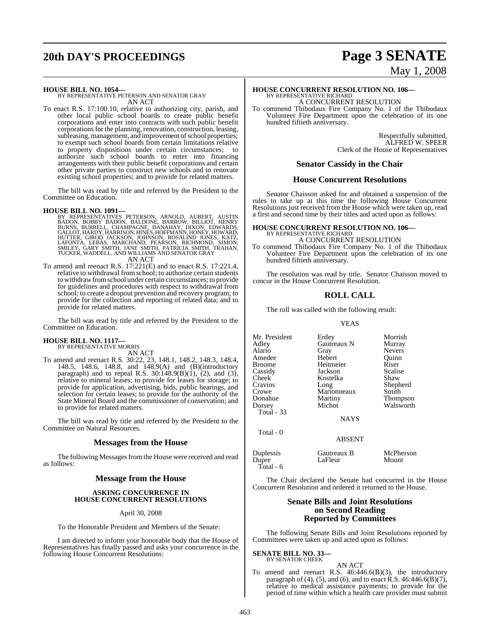# **20th DAY'S PROCEEDINGS Page 3 SENATE**

# May 1, 2008

#### **HOUSE BILL NO. 1054—**

BY REPRESENTATIVE PETERSON AND SENATOR GRAY AN ACT

To enact R.S. 17:100.10, relative to authorizing city, parish, and other local public school boards to create public benefit corporations and enter into contracts with such public benefit corporations for the planning, renovation, construction, leasing, subleasing, management, and improvement of school properties; to exempt such school boards from certain limitations relative to property dispositions under certain circumstances; to authorize such school boards to enter into financing arrangements with their public benefit corporations and certain other private parties to construct new schools and to renovate existing school properties; and to provide for related matters.

The bill was read by title and referred by the President to the Committee on Education.

#### **HOUSE BILL NO. 1091—**

BY REPRESENTATIVES PETERSON, ARNOLD, AUBERT, AUSTIN<br>BADON, BOBBY BADON, BALDONE, BARROW, BILLIOT, HENRY<br>BURNS, BURRELL, CHAMPAGNE, DANAHAY, DIXON, EDWARDS,<br>GALLOT,HARDY,HARRISON,HINES,HOFFMANN,HONEY,HOWARD,<br>HUTTER, GIROD J AN ACT

To amend and reenact R.S. 17:221(E) and to enact R.S. 17:221.4, relative to withdrawal from school; to authorize certain students to withdrawfromschool under certain circumstances; to provide for guidelines and procedures with respect to withdrawal from school; to create a dropout prevention and recovery program; to provide for the collection and reporting of related data; and to provide for related matters.

The bill was read by title and referred by the President to the Committee on Education.

### **HOUSE BILL NO. 1117—**

BY REPRESENTATIVE MORRIS AN ACT

To amend and reenact R.S. 30:22, 23, 148.1, 148.2, 148.3, 148.4, 148.5, 148.6, 148.8, and 148.9(A) and (B)(introductory paragraph) and to repeal R.S.  $30:148.9(B)(1)$ , (2), and (3), relative to mineral leases; to provide for leases for storage; to provide for application, advertising, bids, public hearings, and selection for certain leases; to provide for the authority of the State Mineral Board and the commissioner of conservation; and to provide for related matters.

The bill was read by title and referred by the President to the Committee on Natural Resources.

#### **Messages from the House**

The following Messages from the House were received and read as follows:

#### **Message from the House**

#### **ASKING CONCURRENCE IN HOUSE CONCURRENT RESOLUTIONS**

April 30, 2008

To the Honorable President and Members of the Senate:

I am directed to inform your honorable body that the House of Representatives has finally passed and asks your concurrence in the following House Concurrent Resolutions:

**HOUSE CONCURRENT RESOLUTION NO. 106—** BY REPRESENTATIVE RICHARD A CONCURRENT RESOLUTION

To commend Thibodaux Fire Company No. 1 of the Thibodaux Volunteer Fire Department upon the celebration of its one hundred fiftieth anniversary.

> Respectfully submitted, ALFRED W. SPEER Clerk of the House of Representatives

#### **Senator Cassidy in the Chair**

#### **House Concurrent Resolutions**

Senator Chaisson asked for and obtained a suspension of the rules to take up at this time the following House Concurrent Resolutions just received from the House which were taken up, read a first and second time by their titles and acted upon as follows:

## **HOUSE CONCURRENT RESOLUTION NO. 106—** BY REPRESENTATIVE RICHARD A CONCURRENT RESOLUTION

To commend Thibodaux Fire Company No. 1 of the Thibodaux Volunteer Fire Department upon the celebration of its one hundred fiftieth anniversary.

The resolution was read by title. Senator Chaisson moved to concur in the House Concurrent Resolution.

#### **ROLL CALL**

The roll was called with the following result:

#### YEAS

Mr. President Erdey Morrish<br>Adley Gautreaux N Murray Adley Gautreaux N<br>Alario Gray Gray Nevers<br>
Hebert Ouinn Amedee Hebert Quinn Broome Heitmeier Riser<br>Cassidy Jackson Scalise Cassidy Jackson Scalise Cheek Kostelka<br>Cravins Long Cravins Long Shepherd Crowe Marionneaux<br>
Donahue Martiny Donahue Martiny Thompson Walsworth Total - 33 **NAYS**  Total - 0 ABSENT Duplessis Gautreaux B McPherson<br>
Dupre LaFleur Mount

The Chair declared the Senate had concurred in the House Concurrent Resolution and ordered it returned to the House.

#### **Senate Bills and Joint Resolutions on Second Reading Reported by Committees**

The following Senate Bills and Joint Resolutions reported by Committees were taken up and acted upon as follows:

**SENATE BILL NO. 33—**

Total - 6

#### BY SENATOR CHEEK AN ACT

LaFleur

To amend and reenact R.S. 46:446.6(B)(3), the introductory paragraph of (4), (5), and (6), and to enact R.S.  $46:446.6(B)(7)$ , relative to medical assistance payments; to provide for the period of time within which a health care provider must submit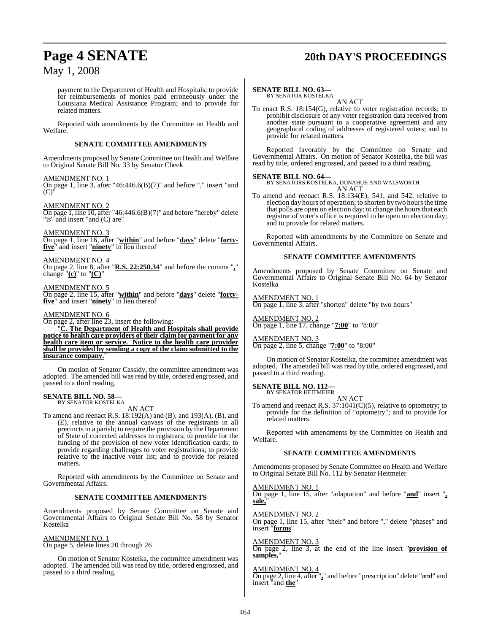# **Page 4 SENATE 20th DAY'S PROCEEDINGS**

## May 1, 2008

payment to the Department of Health and Hospitals; to provide for reimbursements of monies paid erroneously under the Louisiana Medical Assistance Program; and to provide for related matters.

Reported with amendments by the Committee on Health and Welfare.

#### **SENATE COMMITTEE AMENDMENTS**

Amendments proposed by Senate Committee on Health and Welfare to Original Senate Bill No. 33 by Senator Cheek

#### AMENDMENT NO. 1

On page 1, line 3, after "46:446.6(B)(7)" and before "," insert "and  $(C)$ 

#### AMENDMENT NO. 2

On page 1, line 10, after "46:446.6(B)(7)" and before "hereby" delete "is" and insert "and (C) are"

AMENDMENT NO. 3

On page 1, line 16, after "**within**" and before "**days**" delete "**fortyfive**" and insert "**ninety**" in lieu thereof

#### AMENDMENT NO. 4

On page 2, line 8, after "**R.S. 22:250.34**" and before the comma "**,**" change "**(c)**" to "**(C)**"

### AMENDMENT NO. 5

On page 2, line 15, after "**within**" and before "**days**" delete "**fortyfive**" and insert "**ninety**" in lieu thereof

#### AMENDMENT NO. 6

On page 2, after line 23, insert the following:

"**C. The Department of Health and Hospitals shall provide notice to health care providers of their claim for payment for any health care item or service. Notice to the health care provider shall be provided by sending a copy of the claim submitted to the insurance company.**"

On motion of Senator Cassidy, the committee amendment was adopted. The amended bill was read by title, ordered engrossed, and passed to a third reading.

#### **SENATE BILL NO. 58** BY SENATOR KOSTELKA

AN ACT

To amend and reenact R.S. 18:192(A) and (B), and 193(A), (B), and (E), relative to the annual canvass of the registrants in all precinctsin a parish; to require the provision by the Department of State of corrected addresses to registrars; to provide for the funding of the provision of new voter identification cards; to provide regarding challenges to voter registrations; to provide relative to the inactive voter list; and to provide for related matters.

Reported with amendments by the Committee on Senate and Governmental Affairs.

#### **SENATE COMMITTEE AMENDMENTS**

Amendments proposed by Senate Committee on Senate and Governmental Affairs to Original Senate Bill No. 58 by Senator Kostelka

#### AMENDMENT NO. 1

On page 5, delete lines 20 through 26

On motion of Senator Kostelka, the committee amendment was adopted. The amended bill was read by title, ordered engrossed, and passed to a third reading.

#### **SENATE BILL NO. 63—**

BY SENATOR KOSTELKA AN ACT

To enact R.S. 18:154(G), relative to voter registration records; to prohibit disclosure of any voter registration data received from another state pursuant to a cooperative agreement and any geographical coding of addresses of registered voters; and to provide for related matters.

Reported favorably by the Committee on Senate and Governmental Affairs. On motion of Senator Kostelka, the bill was read by title, ordered engrossed, and passed to a third reading.

#### **SENATE BILL NO. 64—**

BY SENATORS KOSTELKA, DONAHUE AND WALSWORTH AN ACT

To amend and reenact R.S. 18:134(E), 541, and 542, relative to election day hours of operation; to shorten by two hours the time that polls are open on election day; to change the hours that each registrar of voter's office is required to be open on election day; and to provide for related matters.

Reported with amendments by the Committee on Senate and Governmental Affairs.

#### **SENATE COMMITTEE AMENDMENTS**

Amendments proposed by Senate Committee on Senate and Governmental Affairs to Original Senate Bill No. 64 by Senator Kostelka

AMENDMENT NO. 1

On page 1, line 3, after "shorten" delete "by two hours"

#### AMENDMENT NO. 2

On page 1, line 17, change "**7:00**" to "8:00"

#### AMENDMENT NO. 3

On page 2, line 5, change "**7:00**" to "8:00"

On motion of Senator Kostelka, the committee amendment was adopted. The amended bill was read by title, ordered engrossed, and passed to a third reading.

#### **SENATE BILL NO. 112—** BY SENATOR HEITMEIER

AN ACT

To amend and reenact R.S. 37:1041(C)(5), relative to optometry; to provide for the definition of "optometry"; and to provide for related matters.

Reported with amendments by the Committee on Health and Welfare.

#### **SENATE COMMITTEE AMENDMENTS**

Amendments proposed by Senate Committee on Health and Welfare to Original Senate Bill No. 112 by Senator Heitmeier

#### AMENDMENT NO. 1

On page 1, line 15, after "adaptation" and before "**and**" insert "**, sale,**"

#### AMENDMENT NO. 2

On page 1, line 15, after "their" and before "," delete "phases" and insert "**forms**"

#### AMENDMENT NO. 3

On page 2, line 3, at the end of the line insert "**provision of samples,**"

#### AMENDMENT NO. 4

On page 2, line 4, after "**,**" and before "prescription" delete "and" and insert "and **the**"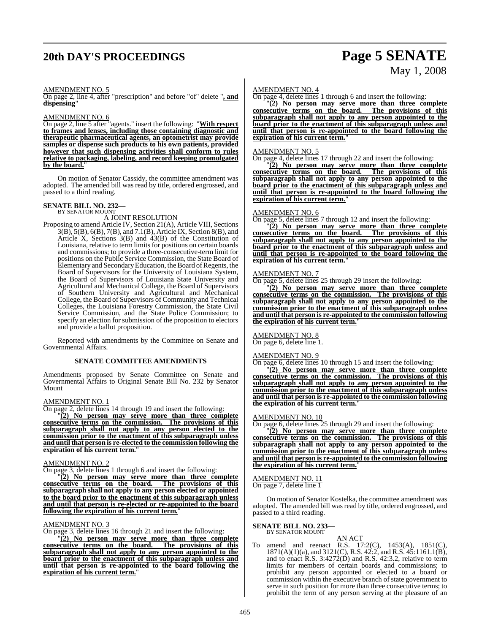# **20th DAY'S PROCEEDINGS Page 5 SENATE**

# May 1, 2008

#### AMENDMENT NO. 5

On page 2, line 4, after "prescription" and before "of" delete "**, and dispensing**"

#### AMENDMENT NO. 6

On page 2, line 5 after "agents." insert the following: "**With respect to frames and lenses, including those containing diagnostic and therapeutic pharmaceutical agents, an optometrist may provide samples or dispense such products to his own patients, provided however that such dispensing activities shall conform to rules relative to packaging, labeling, and record keeping promulgated by the board.**"

On motion of Senator Cassidy, the committee amendment was adopted. The amended bill was read by title, ordered engrossed, and passed to a third reading.

# **SENATE BILL NO. 232—** BY SENATOR MOUNT

A JOINT RESOLUTION

Proposing to amend Article IV, Section 21(A), Article VIII, Sections 3(B), 5(B), 6(B), 7(B), and 7.1(B), Article IX, Section 8(B), and Article X, Sections 3(B) and 43(B) of the Constitution of Louisiana, relative to term limits for positions on certain boards and commissions; to provide a three-consecutive-term limit for positions on the Public Service Commission, the State Board of Elementary and Secondary Education, the Board of Regents, the Board of Supervisors for the University of Louisiana System, the Board of Supervisors of Louisiana State University and Agricultural and Mechanical College, the Board of Supervisors of Southern University and Agricultural and Mechanical College, the Board of Supervisors of Community and Technical Colleges, the Louisiana Forestry Commission, the State Civil Service Commission, and the State Police Commission; to specify an election for submission of the proposition to electors and provide a ballot proposition.

Reported with amendments by the Committee on Senate and Governmental Affairs.

#### **SENATE COMMITTEE AMENDMENTS**

Amendments proposed by Senate Committee on Senate and Governmental Affairs to Original Senate Bill No. 232 by Senator Mount

#### AMENDMENT NO. 1

On page 2, delete lines 14 through 19 and insert the following:

"**(2) No person may serve more than three complete consecutive terms on the commission. The provisions of this subparagraph shall not apply to any person elected to the commission prior to the enactment of this subparagraph unless and until that person is re-elected to the commission following the expiration of his current term.**"

#### AMENDMENT NO. 2

On page 3, delete lines 1 through 6 and insert the following:

"**(2) No person may serve more than three complete consecutive terms on the board. The provisions of this subparagraph shall not apply to any person elected or appointed to the board prior to the enactment of this subparagraph unless and until that person is re-elected or re-appointed to the board following the expiration of his current term.**"

#### AMENDMENT NO. 3

On page 3, delete lines 16 through 21 and insert the following:

"**(2) No person may serve more than three complete consecutive terms on the board. The provisions of this subparagraph shall not apply to any person appointed to the board prior to the enactment of this subparagraph unless and until that person is re-appointed to the board following the expiration of his current term.**"

#### AMENDMENT NO. 4

On page 4, delete lines 1 through 6 and insert the following:

"**(2) No person may serve more than three complete consecutive terms on the board. The provisions of this subparagraph shall not apply to any person appointed to the board prior to the enactment of this subparagraph unless and until that person is re-appointed to the board following the expiration of his current term.**"

#### AMENDMENT NO. 5

On page 4, delete lines 17 through 22 and insert the following:

"**(2) No person may serve more than three complete consecutive terms on the board. The provisions of this subparagraph shall not apply to any person appointed to the board prior to the enactment of this subparagraph unless and until that person is re-appointed to the board following the <u>expiration of his current term.</u>** 

#### AMENDMENT NO. 6

On page 5, delete lines 7 through 12 and insert the following:

"**(2) No person may serve more than three complete consecutive terms on the board. The provisions of this subparagraph shall not apply to any person appointed to the board prior to the enactment of this subparagraph unless and until that person is re-appointed to the board following the expiration of his current term.**"

#### AMENDMENT NO. 7

On page 5, delete lines 25 through 29 insert the following:

"**(2) No person may serve more than three complete consecutive terms on the commission. The provisions of this subparagraph shall not apply to any person appointed to the commission prior to the enactment of this subparagraph unless and until that person is re-appointed to the commission following** the expiration of his current term.

#### AMENDMENT NO. 8 On page 6, delete line 1.

AMENDMENT NO. 9

#### On page 6, delete lines 10 through 15 and insert the following:

"**(2) No person may serve more than three complete consecutive terms on the commission. The provisions of this subparagraph shall not apply to any person appointed to the commission prior to the enactment of this subparagraph unless and until that person is re-appointed to the commission following the expiration of his current term.**"

#### AMENDMENT NO. 10

On page 6, delete lines 25 through 29 and insert the following:

"**(2) No person may serve more than three complete consecutive terms on the commission. The provisions of this subparagraph shall not apply to any person appointed to the commission prior to the enactment of this subparagraph unless and until that person is re-appointed to the commission following the expiration of his current term.**"

#### AMENDMENT NO. 11

On page 7, delete line 1

On motion of Senator Kostelka, the committee amendment was adopted. The amended bill was read by title, ordered engrossed, and passed to a third reading.

# **SENATE BILL NO. 233—** BY SENATOR MOUNT

AN ACT To amend and reenact R.S. 17:2(C), 1453(A), 1851(C), 1871(A)(1)(a), and 3121(C), R.S. 42:2, and R.S. 45:1161.1(B), and to enact R.S. 3:4272(D) and R.S. 42:3.2, relative to term limits for members of certain boards and commissions; to prohibit any person appointed or elected to a board or commission within the executive branch of state government to serve in such position for more than three consecutive terms; to prohibit the term of any person serving at the pleasure of an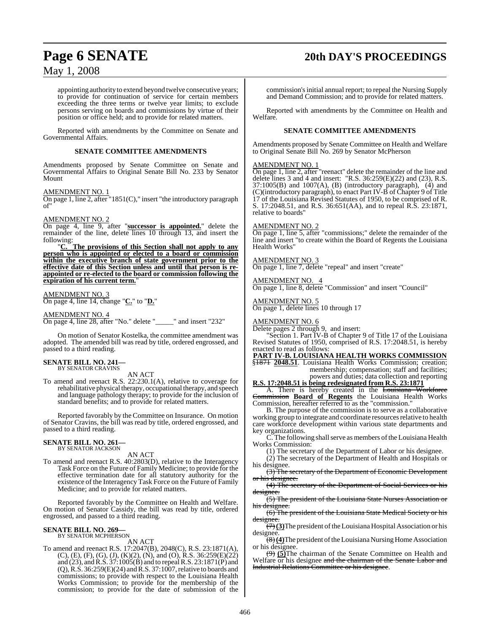# **Page 6 SENATE 20th DAY'S PROCEEDINGS**

## May 1, 2008

appointing authority to extend beyond twelve consecutive years; to provide for continuation of service for certain members exceeding the three terms or twelve year limits; to exclude persons serving on boards and commissions by virtue of their position or office held; and to provide for related matters.

Reported with amendments by the Committee on Senate and Governmental Affairs.

#### **SENATE COMMITTEE AMENDMENTS**

Amendments proposed by Senate Committee on Senate and Governmental Affairs to Original Senate Bill No. 233 by Senator Mount

#### AMENDMENT NO. 1

On page 1, line 2, after "1851(C)," insert "the introductory paragraph of"

#### AMENDMENT NO. 2

On page 4, line 9, after "**successor is appointed.**" delete the remainder of the line, delete lines 10 through 13, and insert the following:

"**C. The provisions of this Section shall not apply to any person who is appointed or elected to a board or commission within the executive branch of state government prior to the effective date of this Section unless and until that person is reappointed or re-elected to the board or commission following the expiration of his current term.**"

#### AMENDMENT NO. 3

On page 4, line 14, change "**C.**" to "**D.**"

#### AMENDMENT NO. 4

On page 4, line 28, after "No." delete "\_\_\_\_\_" and insert "232"

On motion of Senator Kostelka, the committee amendment was adopted. The amended bill was read by title, ordered engrossed, and passed to a third reading.

#### **SENATE BILL NO. 241—** BY SENATOR CRAVINS

#### AN ACT

To amend and reenact R.S. 22:230.1(A), relative to coverage for rehabilitative physical therapy, occupational therapy, and speech and language pathology therapy; to provide for the inclusion of standard benefits; and to provide for related matters.

Reported favorably by the Committee on Insurance. On motion of Senator Cravins, the bill was read by title, ordered engrossed, and passed to a third reading.

#### **SENATE BILL NO. 261—** BY SENATOR JACKSON

AN ACT

To amend and reenact R.S. 40:2803(D), relative to the Interagency Task Force on the Future of Family Medicine; to provide for the effective termination date for all statutory authority for the existence of the Interagency Task Force on the Future of Family Medicine; and to provide for related matters.

Reported favorably by the Committee on Health and Welfare. On motion of Senator Cassidy, the bill was read by title, ordered engrossed, and passed to a third reading.

#### **SENATE BILL NO. 269—** BY SENATOR MCPHERSON

AN ACT

To amend and reenact R.S. 17:2047(B), 2048(C), R.S. 23:1871(A), (C), (E), (F), (G), (J), (K)(2), (N), and (O), R.S. 36:259(E)(22) and (23), and R.S. 37:1005(B) and to repeal R.S. 23:1871(P) and (Q),R.S. 36:259(E)(24) and R.S. 37:1007, relative to boards and commissions; to provide with respect to the Louisiana Health Works Commission; to provide for the membership of the commission; to provide for the date of submission of the

commission's initial annual report; to repeal the Nursing Supply and Demand Commission; and to provide for related matters.

Reported with amendments by the Committee on Health and Welfare.

#### **SENATE COMMITTEE AMENDMENTS**

Amendments proposed by Senate Committee on Health and Welfare to Original Senate Bill No. 269 by Senator McPherson

#### AMENDMENT NO. 1

On page 1, line 2, after "reenact" delete the remainder of the line and delete lines 3 and 4 and insert: "R.S.  $36:259(E)(22)$  and  $(23)$ , R.S.  $37:1005(B)$  and  $1007(A)$ ,  $(B)$  (introductory paragraph),  $(4)$  and (C)(introductory paragraph), to enact Part IV-B of Chapter 9 of Title 17 of the Louisiana Revised Statutes of 1950, to be comprised of R. S. 17:2048.51, and R.S. 36:651(AA), and to repeal R.S. 23:1871, relative to boards"

#### AMENDMENT NO. 2

On page 1, line 5, after "commissions;" delete the remainder of the line and insert "to create within the Board of Regents the Louisiana Health Works"

#### AMENDMENT NO. 3

On page 1, line 7, delete "repeal" and insert "create"

AMENDMENT NO. On page 1, line 8, delete "Commission" and insert "Council"

# AMENDMENT NO. 5

On page 1, delete lines 10 through 17

#### AMENDMENT NO. 6

Delete pages 2 through 9, and insert:

"Section 1. Part IV-B of Chapter 9 of Title 17 of the Louisiana Revised Statutes of 1950, comprised of R.S. 17:2048.51, is hereby enacted to read as follows:

**PART IV-B. LOUISIANA HEALTH WORKS COMMISSION** §<del>1871</del> 2048.51. Louisiana Health Works Commission; creation;

membership; compensation; staff and facilities; powers and duties; data collection and reporting **R.S. 17:2048.51 is being redesignated from R.S. 23:1871**

A. There is hereby created in the Louisiana Workforce Commission **Board of Regents** the Louisiana Health Works Commission, hereafter referred to as the "commission."

B. The purpose of the commission is to serve as a collaborative working group to integrate and coordinate resources relative to health care workforce development within various state departments and key organizations.

C. The following shall serve as members of the Louisiana Health Works Commission:

(1) The secretary of the Department of Labor or his designee.

(2) The secretary of the Department of Health and Hospitals or his designee.

(3) The secretary of the Department of Economic Development or his designee.

(4) The secretary of the Department of Social Services or his designee

(5) The president of the Louisiana State Nurses Association or designee

(6) The president of the Louisiana State Medical Society or his designe

 $(\forall)$  (3) The president of the Louisiana Hospital Association or his designee.

(8)**(4)**The president oftheLouisiana Nursing Home Association or his designee.

(9) **(5)**The chairman of the Senate Committee on Health and Welfare or his designee and the chairman of the Senate Labor and Industrial Relations Committee or his designee.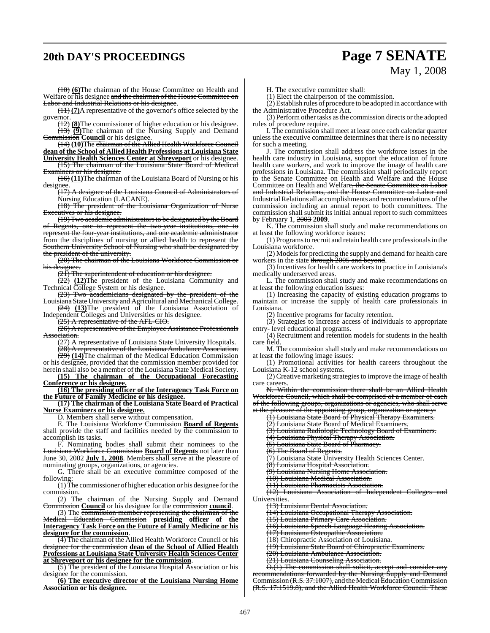# **20th DAY'S PROCEEDINGS Page 7 SENATE**

# May 1, 2008

(10) **(6)**The chairman of the House Committee on Health and Welfare or his designee and the chairman of the House Committee on Labor and Industrial Relations or his designee.

(11) **(7)**A representative of the governor's office selected by the governor.

(12) **(8)**The commissioner of higher education or his designee. (13) **(9)**The chairman of the Nursing Supply and Demand Commission **Council** or his designee.

(14) **(10)**The chairman of the Allied Health Workforce Council **dean of the School of Allied Health Professions at Louisiana State University Health Sciences Center at Shreveport** or his designee.

(15) The chairman of the Louisiana State Board of Medical Examiners or his designee.

(16) **(11)**The chairman of the Louisiana Board of Nursing or his designee.<br> $\frac{(17)}{(17)}$ 

A designee of the Louisiana Council of Administrators of Nursing Education (LACANE).

(18) The president of the Louisiana Organization of Nurse  $\overrightarrow{\text{w}}$  whis designee.

(19) Two academic administrators to be designated by the Board Regents, one to represent the two-year institutions, represent the four-year institutions, and one academic administrator from the disciplines of nursing or allied health to represent the Southern University School of Nursing who shall be designated by the president of the university.

(20) The chairman of the Louisiana Workforce Commission or designee.

 $(21)$  The superintendent of education or his designee.

(22) **(12)**The president of the Louisiana Community and Technical College System or his designee.

(23) Two academicians designated by the president of the siana State University and Agricultural and Mechanical College.

(24) **(13)**The president of the Louisiana Association of Independent Colleges and Universities or his designee.

(25) A representative of the AFL-CIO.

(26) A representative of the Employee Assistance Professionals Association.

(27) A representative of Louisiana State University Hospitals. (28) A representative of the Louisiana Ambulance Association. (29) **(14)**The chairman of the Medical Education Commission

or his designee, provided that the commission member provided for herein shall also be a member of the Louisiana State Medical Society.

**(15) The chairman of the Occupational Forecasting Conference or his designee.**

**(16) The presiding officer of the Interagency Task Force on the Future of Family Medicine or his designee.**

**(17) The chairman of the Louisiana State Board of Practical Nurse Examiners or his designee.**

D. Members shall serve without compensation.

E. The Louisiana Workforce Commission **Board of Regents** shall provide the staff and facilities needed by the commission to accomplish its tasks.

F. Nominating bodies shall submit their nominees to the Louisiana Workforce Commission **Board of Regents** not later than June 30, 2002 **July 1, 2008**. Members shall serve at the pleasure of nominating groups, organizations, or agencies.

G. There shall be an executive committee composed of the following:

(1) The commissioner of higher education or his designee forthe commission.

(2) The chairman of the Nursing Supply and Demand Commission **Council** or his designee for the commission **council**.

(3) The commission member representing the chairman of the Medical Education Commission **presiding officer of the Interagency Task Force on the Future of Family Medicine or his designee for the commission**.

(4) The chairman of the Allied Health Workforce Council or his designee for the commission **dean of the School of Allied Health Professions at Louisiana State University Health Sciences Center at Shreveport or his designee for the commission**.

(5) The president of the Louisiana Hospital Association or his designee for the commission.

**(6) The executive director of the Louisiana Nursing Home Association or his designee.**

H. The executive committee shall:

(1) Elect the chairperson of the commission.

 $(2)$  Establish rules of procedure to be adopted in accordance with the Administrative Procedure Act.

(3) Perform other tasks asthe commission directs or the adopted rules of procedure require.

I. The commission shall meet at least once each calendar quarter unless the executive committee determines that there is no necessity for such a meeting.

J. The commission shall address the workforce issues in the health care industry in Louisiana, support the education of future health care workers, and work to improve the image of health care professions in Louisiana. The commission shall periodically report to the Senate Committee on Health and Welfare and the House Committee on Health and Welfare, the Senate Committee on Labor and Industrial Relations, and the House Committee on Labor and Industrial Relations all accomplishments and recommendations of the commission including an annual report to both committees. The commission shall submit its initial annual report to such committees by February 1, 2003 **2009**.

K. The commission shall study and make recommendations on at least the following workforce issues:

(1) Programsto recruit and retain health care professionalsin the Louisiana workforce.

(2) Models for predicting the supply and demand for health care workers in the state through 2005 and beyond.

(3) Incentives for health care workers to practice in Louisiana's medically underserved areas.

L. The commission shall study and make recommendations on at least the following education issues:

(1) Increasing the capacity of existing education programs to maintain or increase the supply of health care professionals in Louisiana.

(2) Incentive programs for faculty retention.

(3) Strategies to increase access of individuals to appropriate entry- level educational programs.

(4) Recruitment and retention models for students in the health care field.

M. The commission shall study and make recommendations on at least the following image issues:

(1) Promotional activities for health careers throughout the Louisiana K-12 school systems.

(2) Creative marketing strategiesto improve the image of health care careers.

N. Within the commission there shall be an Allied Health Workforce Council, which shall be comprised of a member of each

of the following groups, organizations or agencies, who shall serve at the pleasure of the appointing group, organization or agency:

(1) Louisiana State Board of Physical Therapy Examiners.

(2) Louisiana State Board of Medical Examiners.

(3) Louisiana Radiologic Technology Board of Examiners. (4) Louisiana Physical Therapy Association.

(5) Louisiana State Board of Pharmacy.

(6) The Board of Regents.

(7) Louisiana State University Health Sciences Center.

(8) Louisiana Hospital Association.

(9) Louisiana Nursing Home Association. (10) Louisiana Medical Association.

(11) Louisiana Pharmacists Association.

(12) Louisiana Association of Independent Colleges and

Universities.

(13) Louisiana Dental Association.

(14) Louisiana Occupational Therapy Association.

(15) Louisiana Primary Care Association.

(16) Louisiana Speech-Language Hearing Association.

(17) Louisiana Osteopathic Association.

(18) Chiropractic Association of Louisiana.

(19) Louisiana State Board of Chiropractic Examiners.

(20) Louisiana Ambulance Association.

(21) Louisiana Counseling Association.

O.(1) The commission shall solicit, accept and consider any recommendations forwarded by the Nursing Supply and Demand Commission (R.S. 37:1007), and the Medical Education Commission (R.S. 17:1519.8), and the Allied Health Workforce Council. These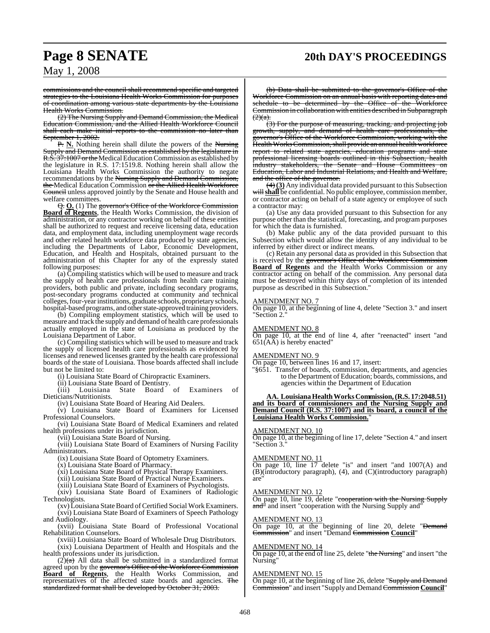# **Page 8 SENATE 20th DAY'S PROCEEDINGS**

commissions and the council shall recommend specific and targeted strategies to the Louisiana Health Works Commission for purposes of coordination among various state departments by the Louisiana Health Works Commission.

(2) The Nursing Supply and Demand Commission, the Medical Education Commission, and the Allied Health Workforce Council shall each make initial reports to the commission no later than September 1, 2002.

P. **N.** Nothing herein shall dilute the powers of the Nursing Supply and Demand Commission as established by the legislature in R.S. 37:1007 or the Medical Education Commission as established by the legislature in R.S. 17:1519.8. Nothing herein shall allow the Louisiana Health Works Commission the authority to negate recommendations by the Nursing Supply and Demand Commission, the Medical Education Commission or the Allied Health Workforce Council unless approved jointly by the Senate and House health and welfare committees.

Q. **O.** (1) The governor's Office of the Workforce Commission **Board of Regents**, the Health Works Commission, the division of administration, or any contractor working on behalf of these entities shall be authorized to request and receive licensing data, education data, and employment data, including unemployment wage records and other related health workforce data produced by state agencies, including the Departments of Labor, Economic Development, Education, and Health and Hospitals, obtained pursuant to the administration of this Chapter for any of the expressly stated following purposes:

(a) Compiling statistics which will be used to measure and track the supply of health care professionals from health care training providers, both public and private, including secondary programs, post-secondary programs conducted at community and technical colleges, four-year institutions, graduate schools, proprietary schools, hospital-based programs, and other state-approved training providers.

(b) Compiling employment statistics, which will be used to measure and track the supply and demand of health care professionals actually employed in the state of Louisiana as produced by the Louisiana Department of Labor.

(c) Compiling statistics which will be used to measure and track the supply of licensed health care professionals as evidenced by licenses and renewed licenses granted by the health care professional boards of the state of Louisiana. Those boards affected shall include but not be limited to:

(i) Louisiana State Board of Chiropractic Examiners.

(ii) Louisiana State Board of Dentistry.<br>(iii) Louisiana State Board of

(iii) Louisiana State Board of Examiners of Dieticians/Nutritionists.

(iv) Louisiana State Board of Hearing Aid Dealers.

(v) Louisiana State Board of Examiners for Licensed Professional Counselors.

(vi) Louisiana State Board of Medical Examiners and related health professions under its jurisdiction.

(vii) Louisiana State Board of Nursing.

(viii) Louisiana State Board of Examiners of Nursing Facility Administrators.

(ix) Louisiana State Board of Optometry Examiners.

(x) Louisiana State Board of Pharmacy.

(xi) Louisiana State Board of Physical Therapy Examiners.

(xii) Louisiana State Board of Practical Nurse Examiners.

(xiii) Louisiana State Board of Examiners of Psychologists.

(xiv) Louisiana State Board of Examiners of Radiologic Technologists.

(xv) Louisiana State Board of Certified Social Work Examiners. (xvi) Louisiana State Board of Examiners of Speech Pathology and Audiology.

(xvii) Louisiana State Board of Professional Vocational Rehabilitation Counselors.

(xviii) Louisiana State Board of Wholesale Drug Distributors. (xix) Louisiana Department of Health and Hospitals and the health professions under its jurisdiction.

 $(2)$ (a) All data shall be submitted in a standardized format agreed upon by the governor's Office of the Workforce Commission **Board of Regents**, the Health Works Commission, and representatives of the affected state boards and agencies. The standardized format shall be developed by October 31, 2003.

(b) Data shall be submitted to the governor's Office of the Workforce Commission on an annual basis with reporting dates and schedule to be determined by the Office of the Workforce Commission in collaboration with entities described in Subparagraph  $(2)(a)$ .

(3) For the purpose of measuring, tracking, and projecting job growth, supply, and demand of health care professionals, the governor's Office of the Workforce Commission, working with the Health Works Commission, shall provide an annual health workforce report to related state agencies, education programs and state professional licensing boards outlined in this Subsection, health<br>industry stakeholders, the Senate and House Committees on the Senate and House Committees on Education, Labor and Industrial Relations, and Health and Welfare, and the office of the governor.

(4) **(3)** Any individual data provided pursuant to this Subsection will shall be confidential. No public employee, commission member, or contractor acting on behalf of a state agency or employee of such a contractor may:

(a) Use any data provided pursuant to this Subsection for any purpose other than the statistical, forecasting, and program purposes for which the data is furnished.

(b) Make public any of the data provided pursuant to this Subsection which would allow the identity of any individual to be inferred by either direct or indirect means.

(c) Retain any personal data as provided in this Subsection that is received by the governor's Office of the Workforce Commission **Board of Regents** and the Health Works Commission or any contractor acting on behalf of the commission. Any personal data must be destroyed within thirty days of completion of its intended purpose as described in this Subsection."

#### AMENDMENT NO. 7

On page 10, at the beginning of line 4, delete "Section 3." and insert "Section 2."

#### AMENDMENT NO. 8

On page 10, at the end of line 4, after "reenacted" insert "and  $651(AA)$  is hereby enacted"

#### AMENDMENT NO. 9

On page 10, between lines 16 and 17, insert:

"§651. Transfer of boards, commission, departments, and agencies to the Department of Education; boards, commissions, and agencies within the Department of Education

\* \* \* **AA. Louisiana Health Works Commission, (R.S. 17:2048.51) and its board of commissioners and the Nursing Supply and Demand Council (R.S. 37:1007) and its board, a council of the Louisiana Health Works Commission.**"

#### AMENDMENT NO. 10

On page 10, at the beginning of line 17, delete "Section 4." and insert "Section 3."

#### AMENDMENT NO. 11

On page 10, line 17 delete "is" and insert "and 1007(A) and (B)(introductory paragraph), (4), and (C)(introductory paragraph) are"

#### AMENDMENT NO. 12

On page 10, line 19, delete "cooperation with the Nursing Supply  $\frac{and^{\pi}}{=}$  and insert "cooperation with the Nursing Supply and"

#### AMENDMENT NO. 13

On page 10, at the beginning of line 20, delete "<del>Demand</del> Commission" and insert "Demand Commission **Council**"

#### AMENDMENT NO. 14

On page 10, at the end of line 25, delete "the Nursing" and insert "the Nursing"

#### AMENDMENT NO. 15

On page 10, at the beginning of line 26, delete "Supply and Demand Commission" and insert "Supply and DemandCommission **Council**"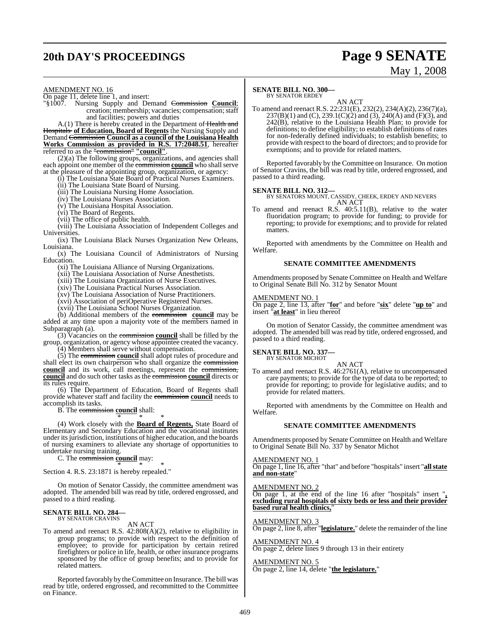# **20th DAY'S PROCEEDINGS Page 9 SENATE**

# May 1, 2008

AMENDMENT NO. 16

On page 11, delete line 1, and insert:

"§1007. Nursing Supply and Demand Commission **Council**; creation; membership; vacancies; compensation; staff and facilities; powers and duties

A.(1) There is hereby created in the Department of Health and Hospitals **of Education, Board of Regents** the Nursing Supply and Demand Commission **Council as a council of the Louisiana Health Works Commission as provided in R.S. 17:2048.51**, hereafter referred to as the "commission" **"council"**.

(2)(a) The following groups, organizations, and agencies shall each appoint one member of the **commission council** who shall serve at the pleasure of the appointing group, organization, or agency:

(i) The Louisiana State Board of Practical Nurses Examiners.

(ii) The Louisiana State Board of Nursing.

(iii) The Louisiana Nursing Home Association.

(iv) The Louisiana Nurses Association.

(v) The Louisiana Hospital Association.

(vi) The Board of Regents.

(vii) The office of public health.

(viii) The Louisiana Association of Independent Colleges and Universities.

(ix) The Louisiana Black Nurses Organization New Orleans, Louisiana.

(x) The Louisiana Council of Administrators of Nursing **Education** 

(xi) The Louisiana Alliance of Nursing Organizations.

(xii) The Louisiana Association of Nurse Anesthetists.

(xiii) The Louisiana Organization of Nurse Executives.

(xiv) The Louisiana Practical Nurses Association.

(xv) The Louisiana Association of Nurse Practitioners.

(xvi) Association of periOperative Registered Nurses. (xvii) The Louisiana School Nurses Organization.

(b) Additional members of the commission **council** may be added at any time upon a majority vote of the members named in Subparagraph (a).

(3) Vacancies on the commission **council** shall be filled by the group, organization, or agency whose appointee created the vacancy.

(4) Members shall serve without compensation. (5) The commission **council** shall adopt rules of procedure and

shall elect its own chairperson who shall organize the commission **council** and its work, call meetings, represent the commission, **council** and do such other tasks as the commission **council** directs or its rules require.

(6) The Department of Education, Board of Regents shall provide whatever staff and facility the commission **council** needs to accomplish its tasks.

B. The commission **council** shall:

\* \* \* (4) Work closely with the **Board of Regents,** State Board of Elementary and Secondary Education and the vocational institutes under its jurisdiction, institutions of higher education, and the boards of nursing examiners to alleviate any shortage of opportunities to undertake nursing training.

C. The commission **council** may:

\* \* \* Section 4. R.S. 23:1871 is hereby repealed."

On motion of Senator Cassidy, the committee amendment was adopted. The amended bill was read by title, ordered engrossed, and passed to a third reading.

#### **SENATE BILL NO. 284—** BY SENATOR CRAVINS

AN ACT

To amend and reenact R.S. 42:808(A)(2), relative to eligibility in group programs; to provide with respect to the definition of employee; to provide for participation by certain retired firefighters or police in life, health, or other insurance programs sponsored by the office of group benefits; and to provide for related matters.

Reported favorably by theCommittee on Insurance.The bill was read by title, ordered engrossed, and recommitted to the Committee on Finance.

#### **SENATE BILL NO. 300—**

BY SENATOR ERDEY

AN ACT To amend and reenact R.S. 22:231(E), 232(2), 234(A)(2), 236(7)(a), 237(B)(1) and (C), 239.1(C)(2) and (3), 240(A) and (F)(3), and 242(B), relative to the Louisiana Health Plan; to provide for definitions; to define eligibility; to establish definitions of rates for non-federally defined individuals; to establish benefits; to provide with respect to the board of directors; and to provide for exemptions; and to provide for related matters.

Reported favorably by the Committee on Insurance. On motion of Senator Cravins, the bill was read by title, ordered engrossed, and passed to a third reading.

#### **SENATE BILL NO. 312—**

BY SENATORS MOUNT, CASSIDY, CHEEK, ERDEY AND NEVERS AN ACT

To amend and reenact R.S. 40:5.11(B), relative to the water fluoridation program; to provide for funding; to provide for reporting; to provide for exemptions; and to provide for related matters.

Reported with amendments by the Committee on Health and Welfare.

#### **SENATE COMMITTEE AMENDMENTS**

Amendments proposed by Senate Committee on Health and Welfare to Original Senate Bill No. 312 by Senator Mount

#### AMENDMENT NO. 1

On page 2, line 13, after "**for**" and before "**six**" delete "**up to**" and insert "**at least**" in lieu thereof

On motion of Senator Cassidy, the committee amendment was adopted. The amended bill was read by title, ordered engrossed, and passed to a third reading.

#### **SENATE BILL NO. 337—**

BY SENATOR MICHOT

AN ACT To amend and reenact R.S. 46:2761(A), relative to uncompensated care payments; to provide for the type of data to be reported; to provide for reporting; to provide for legislative audits; and to provide for related matters.

Reported with amendments by the Committee on Health and Welfare.

#### **SENATE COMMITTEE AMENDMENTS**

Amendments proposed by Senate Committee on Health and Welfare to Original Senate Bill No. 337 by Senator Michot

AMENDMENT NO. 1

On page 1, line 16, after "that" and before "hospitals" insert "**allstate and non-state**"

AMENDMENT NO. 2

On page 1, at the end of the line 16 after "hospitals" insert "**, excluding rural hospitals of sixty beds or less and their provider based rural health clinics,**"

#### AMENDMENT NO. 3

On page 2, line 8, after "**legislature.**" delete the remainder of the line

AMENDMENT NO. 4 On page 2, delete lines 9 through 13 in their entirety

### AMENDMENT NO. 5

On page 2, line 14, delete "**the legislature.**"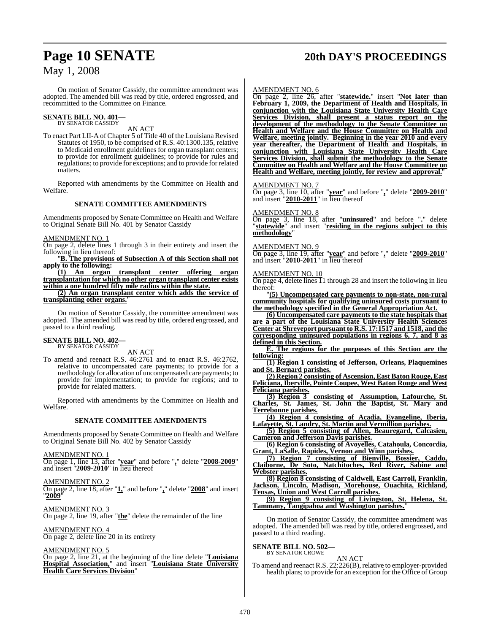# **Page 10 SENATE 20th DAY'S PROCEEDINGS**

## May 1, 2008

On motion of Senator Cassidy, the committee amendment was adopted. The amended bill was read by title, ordered engrossed, and recommitted to the Committee on Finance.

# **SENATE BILL NO. 401—** BY SENATOR CASSIDY

AN ACT

To enact Part LII-A of Chapter 5 of Title 40 of the Louisiana Revised Statutes of 1950, to be comprised of R.S. 40:1300.135, relative to Medicaid enrollment guidelines for organ transplant centers; to provide for enrollment guidelines; to provide for rules and regulations; to provide for exceptions; and to provide for related matters.

Reported with amendments by the Committee on Health and Welfare.

#### **SENATE COMMITTEE AMENDMENTS**

Amendments proposed by Senate Committee on Health and Welfare to Original Senate Bill No. 401 by Senator Cassidy

AMENDMENT NO. 1

On page 2, delete lines 1 through 3 in their entirety and insert the following in lieu thereof:

"**B. The provisions of Subsection A of this Section shall not apply to the following:**

**(1) An organ transplant center offering organ transplantation for which no other organ transplant center exists within a one hundred fifty mile radius within the state.**

**(2) An organ transplant center which adds the service of transplanting other organs.**"

On motion of Senator Cassidy, the committee amendment was adopted. The amended bill was read by title, ordered engrossed, and passed to a third reading.

#### **SENATE BILL NO. 402—** BY SENATOR CASSIDY

AN ACT

To amend and reenact R.S. 46:2761 and to enact R.S. 46:2762, relative to uncompensated care payments; to provide for a methodology for allocation of uncompensated care payments; to provide for implementation; to provide for regions; and to provide for related matters.

Reported with amendments by the Committee on Health and Welfare.

#### **SENATE COMMITTEE AMENDMENTS**

Amendments proposed by Senate Committee on Health and Welfare to Original Senate Bill No. 402 by Senator Cassidy

AMENDMENT NO. 1 On page 1, line 13, after "**year**" and before "**,**" delete "**2008-2009**" and insert "**2009-2010**" in lieu thereof

AMENDMENT NO. 2 On page 2, line 18, after "**1,**" and before "**,**" delete "**2008**" and insert "**2009**"

AMENDMENT NO. 3 On page 2, line 19, after "**the**" delete the remainder of the line

AMENDMENT NO. 4 On page 2, delete line 20 in its entirety

### AMENDMENT NO. 5

On page 2, line 21, at the beginning of the line delete "**Louisiana Hospital Association,**" and insert "**Louisiana State University Health Care Services Division**"

#### AMENDMENT NO. 6

On page 2, line 26, after "**statewide.**" insert "**Not later than February 1, 2009, the Department of Health and Hospitals, in conjunction with the Louisiana State University Health Care Services Division, shall present a status report on the development of the methodology to the Senate Committee on Health and Welfare and the House Committee on Health and Welfare, meeting jointly. Beginning in the year 2010 and every year thereafter, the Department of Health and Hospitals, in conjunction with Louisiana State University Health Care Services Division, shall submit the methodology to the Senate Committee on Health and Welfare and the House Committee on Health and Welfare, meeting jointly, for review and approval.**"

AMENDMENT NO. 7

On page 3, line 10, after "**year**" and before "**,**" delete "**2009-2010**" and insert "**2010-2011**" in lieu thereof

#### AMENDMENT NO. 8

On page 3, line 18, after "**uninsured**" and before "**.**" delete "**statewide**" and insert "**residing in the regions subject to this methodology**"

#### AMENDMENT NO. 9

On page 3, line 19, after "**year**" and before "**.**" delete "**2009-2010**" and insert "**2010-2011**" in lieu thereof

#### AMENDMENT NO. 10

On page 4, delete lines 11 through 28 and insert the following in lieu thereof:

"**(5) Uncompensated care payments to non-state, non-rural community hospitals for qualifying uninsured costs pursuant to the methodology specified in the General Appropriation Act.**

**(6) Uncompensated care payments to the state hospitals that are a part of the Louisiana State University Health Sciences Center at Shreveport pursuant to R.S. 17:1517 and 1518, and the corresponding uninsured populations in regions 6, 7, and 8 as defined in this Section.**

**E. The regions for the purposes of this Section are the following:**

**(1) Region 1 consisting of Jefferson, Orleans, Plaquemines and St. Bernard parishes.**

**(2) Region 2 consisting of Ascension, East Baton Rouge, East Feliciana, Iberville, Pointe Coupee, West Baton Rouge and West Feliciana parishes.**

**(3) Region 3 consisting of Assumption, Lafourche, St. Charles, St. James, St. John the Baptist, St. Mary and Terrebonne parishes.**

**(4) Region 4 consisting of Acadia, Evangeline, Iberia, Lafayette, St. Landry, St. Martin and Vermillion parishes.**

**(5) Region 5 consisting of Allen, Beauregard, Calcasieu, Cameron and Jefferson Davis parishes.**

**(6) Region 6 consisting of Avoyelles, Catahoula, Concordia, Grant, LaSalle, Rapides, Vernon and Winn parishes.**

**(7) Region 7 consisting of Bienville, Bossier, Caddo, Claiborne, De Soto, Natchitoches, Red River, Sabine and Webster parishes.**

**(8) Region 8 consisting of Caldwell, East Carroll, Franklin, Jackson, Lincoln, Madison, Morehouse, Ouachita, Richland, Tensas, Union and West Carroll parishes.**

**(9) Region 9 consisting of Livingston, St. Helena, St. Tammany, Tangipahoa and Washington parishes.**"

On motion of Senator Cassidy, the committee amendment was adopted. The amended bill was read by title, ordered engrossed, and passed to a third reading.

#### **SENATE BILL NO. 502—** BY SENATOR CROWE

#### AN ACT

To amend and reenact R.S. 22:226(B), relative to employer-provided health plans; to provide for an exception for the Office of Group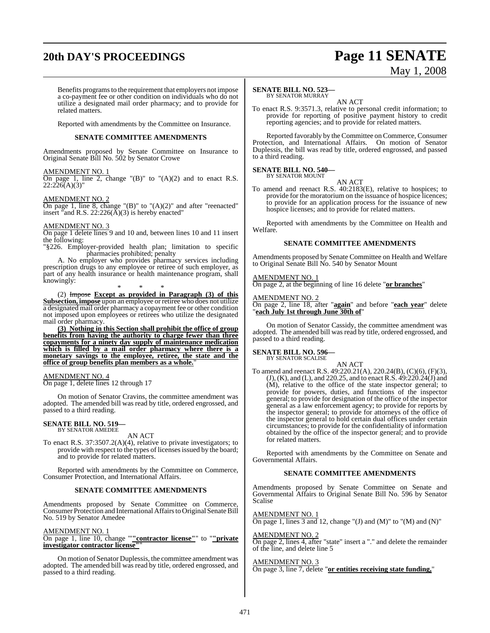# **20th DAY'S PROCEEDINGS Page 11 SENATE**

# May 1, 2008

Benefits programsto the requirement that employers not impose a co-payment fee or other condition on individuals who do not utilize a designated mail order pharmacy; and to provide for related matters.

Reported with amendments by the Committee on Insurance.

#### **SENATE COMMITTEE AMENDMENTS**

Amendments proposed by Senate Committee on Insurance to Original Senate Bill No. 502 by Senator Crowe

#### AMENDMENT NO. 1

On page 1, line 2, change " $(B)$ " to " $(A)(2)$  and to enact R.S.  $22:226(A)(3)$ "

#### AMENDMENT NO. 2

On page 1, line 8, change " $(B)$ " to " $(A)(2)$ " and after "reenacted" insert "and R.S.  $22:226(A)(3)$  is hereby enacted"

#### AMENDMENT NO. 3

On page 1 delete lines 9 and 10 and, between lines 10 and 11 insert the following:

"§226. Employer-provided health plan; limitation to specific pharmacies prohibited; penalty

A. No employer who provides pharmacy services including prescription drugs to any employee or retiree of such employer, as part of any health insurance or health maintenance program, shall knowingly: \* \* \*

(2) Impose **Except as provided in Paragraph (3) of this Subsection, impose** upon an employee or retiree who does not utilize a designated mail order pharmacy a copayment fee or other condition not imposed upon employees or retirees who utilize the designated mail order pharmacy.

**(3) Nothing in this Section shall prohibit the office of group benefits from having the authority to charge fewer than three copayments for a ninety day supply of maintenance medication which is filled by a mail order pharmacy where there is a monetary savings to the employee, retiree, the state and the office of group benefits plan members as a whole.**"

#### AMENDMENT NO. 4

On page 1, delete lines 12 through 17

On motion of Senator Cravins, the committee amendment was adopted. The amended bill was read by title, ordered engrossed, and passed to a third reading.

#### **SENATE BILL NO. 519—** BY SENATOR AMEDEE

AN ACT

To enact R.S. 37:3507.2(A)(4), relative to private investigators; to provide with respect to the types of licenses issued by the board; and to provide for related matters.

Reported with amendments by the Committee on Commerce, Consumer Protection, and International Affairs.

#### **SENATE COMMITTEE AMENDMENTS**

Amendments proposed by Senate Committee on Commerce, Consumer Protection and International Affairs to Original Senate Bill No. 519 by Senator Amedee

AMENDMENT NO. 1

#### On page 1, line 10, change '"**"contractor license"**" to "**"private investigator contractor license"**"

On motion of Senator Duplessis, the committee amendment was adopted. The amended bill was read by title, ordered engrossed, and passed to a third reading.

#### **SENATE BILL NO. 523—** BY SENATOR MURRAY

AN ACT

To enact R.S. 9:3571.3, relative to personal credit information; to provide for reporting of positive payment history to credit reporting agencies; and to provide for related matters.

Reported favorably by the Committee on Commerce, Consumer Protection, and International Affairs. On motion of Senator Duplessis, the bill was read by title, ordered engrossed, and passed to a third reading.

## **SENATE BILL NO. 540—**

BY SENATOR MOUNT AN ACT

To amend and reenact R.S. 40:2183(E), relative to hospices; to provide for the moratorium on the issuance of hospice licences; to provide for an application process for the issuance of new hospice licenses; and to provide for related matters.

Reported with amendments by the Committee on Health and Welfare.

#### **SENATE COMMITTEE AMENDMENTS**

Amendments proposed by Senate Committee on Health and Welfare to Original Senate Bill No. 540 by Senator Mount

#### AMENDMENT NO. 1

On page 2, at the beginning of line 16 delete "**or branches**"

#### AMENDMENT NO. 2

On page 2, line 18, after "**again**" and before "**each year**" delete "**each July 1st through June 30th of**"

On motion of Senator Cassidy, the committee amendment was adopted. The amended bill was read by title, ordered engrossed, and passed to a third reading.

#### **SENATE BILL NO. 596—**

BY SENATOR SCALISE

AN ACT To amend and reenact R.S. 49:220.21(A), 220.24(B), (C)(6), (F)(3), (J), (K), and (L), and 220.25, and to enact R.S. 49:220.24(J) and (M), relative to the office of the state inspector general; to provide for powers, duties, and functions of the inspector general; to provide for designation of the office of the inspector general as a law enforcement agency; to provide for reports by the inspector general; to provide for attorneys of the office of the inspector general to hold certain dual offices under certain circumstances; to provide for the confidentiality of information obtained by the office of the inspector general; and to provide for related matters.

Reported with amendments by the Committee on Senate and Governmental Affairs.

#### **SENATE COMMITTEE AMENDMENTS**

Amendments proposed by Senate Committee on Senate and Governmental Affairs to Original Senate Bill No. 596 by Senator Scalise

AMENDMENT NO. 1 On page 1, lines  $\overline{3}$  and  $\overline{12}$ , change "(J) and (M)" to "(M) and (N)"

#### AMENDMENT NO. 2

On page 2, lines 4, after "state" insert a "." and delete the remainder of the line, and delete line 5

#### AMENDMENT NO. 3

On page 3, line 7, delete "**or entities receiving state funding,**"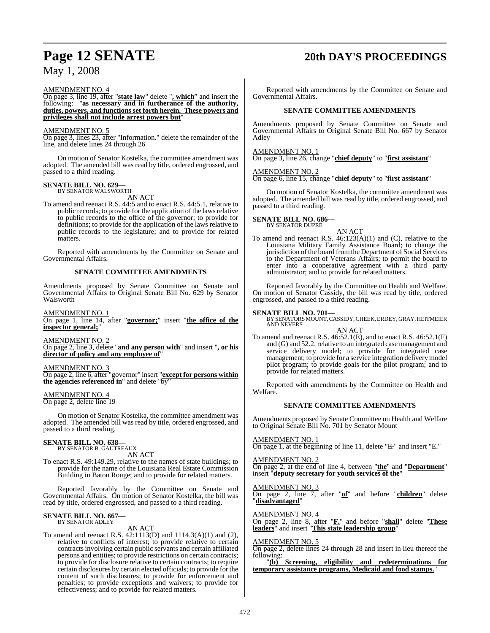# **Page 12 SENATE 20th DAY'S PROCEEDINGS**

AMENDMENT NO. 4

On page 3, line 19, after "**state law**" delete "**, which**" and insert the following: "**as necessary and in furtherance of the authority, duties, powers, and functions set forth herein. These powers and privileges shall not include arrest powers but**"

## AMENDMENT NO. 5

On page 3, lines 23, after "Information." delete the remainder of the line, and delete lines 24 through 26

On motion of Senator Kostelka, the committee amendment was adopted. The amended bill was read by title, ordered engrossed, and passed to a third reading.

#### **SENATE BILL NO. 629—** BY SENATOR WALSWORTH

AN ACT

To amend and reenact R.S. 44:5 and to enact R.S. 44:5.1, relative to public records; to provide for the application of the laws relative to public records to the office of the governor; to provide for definitions; to provide for the application of the laws relative to public records to the legislature; and to provide for related matters.

Reported with amendments by the Committee on Senate and Governmental Affairs.

## **SENATE COMMITTEE AMENDMENTS**

Amendments proposed by Senate Committee on Senate and Governmental Affairs to Original Senate Bill No. 629 by Senator Walsworth

AMENDMENT NO. 1

On page 1, line 14, after "**governor;**" insert "**the office of the inspector general;**"

AMENDMENT NO. 2

On page 2, line 3, delete "**and any person with**" and insert "**, or his director of policy and any employee of**"

AMENDMENT NO. 3

On page 2, line 6, after "governor" insert "**except for persons within the agencies referenced in**" and delete "by"

AMENDMENT NO. 4

On page 2, delete line 19

On motion of Senator Kostelka, the committee amendment was adopted. The amended bill was read by title, ordered engrossed, and passed to a third reading.

# **SENATE BILL NO. 638—** BY SENATOR B. GAUTREAUX

AN ACT

To enact R.S. 49:149.29, relative to the names of state buildings; to provide for the name of the Louisiana Real Estate Commission Building in Baton Rouge; and to provide for related matters.

Reported favorably by the Committee on Senate and Governmental Affairs. On motion of Senator Kostelka, the bill was read by title, ordered engrossed, and passed to a third reading.

# **SENATE BILL NO. 667—** BY SENATOR ADLEY

## AN ACT

To amend and reenact R.S. 42:1113(D) and 1114.3(A)(1) and (2), relative to conflicts of interest; to provide relative to certain contractsinvolving certain public servants and certain affiliated persons and entities; to provide restrictions on certain contracts; to provide for disclosure relative to certain contracts; to require certain disclosures by certain elected officials; to provide for the content of such disclosures; to provide for enforcement and penalties; to provide exceptions and waivers; to provide for effectiveness; and to provide for related matters.

Reported with amendments by the Committee on Senate and Governmental Affairs.

## **SENATE COMMITTEE AMENDMENTS**

Amendments proposed by Senate Committee on Senate and Governmental Affairs to Original Senate Bill No. 667 by Senator Adley

AMENDMENT NO. 1

On page 3, line 26, change "**chief deputy**" to "**first assistant**"

AMENDMENT NO. 2

On page 6, line 15, change "**chief deputy**" to "**first assistant**"

On motion of Senator Kostelka, the committee amendment was adopted. The amended bill was read by title, ordered engrossed, and passed to a third reading.

#### **SENATE BILL NO. 686—**

BY SENATOR DUPRE

AN ACT To amend and reenact R.S. 46:123(A)(1) and (C), relative to the Louisiana Military Family Assistance Board; to change the jurisdiction of the board from the Department of Social Services to the Department of Veterans Affairs; to permit the board to enter into a cooperative agreement with a third party administrator; and to provide for related matters.

Reported favorably by the Committee on Health and Welfare. On motion of Senator Cassidy, the bill was read by title, ordered engrossed, and passed to a third reading.

**SENATE BILL NO. 701—** BY SENATORSMOUNT,CASSIDY,CHEEK,ERDEY, GRAY, HEITMEIER AND NEVERS

AN ACT To amend and reenact R.S. 46:52.1(E), and to enact R.S. 46:52.1(F) and (G) and 52.2, relative to an integrated case management and service delivery model; to provide for integrated case management; to provide for a service integration delivery model pilot program; to provide goals for the pilot program; and to provide for related matters.

Reported with amendments by the Committee on Health and Welfare.

## **SENATE COMMITTEE AMENDMENTS**

Amendments proposed by Senate Committee on Health and Welfare to Original Senate Bill No. 701 by Senator Mount

### AMENDMENT NO. 1

On page 1, at the beginning of line 11, delete "E." and insert "E."

AMENDMENT NO. 2

On page 2, at the end of line 4, between "**the**" and "**Department**" insert "**deputy secretary for youth services of the**"

## AMENDMENT NO. 3

On page 2, line 7, after "**of**" and before "**children**" delete "**disadvantaged**"

#### AMENDMENT NO. 4

On page 2, line 8, after "**F.**" and before "**shall**" delete "**These leaders**" and insert "**This state leadership group**"

#### AMENDMENT NO. 5

On page 2, delete lines 24 through 28 and insert in lieu thereof the following:

"**(b) Screening, eligibility and redeterminations for temporary assistance programs, Medicaid and food stamps.**"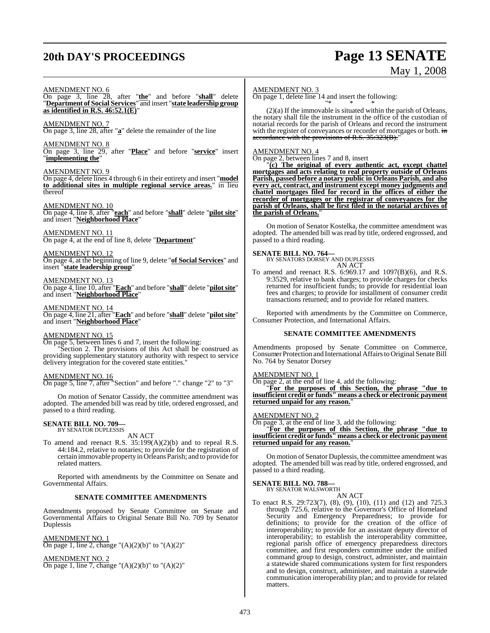# **20th DAY'S PROCEEDINGS Page 13 SENATE**

# May 1, 2008

#### AMENDMENT NO. 6

On page 3, line 28, after "**the**" and before "**shall**" delete "**Department of Social Services**" and insert "**state leadership group as identified in R.S. 46:52.1(E)**"

AMENDMENT NO. 7

On page 3, line 28, after "**a**" delete the remainder of the line

AMENDMENT NO. 8

On page 3, line 29, after "**Place**" and before "**service**" insert "**implementing the**"

#### AMENDMENT NO. 9

On page 4, delete lines 4 through 6 in their entirety and insert "**model to additional sites in multiple regional service areas.**" in lieu thereof

#### AMENDMENT NO. 10

On page 4, line 8, after "**each**" and before "**shall**" delete "**pilot site**" and insert "**Neighborhood Place**"

AMENDMENT NO. 11 On page 4, at the end of line 8, delete "**Department**"

#### AMENDMENT NO. 12 On page 4, at the beginning of line 9, delete "**of Social Services**" and insert "**state leadership group**"

#### AMENDMENT NO. 13

On page 4, line 10, after "**Each**" and before "**shall**" delete "**pilot site**" and insert "**Neighborhood Place**"

AMENDMENT NO. 14 On page 4, line 21, after "**Each**" and before "**shall**" delete "**pilot site**"

and insert "**Neighborhood Place**"

#### AMENDMENT NO. 15

On page 5, between lines 6 and 7, insert the following: Section 2. The provisions of this Act shall be construed as providing supplementary statutory authority with respect to service delivery integration for the covered state entities."

#### AMENDMENT NO. 16

On page 5, line 7, after "Section" and before "." change "2" to "3"

On motion of Senator Cassidy, the committee amendment was adopted. The amended bill was read by title, ordered engrossed, and passed to a third reading.

#### **SENATE BILL NO. 709—** BY SENATOR DUPLESSIS

AN ACT

To amend and reenact R.S. 35:199(A)(2)(b) and to repeal R.S. 44:184.2, relative to notaries; to provide for the registration of certain immovable property in Orleans Parish; and to provide for related matters.

Reported with amendments by the Committee on Senate and Governmental Affairs.

#### **SENATE COMMITTEE AMENDMENTS**

Amendments proposed by Senate Committee on Senate and Governmental Affairs to Original Senate Bill No. 709 by Senator Duplessis

AMENDMENT NO. 1 On page 1, line 2, change " $(A)(2)(b)$ " to " $(A)(2)$ "

AMENDMENT NO. 2

On page 1, line 7, change " $(A)(2)(b)$ " to " $(A)(2)$ "

#### AMENDMENT NO. 3

On page 1, delete line 14 and insert the following: "\* \* \*

(2)(a) If the immovable is situated within the parish of Orleans, the notary shall file the instrument in the office of the custodian of notarial records for the parish of Orleans and record the instrument with the register of conveyances or recorder of mortgages or both. in accordance with the provisions of R.S. 35:323(B).

#### AMENDMENT NO. 4

On page 2, between lines 7 and 8, insert

"**(c) The original of every authentic act, except chattel mortgages and acts relating to real property outside of Orleans Parish, passed before a notary public in Orleans Parish, and also every act, contract, and instrument except money judgments and chattel mortgages filed for record in the offices of either the recorder of mortgages or the registrar of conveyances for the parish of Orleans, shall be first filed in the notarial archives of the parish of Orleans.**"

On motion of Senator Kostelka, the committee amendment was adopted. The amended bill was read by title, ordered engrossed, and passed to a third reading.

#### **SENATE BILL NO. 764—**

BY SENATORS DORSEY AND DUPLESSIS AN ACT

To amend and reenact R.S. 6:969.17 and 1097(B)(6), and R.S. 9:3529, relative to bank charges; to provide charges for checks returned for insufficient funds; to provide for residential loan fees and charges; to provide for installment of consumer credit transactions returned; and to provide for related matters.

Reported with amendments by the Committee on Commerce, Consumer Protection, and International Affairs.

#### **SENATE COMMITTEE AMENDMENTS**

Amendments proposed by Senate Committee on Commerce, Consumer Protection and International Affairs to Original Senate Bill No. 764 by Senator Dorsey

#### AMENDMENT NO. 1

On page 2, at the end of line 4, add the following:

"**For the purposes of this Section, the phrase "due to insufficient credit or funds" means a check or electronic payment returned unpaid for any reason.**"

#### AMENDMENT NO. 2

On page 3, at the end of line 3, add the following:

"**For the purposes of this Section, the phrase "due to insufficient credit or funds" means a check or electronic payment returned unpaid for any reason.**"

On motion of Senator Duplessis, the committee amendment was adopted. The amended bill was read by title, ordered engrossed, and passed to a third reading.

# **SENATE BILL NO. 788—** BY SENATOR WALSWORTH

AN ACT

To enact R.S. 29:723(7), (8), (9), (10), (11) and (12) and 725.3 through 725.6, relative to the Governor's Office of Homeland Security and Emergency Preparedness; to provide for definitions; to provide for the creation of the office of interoperability; to provide for an assistant deputy director of interoperability; to establish the interoperability committee, regional parish office of emergency preparedness directors committee, and first responders committee under the unified command group to design, construct, administer, and maintain a statewide shared communications system for first responders and to design, construct, administer, and maintain a statewide communication interoperability plan; and to provide for related matters.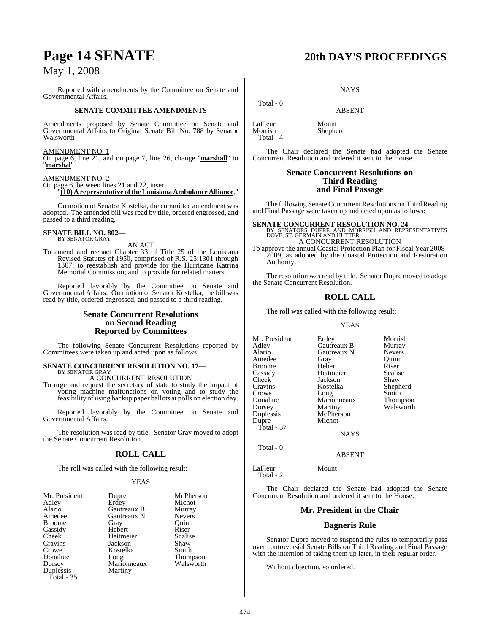Reported with amendments by the Committee on Senate and Governmental Affairs.

#### **SENATE COMMITTEE AMENDMENTS**

Amendments proposed by Senate Committee on Senate and Governmental Affairs to Original Senate Bill No. 788 by Senator Walsworth

#### AMENDMENT NO. 1

On page 6, line 21, and on page 7, line 26, change "**marshall**" to "**marshal**"

#### AMENDMENT NO. 2

On page 6, between lines 21 and 22, insert "**(10) A representative of the Louisiana Ambulance Alliance**."

On motion of Senator Kostelka, the committee amendment was adopted. The amended bill was read by title, ordered engrossed, and passed to a third reading.

#### **SENATE BILL NO. 802—**

BY SENATOR GRAY

AN ACT

To amend and reenact Chapter 33 of Title 25 of the Louisiana Revised Statutes of 1950, comprised of R.S. 25:1301 through 1307; to reestablish and provide for the Hurricane Katrina Memorial Commission; and to provide for related matters.

Reported favorably by the Committee on Senate and Governmental Affairs. On motion of Senator Kostelka, the bill was read by title, ordered engrossed, and passed to a third reading.

### **Senate Concurrent Resolutions on Second Reading Reported by Committees**

The following Senate Concurrent Resolutions reported by Committees were taken up and acted upon as follows:

# **SENATE CONCURRENT RESOLUTION NO. 17—** BY SENATOR GRAY

A CONCURRENT RESOLUTION

To urge and request the secretary of state to study the impact of voting machine malfunctions on voting and to study the feasibility of using backup paper ballots at polls on election day.

Reported favorably by the Committee on Senate and Governmental Affairs.

The resolution was read by title. Senator Gray moved to adopt the Senate Concurrent Resolution.

### **ROLL CALL**

The roll was called with the following result:

#### YEAS

| Mr. President | Dupre       | McPherson       |
|---------------|-------------|-----------------|
| Adley         | Erdey       | Michot          |
| Alario        | Gautreaux B | Murray          |
| Amedee        | Gautreaux N | <b>Nevers</b>   |
| <b>Broome</b> | Gray        | Ouinn           |
| Cassidy       | Hebert      | Riser           |
| Cheek         | Heitmeier   | Scalise         |
| Cravins       | Jackson     | Shaw            |
| Crowe         | Kostelka    | Smith           |
| Donahue       | Long        | <b>Thompson</b> |
| Dorsey        | Marionneaux | Walsworth       |
| Duplessis     | Martiny     |                 |
| Total $-35$   |             |                 |

# **Page 14 SENATE 20th DAY'S PROCEEDINGS**

**NAYS** 

ABSENT

LaFleur Mount<br>Morrish Shephe Total - 4

Total - 0

Shepherd

The Chair declared the Senate had adopted the Senate Concurrent Resolution and ordered it sent to the House.

#### **Senate Concurrent Resolutions on Third Reading and Final Passage**

The following Senate Concurrent Resolutions on Third Reading and Final Passage were taken up and acted upon as follows:

**SENATE CONCURRENT RESOLUTION NO. 24—BY SENATORS DUPRE AND MORRISH AND REPRESENTATIVES**<br>DOVE, ST. GERMAIN AND HUTTER A CONCURRENT RESOLUTION

To approve the annual Coastal Protection Plan for Fiscal Year 2008- 2009, as adopted by the Coastal Protection and Restoration Authority.

The resolution was read by title. Senator Dupre moved to adopt the Senate Concurrent Resolution.

## **ROLL CALL**

The roll was called with the following result:

#### YEAS

Mr. President Erdey Morrish<br>Adley Gautreaux B Murray Adley Gautreaux B Murray Gautreaux N Nevers<br>
Gray Ouinn Amedee Gray Quinn Broome Hebert Riser Cassidy Heitmeier Scalis<br>Cheek Jackson Shaw Cheek Jackson Shaw<br>Cravins Kostelka Shepherd Kostelka Crowe Long Smith<br>Donahue Marionneaux Thompson Donahue Marionneaux<br>Dorsey Martiny Martiny Walsworth<br>McPherson Duplessis Dupre Michot Total - 37 NAYS

Total - 0

LaFleur Mount

Total - 2

The Chair declared the Senate had adopted the Senate Concurrent Resolution and ordered it sent to the House.

ABSENT

#### **Mr. President in the Chair**

#### **Bagneris Rule**

Senator Dupre moved to suspend the rules to temporarily pass over controversial Senate Bills on Third Reading and Final Passage with the intention of taking them up later, in their regular order.

Without objection, so ordered.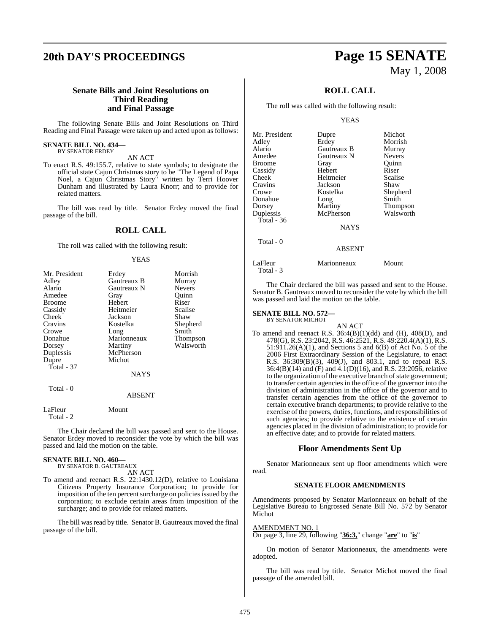# **20th DAY'S PROCEEDINGS Page 15 SENATE**

### **Senate Bills and Joint Resolutions on Third Reading and Final Passage**

The following Senate Bills and Joint Resolutions on Third Reading and Final Passage were taken up and acted upon as follows:

#### **SENATE BILL NO. 434—** BY SENATOR ERDEY

AN ACT To enact R.S. 49:155.7, relative to state symbols; to designate the official state Cajun Christmas story to be "The Legend of Papa Noel, a Cajun Christmas Story" written by Terri Hoover Dunham and illustrated by Laura Knorr; and to provide for related matters.

The bill was read by title. Senator Erdey moved the final passage of the bill.

### **ROLL CALL**

The roll was called with the following result:

#### YEAS

| Mr. President        | Erdey         | Morrish       |
|----------------------|---------------|---------------|
| Adley                | Gautreaux B   | Murray        |
| Alario               | Gautreaux N   | <b>Nevers</b> |
| Amedee               | Gray          | Ouinn         |
| <b>Broome</b>        | Hebert        | Riser         |
| Cassidy              | Heitmeier     | Scalise       |
| Cheek                | Jackson       | Shaw          |
| Cravins              | Kostelka      | Shepherd      |
| Crowe                | Long          | Smith         |
| Donahue              | Marionneaux   | Thompson      |
| Dorsey               | Martiny       | Walsworth     |
| Duplessis            | McPherson     |               |
| Dupre                | Michot        |               |
| Total - 37           |               |               |
|                      | <b>NAYS</b>   |               |
| Total - 0            |               |               |
|                      | <b>ABSENT</b> |               |
| LaFleur<br>Total - 2 | Mount         |               |

The Chair declared the bill was passed and sent to the House. Senator Erdey moved to reconsider the vote by which the bill was passed and laid the motion on the table.

### **SENATE BILL NO. 460—**

BY SENATOR B. GAUTREAUX AN ACT

To amend and reenact R.S. 22:1430.12(D), relative to Louisiana Citizens Property Insurance Corporation; to provide for imposition of the ten percent surcharge on policies issued by the corporation; to exclude certain areas from imposition of the surcharge; and to provide for related matters.

The bill was read by title. Senator B. Gautreaux moved the final passage of the bill.

# May 1, 2008

## **ROLL CALL**

The roll was called with the following result:

#### YEAS

| Mr. President | Dupre         | Michot          |
|---------------|---------------|-----------------|
| Adley         | Erdey         | Morrish         |
| Alario        | Gautreaux B   | Murray          |
| Amedee        | Gautreaux N   | <b>Nevers</b>   |
| <b>Broome</b> | Gray          | Quinn           |
| Cassidy       | Hebert        | Riser           |
| <b>Cheek</b>  | Heitmeier     | Scalise         |
| Cravins       | Jackson       | Shaw            |
| Crowe         | Kostelka      | Shepherd        |
| Donahue       | Long          | Smith           |
| Dorsey        | Martiny       | <b>Thompson</b> |
| Duplessis     | McPherson     | Walsworth       |
| Total - $36$  |               |                 |
|               | <b>NAYS</b>   |                 |
| Total - 0     |               |                 |
|               | <b>ABSENT</b> |                 |
| LaFleur       | Marionneaux   | Mount           |

The Chair declared the bill was passed and sent to the House. Senator B. Gautreaux moved to reconsider the vote by which the bill was passed and laid the motion on the table.

#### **SENATE BILL NO. 572—** BY SENATOR MICHOT

Total - 3

AN ACT

To amend and reenact R.S.  $36:4(B)(1)(dd)$  and  $(H)$ ,  $408(D)$ , and 478(G), R.S. 23:2042, R.S. 46:2521, R.S. 49:220.4(A)(1), R.S. 51:911.26(A)(1), and Sections 5 and 6(B) of Act No. 5 of the 2006 First Extraordinary Session of the Legislature, to enact R.S. 36:309(B)(3), 409(J), and 803.1, and to repeal R.S. 36:4(B)(14) and (F) and 4.1(D)(16), and R.S. 23:2056, relative to the organization of the executive branch of state government; to transfer certain agencies in the office of the governor into the division of administration in the office of the governor and to transfer certain agencies from the office of the governor to certain executive branch departments; to provide relative to the exercise of the powers, duties, functions, and responsibilities of such agencies; to provide relative to the existence of certain agencies placed in the division of administration; to provide for an effective date; and to provide for related matters.

#### **Floor Amendments Sent Up**

Senator Marionneaux sent up floor amendments which were read.

#### **SENATE FLOOR AMENDMENTS**

Amendments proposed by Senator Marionneaux on behalf of the Legislative Bureau to Engrossed Senate Bill No. 572 by Senator Michot

AMENDMENT NO. 1

On page 3, line 29, following "**36:3,**" change "**are**" to "**is**"

On motion of Senator Marionneaux, the amendments were adopted.

The bill was read by title. Senator Michot moved the final passage of the amended bill.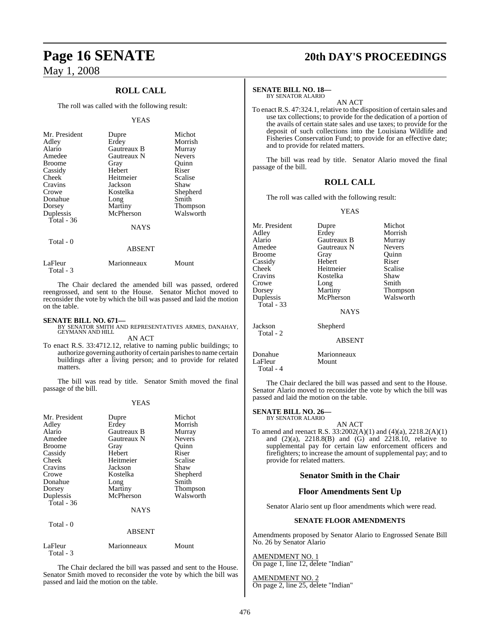## **ROLL CALL**

The roll was called with the following result:

#### YEAS

| Mr. President | Dupre       | Michot          |
|---------------|-------------|-----------------|
| Adley         | Erdey       | Morrish         |
| Alario        | Gautreaux B | Murray          |
| Amedee        | Gautreaux N | <b>Nevers</b>   |
| <b>Broome</b> | Gray        | Ouinn           |
| Cassidy       | Hebert      | Riser           |
| Cheek         | Heitmeier   | Scalise         |
| Cravins       | Jackson     | Shaw            |
| Crowe         | Kostelka    | Shepherd        |
| Donahue       | Long        | Smith           |
| Dorsey        | Martiny     | <b>Thompson</b> |
| Duplessis     | McPherson   | Walsworth       |
| Total - 36    |             |                 |
|               | <b>NAYS</b> |                 |
| Total - 0     |             |                 |

| LaFleur   | Marionneaux | Mount |
|-----------|-------------|-------|
| Total - 3 |             |       |

The Chair declared the amended bill was passed, ordered reengrossed, and sent to the House. Senator Michot moved to reconsider the vote by which the bill was passed and laid the motion on the table.

ABSENT

#### **SENATE BILL NO. 671—**

Total - 3

BY SENATOR SMITH AND REPRESENTATIVES ARMES, DANAHAY, GEYMANN AND HILL AN ACT

To enact R.S. 33:4712.12, relative to naming public buildings; to authorize governing authority of certain parishesto name certain buildings after a living person; and to provide for related matters.

The bill was read by title. Senator Smith moved the final passage of the bill.

#### YEAS

| Mr. President<br>Adley<br>Alario<br>Amedee<br><b>Broome</b><br>Cassidy<br>Cheek<br>Cravins<br>Crowe<br>Donahue<br>Dorsey | Dupre<br>Erdey<br>Gautreaux B<br>Gautreaux N<br>Gray<br>Hebert<br>Heitmeier<br>Jackson<br>Kostelka<br>Long<br>Martiny | Michot<br>Morrish<br>Murray<br><b>Nevers</b><br>Ouinn<br>Riser<br>Scalise<br>Shaw<br>Shepherd<br>Smith<br><b>Thompson</b> |
|--------------------------------------------------------------------------------------------------------------------------|-----------------------------------------------------------------------------------------------------------------------|---------------------------------------------------------------------------------------------------------------------------|
| Duplessis<br>Total $-36$<br>Total - 0                                                                                    | McPherson<br><b>NAYS</b><br><b>ABSENT</b>                                                                             | Walsworth                                                                                                                 |
| LaFleur                                                                                                                  | Marionneaux                                                                                                           | Mount                                                                                                                     |

The Chair declared the bill was passed and sent to the House. Senator Smith moved to reconsider the vote by which the bill was passed and laid the motion on the table.

# **Page 16 SENATE 20th DAY'S PROCEEDINGS**

#### **SENATE BILL NO. 18—**

BY SENATOR ALARIO

AN ACT To enact R.S. 47:324.1, relative to the disposition of certain sales and use tax collections; to provide for the dedication of a portion of the avails of certain state sales and use taxes; to provide for the deposit of such collections into the Louisiana Wildlife and Fisheries Conservation Fund; to provide for an effective date; and to provide for related matters.

The bill was read by title. Senator Alario moved the final passage of the bill.

#### **ROLL CALL**

The roll was called with the following result:

#### YEAS

| Mr. President | Dupre       | Michot          |
|---------------|-------------|-----------------|
| Adley         | Erdey       | Morrish         |
| Alario        | Gautreaux B | Murray          |
| Amedee        | Gautreaux N | <b>Nevers</b>   |
| Broome        | Gray        | Ouinn           |
| Cassidy       | Hebert      | Riser           |
| Cheek         | Heitmeier   | Scalise         |
| Cravins       | Kostelka    | Shaw            |
| Crowe         | Long        | Smith           |
| Dorsey        | Martiny     | <b>Thompson</b> |
| Duplessis     | McPherson   | Walsworth       |
| Total - 33    |             |                 |
|               | <b>NAYS</b> |                 |
|               |             |                 |

Jackson Shepherd Total - 2

ABSENT

| Donahue | Marionneaux |
|---------|-------------|
| LaFleur | Mount       |
|         |             |

Total - 4

The Chair declared the bill was passed and sent to the House. Senator Alario moved to reconsider the vote by which the bill was passed and laid the motion on the table.

#### **SENATE BILL NO. 26—** BY SENATOR ALARIO

AN ACT

To amend and reenact R.S. 33:2002(A)(1) and (4)(a), 2218.2(A)(1) and (2)(a), 2218.8(B) and (G) and 2218.10, relative to supplemental pay for certain law enforcement officers and firefighters; to increase the amount of supplemental pay; and to provide for related matters.

### **Senator Smith in the Chair**

#### **Floor Amendments Sent Up**

Senator Alario sent up floor amendments which were read.

#### **SENATE FLOOR AMENDMENTS**

Amendments proposed by Senator Alario to Engrossed Senate Bill No. 26 by Senator Alario

AMENDMENT NO. 1 On page 1, line 12, delete "Indian"

AMENDMENT NO. 2 On page 2, line 25, delete "Indian"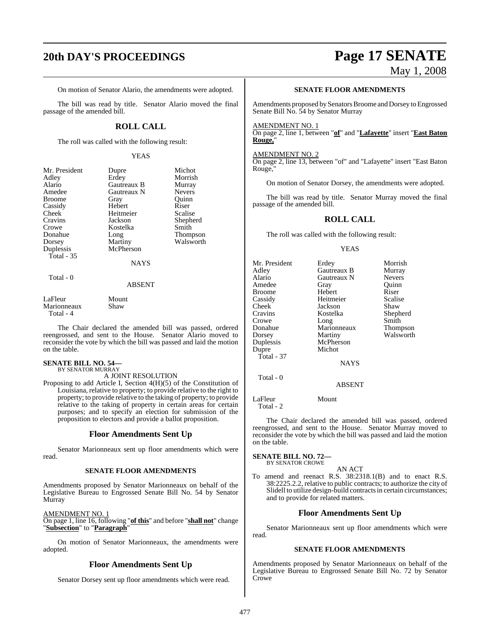# **20th DAY'S PROCEEDINGS Page 17 SENATE**

# May 1, 2008

On motion of Senator Alario, the amendments were adopted.

The bill was read by title. Senator Alario moved the final passage of the amended bill.

## **ROLL CALL**

The roll was called with the following result:

#### YEAS

| Mr. President | Dupre         | Michot          |
|---------------|---------------|-----------------|
| Adley         | Erdey         | Morrish         |
| Alario        | Gautreaux B   | Murray          |
| Amedee        | Gautreaux N   | <b>Nevers</b>   |
| <b>Broome</b> | Gray          | Ouinn           |
| Cassidy       | Hebert        | Riser           |
| Cheek         | Heitmeier     | Scalise         |
| Cravins       | Jackson       | Shepherd        |
| Crowe         | Kostelka      | Smith           |
| Donahue       | Long          | <b>Thompson</b> |
| Dorsey        | Martiny       | Walsworth       |
| Duplessis     | McPherson     |                 |
| Total - 35    |               |                 |
|               | <b>NAYS</b>   |                 |
| Total - 0     |               |                 |
|               | <b>ABSENT</b> |                 |

LaFleur Mount<br>Marionneaux Shaw **Marionneaux** Total - 4

The Chair declared the amended bill was passed, ordered reengrossed, and sent to the House. Senator Alario moved to reconsider the vote by which the bill was passed and laid the motion on the table.

#### **SENATE BILL NO. 54—**

BY SENATOR MURRAY

A JOINT RESOLUTION

Proposing to add Article I, Section 4(H)(5) of the Constitution of Louisiana, relative to property; to provide relative to the right to property; to provide relative to the taking of property; to provide relative to the taking of property in certain areas for certain purposes; and to specify an election for submission of the proposition to electors and provide a ballot proposition.

#### **Floor Amendments Sent Up**

Senator Marionneaux sent up floor amendments which were read.

#### **SENATE FLOOR AMENDMENTS**

Amendments proposed by Senator Marionneaux on behalf of the Legislative Bureau to Engrossed Senate Bill No. 54 by Senator Murray

AMENDMENT NO. 1 On page 1, line 16, following "**of this**" and before "**shall not**" change "**Subsection**" to "**Paragraph**"

On motion of Senator Marionneaux, the amendments were adopted.

### **Floor Amendments Sent Up**

Senator Dorsey sent up floor amendments which were read.

#### **SENATE FLOOR AMENDMENTS**

Amendments proposed bySenators Broome and Dorsey to Engrossed Senate Bill No. 54 by Senator Murray

#### AMENDMENT NO. 1

On page 2, line 1, between "**of**" and "**Lafayette**" insert "**East Baton Rouge,**"

#### AMENDMENT NO. 2

On page 2, line 13, between "of" and "Lafayette" insert "East Baton Rouge,"

On motion of Senator Dorsey, the amendments were adopted.

The bill was read by title. Senator Murray moved the final passage of the amended bill.

#### **ROLL CALL**

The roll was called with the following result:

#### YEAS

| Mr. President | Erdey       | Morrish       |
|---------------|-------------|---------------|
| Adley         | Gautreaux B | Murray        |
| Alario        | Gautreaux N | <b>Nevers</b> |
| Amedee        | Gray        | Ouinn         |
| <b>Broome</b> | Hebert      | Riser         |
| Cassidy       | Heitmeier   | Scalise       |
| Cheek         | Jackson     | Shaw          |
| Cravins       | Kostelka    | Shepherd      |
| Crowe         | Long        | Smith         |
| Donahue       | Marionneaux | Thompson      |
| Dorsey        | Martiny     | Walsworth     |
| Duplessis     | McPherson   |               |
| Dupre         | Michot      |               |
| Total - 37    |             |               |
|               | <b>NAYS</b> |               |
| Total - 0     |             |               |

#### ABSENT

LaFleur Mount Total - 2

The Chair declared the amended bill was passed, ordered reengrossed, and sent to the House. Senator Murray moved to reconsider the vote by which the bill was passed and laid the motion on the table.

# **SENATE BILL NO. 72—** BY SENATOR CROWE

AN ACT

To amend and reenact R.S. 38:2318.1(B) and to enact R.S. 38:2225.2.2, relative to public contracts; to authorize the city of Slidell to utilize design-build contracts in certain circumstances; and to provide for related matters.

#### **Floor Amendments Sent Up**

Senator Marionneaux sent up floor amendments which were read.

#### **SENATE FLOOR AMENDMENTS**

Amendments proposed by Senator Marionneaux on behalf of the Legislative Bureau to Engrossed Senate Bill No. 72 by Senator Crowe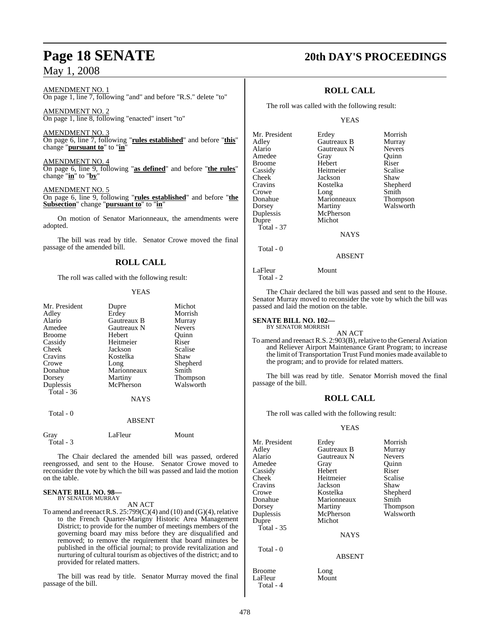AMENDMENT NO. 1 On page 1, line 7, following "and" and before "R.S." delete "to"

AMENDMENT NO. 2 On page 1, line 8, following "enacted" insert "to"

AMENDMENT NO. 3 On page 6, line 7, following "**rules established**" and before "**this**" change "**pursuant to**" to "**in**"

AMENDMENT NO. 4 On page 6, line 9, following "**as defined**" and before "**the rules**" change "**in**" to "**by**"

AMENDMENT NO. 5 On page 6, line 9, following "**rules established**" and before "**the Subsection**" change "**pursuant to**" to "**in**"

On motion of Senator Marionneaux, the amendments were adopted.

The bill was read by title. Senator Crowe moved the final passage of the amended bill.

## **ROLL CALL**

The roll was called with the following result:

#### YEAS

| Mr. President | Dupre       | Michot        |
|---------------|-------------|---------------|
| Adley         | Erdey       | Morrish       |
| Alario        | Gautreaux B | Murray        |
| Amedee        | Gautreaux N | <b>Nevers</b> |
| <b>Broome</b> | Hebert      | Ouinn         |
| Cassidy       | Heitmeier   | Riser         |
| Cheek         | Jackson     | Scalise       |
| Cravins       | Kostelka    | Shaw          |
| Crowe         | Long        | Shepherd      |
| Donahue       | Marionneaux | Smith         |
| Dorsey        | Martiny     | Thompson      |
| Duplessis     | McPherson   | Walsworth     |
| Total - 36    |             |               |
|               | <b>NAYS</b> |               |
| Total - 0     |             |               |
|               | $\sqrt{2}$  |               |

ABSENT

| Gray      | LaFleur | Mount |
|-----------|---------|-------|
| Total - 3 |         |       |

The Chair declared the amended bill was passed, ordered reengrossed, and sent to the House. Senator Crowe moved to reconsider the vote by which the bill was passed and laid the motion on the table.

#### **SENATE BILL NO. 98—** BY SENATOR MURRAY

#### AN ACT

To amend and reenact R.S.  $25:799(C)(4)$  and (10) and (G)(4), relative to the French Quarter-Marigny Historic Area Management District; to provide for the number of meetings members of the governing board may miss before they are disqualified and removed; to remove the requirement that board minutes be published in the official journal; to provide revitalization and nurturing of cultural tourism as objectives of the district; and to provided for related matters.

The bill was read by title. Senator Murray moved the final passage of the bill.

# **Page 18 SENATE 20th DAY'S PROCEEDINGS**

## **ROLL CALL**

The roll was called with the following result:

#### YEAS

| Mr. President | Erdey       | Morrish         |
|---------------|-------------|-----------------|
| Adley         | Gautreaux B | Murray          |
| Alario        | Gautreaux N | <b>Nevers</b>   |
| Amedee        | Gray        | Ouinn           |
| <b>Broome</b> | Hebert      | Riser           |
| Cassidy       | Heitmeier   | Scalise         |
| Cheek         | Jackson     | Shaw            |
| Cravins       | Kostelka    | Shepherd        |
| Crowe         | Long        | Smith           |
| Donahue       | Marionneaux | <b>Thompson</b> |
| Dorsey        | Martiny     | Walsworth       |
| Duplessis     | McPherson   |                 |
| Dupre         | Michot      |                 |
| Total - 37    |             |                 |
|               | <b>NAYS</b> |                 |
| Total - 0     |             |                 |

ABSENT

## LaFleur Mount

Total - 2

The Chair declared the bill was passed and sent to the House. Senator Murray moved to reconsider the vote by which the bill was passed and laid the motion on the table.

#### **SENATE BILL NO. 102—** BY SENATOR MORRISH

AN ACT

To amend and reenact R.S. 2:903(B), relative to the General Aviation and Reliever Airport Maintenance Grant Program; to increase the limit of Transportation Trust Fund monies made available to the program; and to provide for related matters.

The bill was read by title. Senator Morrish moved the final passage of the bill.

### **ROLL CALL**

The roll was called with the following result:

#### YEAS

| Mr. President<br>Adley<br>Alario | Erdey<br>Gautreaux B<br>Gautreaux N | Morrish<br>Murray<br><b>Nevers</b> |
|----------------------------------|-------------------------------------|------------------------------------|
| Amedee                           | Gray                                | Quinn                              |
| Cassidy                          | Hebert                              | Riser                              |
| Cheek                            | Heitmeier                           | Scalise                            |
| Cravins                          | Jackson                             | Shaw                               |
| Crowe                            | Kostelka                            | Shepherd                           |
| Donahue                          | Marionneaux                         | Smith                              |
| Dorsey                           | Martiny                             | Thompson                           |
| Duplessis                        | McPherson                           | Walsworth                          |
| Dupre                            | Michot                              |                                    |
| Total - 35                       |                                     |                                    |
|                                  | <b>NAYS</b>                         |                                    |
| Total - 0                        |                                     |                                    |
|                                  | <b>ABSENT</b>                       |                                    |
| <b>Broome</b><br>LaFleur         | Long<br>Mount                       |                                    |

Total - 4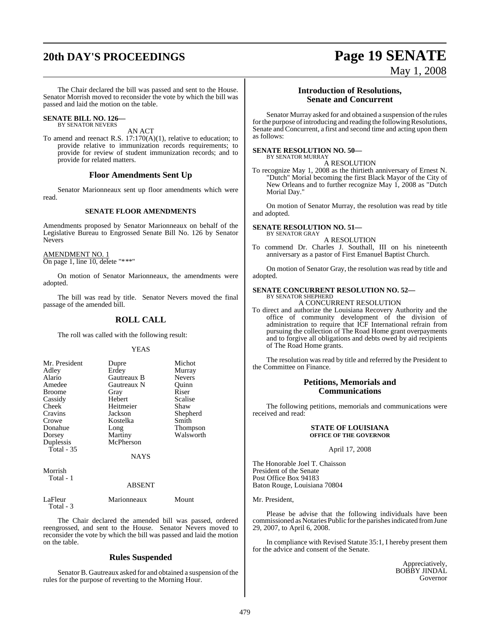The Chair declared the bill was passed and sent to the House. Senator Morrish moved to reconsider the vote by which the bill was passed and laid the motion on the table.

#### **SENATE BILL NO. 126—** BY SENATOR NEVERS

AN ACT

To amend and reenact R.S. 17:170(A)(1), relative to education; to provide relative to immunization records requirements; to provide for review of student immunization records; and to provide for related matters.

### **Floor Amendments Sent Up**

Senator Marionneaux sent up floor amendments which were read.

#### **SENATE FLOOR AMENDMENTS**

Amendments proposed by Senator Marionneaux on behalf of the Legislative Bureau to Engrossed Senate Bill No. 126 by Senator Nevers

AMENDMENT NO. 1 On page 1, line 10, delete "\*\*\*"

On motion of Senator Marionneaux, the amendments were adopted.

The bill was read by title. Senator Nevers moved the final passage of the amended bill.

### **ROLL CALL**

The roll was called with the following result:

#### YEAS

| Mr. President<br>Adley | Dupre<br>Erdey | Michot<br>Murray |
|------------------------|----------------|------------------|
| Alario                 | Gautreaux B    | <b>Nevers</b>    |
| Amedee                 | Gautreaux N    | Ouinn            |
| <b>Broome</b>          | Gray           | Riser            |
| Cassidy                | Hebert         | Scalise          |
| Cheek                  | Heitmeier      | Shaw             |
| Cravins                | Jackson        | Shepherd         |
| Crowe                  | Kostelka       | Smith            |
| Donahue                | Long           | <b>Thompson</b>  |
| Dorsey                 | Martiny        | Walsworth        |
| Duplessis              | McPherson      |                  |
| Total - 35             |                |                  |
|                        | <b>NAYS</b>    |                  |

Morrish Total - 1

#### ABSENT

LaFleur Marionneaux Mount Total - 3

The Chair declared the amended bill was passed, ordered reengrossed, and sent to the House. Senator Nevers moved to reconsider the vote by which the bill was passed and laid the motion on the table.

#### **Rules Suspended**

Senator B. Gautreaux asked for and obtained a suspension of the rules for the purpose of reverting to the Morning Hour.

## **Introduction of Resolutions, Senate and Concurrent**

Senator Murray asked for and obtained a suspension of the rules for the purpose of introducing and reading the following Resolutions, Senate and Concurrent, a first and second time and acting upon them as follows:

#### **SENATE RESOLUTION NO. 50—** BY SENATOR MURRAY

A RESOLUTION

To recognize May 1, 2008 as the thirtieth anniversary of Ernest N. "Dutch" Morial becoming the first Black Mayor of the City of New Orleans and to further recognize May 1, 2008 as "Dutch Morial Day."

On motion of Senator Murray, the resolution was read by title and adopted.

#### **SENATE RESOLUTION NO. 51—** BY SENATOR GRAY

A RESOLUTION

To commend Dr. Charles J. Southall, III on his nineteenth anniversary as a pastor of First Emanuel Baptist Church.

On motion of Senator Gray, the resolution was read by title and adopted.

#### **SENATE CONCURRENT RESOLUTION NO. 52—** BY SENATOR SHEPHERD

A CONCURRENT RESOLUTION

To direct and authorize the Louisiana Recovery Authority and the office of community development of the division of administration to require that ICF International refrain from pursuing the collection of The Road Home grant overpayments and to forgive all obligations and debts owed by aid recipients of The Road Home grants.

The resolution was read by title and referred by the President to the Committee on Finance.

### **Petitions, Memorials and Communications**

The following petitions, memorials and communications were received and read:

#### **STATE OF LOUISIANA OFFICE OF THE GOVERNOR**

April 17, 2008

The Honorable Joel T. Chaisson President of the Senate Post Office Box 94183 Baton Rouge, Louisiana 70804

Mr. President,

Please be advise that the following individuals have been commissioned as Notaries Public forthe parishesindicated fromJune 29, 2007, to April 6, 2008.

In compliance with Revised Statute 35:1, I hereby present them for the advice and consent of the Senate.

> Appreciatively, BOBBY JINDAL Governor

# **20th DAY'S PROCEEDINGS Page 19 SENATE** May 1, 2008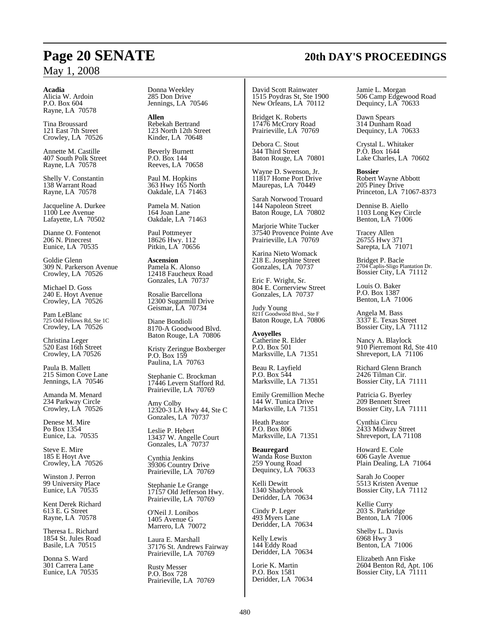#### **Acadia**

Alicia W. Ardoin P.O. Box 604 Rayne, LA 70578

Tina Broussard 121 East 7th Street Crowley, LA 70526

Annette M. Castille 407 South Polk Street Rayne, LA 70578

Shelly V. Constantin 138 Warrant Road Rayne, LA 70578

Jacqueline A. Durkee 1100 Lee Avenue Lafayette, LA 70502

Dianne O. Fontenot 206 N. Pinecrest Eunice, LA 70535

Goldie Glenn 309 N. Parkerson Avenue Crowley, LA 70526

Michael D. Goss 240 E. Hoyt Avenue Crowley, LA 70526

Pam LeBlanc 725 Odd Fellows Rd, Ste 1C Crowley, LA 70526

Christina Leger 520 East 16th Street Crowley, LA 70526

Paula B. Mallett 215 Simon Cove Lane Jennings, LA 70546

Amanda M. Menard 234 Parkway Circle Crowley, LA 70526

Denese M. Mire Po Box 1354 Eunice, La. 70535

Steve E. Mire 185 E Hoyt Ave Crowley, LA 70526

Winston J. Perron 99 University Place Eunice, LA 70535

Kent Derek Richard 613 E. G Street Rayne, LA 70578

Theresa L. Richard 1854 St. Jules Road Basile, LA 70515

Donna S. Ward 301 Carrera Lane Eunice, LA 70535 Donna Weekley 285 Don Drive Jennings, LA 70546

**Allen** Rebekah Bertrand 123 North 12th Street Kinder, LA 70648

Beverly Burnett P.O. Box 144 Reeves, LA 70658

Paul M. Hopkins 363 Hwy 165 North Oakdale, LA 71463

Pamela M. Nation 164 Joan Lane Oakdale, LA 71463

Paul Pottmeyer 18626 Hwy. 112 Pitkin, LA 70656

**Ascension** Pamela K. Alonso 12418 Faucheux Road Gonzales, LA 70737

Rosalie Barcellona 12300 Sugarmill Drive Geismar, LA 70734

Diane Bondioli 8170-A Goodwood Blvd. Baton Rouge, LA 70806

Kristy Zeringue Boxberger P.O. Box 159 Paulina, LA 70763

Stephanie C. Brockman 17446 Levern Stafford Rd. Prairieville, LA 70769

Amy Colby 12320-3 LA Hwy 44, Ste C Gonzales, LA 70737

Leslie P. Hebert 13437 W. Angelle Court Gonzales, LA 70737

Cynthia Jenkins 39306 Country Drive Prairieville, LA 70769

Stephanie Le Grange 17157 Old Jefferson Hwy. Prairieville, LA 70769

O'Neil J. Lonibos 1405 Avenue G Marrero, LA 70072

Laura E. Marshall 37176 St. Andrews Fairway Prairieville, LA 70769

Rusty Messer P.O. Box 728 Prairieville, LA 70769

David Scott Rainwater 1515 Poydras St, Ste 1900 New Orleans, LA 70112

Bridget K. Roberts 17476 McCrory Road Prairieville, LA 70769

Debora C. Stout 344 Third Street Baton Rouge, LA 70801

Wayne D. Swenson, Jr. 11817 Home Port Drive Maurepas, LA 70449

Sarah Norwood Trouard 144 Napoleon Street Baton Rouge, LA 70802

Marjorie White Tucker 37540 Provence Pointe Ave Prairieville, LA 70769

Karina Nieto Womack 218 E. Josephine Street Gonzales, LA 70737

Eric F. Wright, Sr. 804 E. Cornerview Street Gonzales, LA 70737

Judy Young 8211 Goodwood Blvd., Ste F Baton Rouge, LA 70806

**Avoyelles** Catherine R. Elder P.O. Box 501 Marksville, LA 71351

Beau R. Layfield P.O. Box 544 Marksville, LA 71351

Emily Gremillion Meche 144 W. Tunica Drive Marksville, LA 71351

Heath Pastor P.O. Box 806 Marksville, LA 71351

**Beauregard** Wanda Rose Buxton 259 Young Road Dequincy, LA 70633

Kelli Dewitt 1340 Shadybrook Deridder, LA 70634

Cindy P. Leger 493 Myers Lane Deridder, LA 70634

Kelly Lewis 144 Eddy Road Deridder, LA 70634

Lorie K. Martin P.O. Box 1581 Deridder, LA 70634 Jamie L. Morgan 506 Camp Edgewood Road Dequincy, LA 70633

Dawn Spears 314 Dunham Road Dequincy, LA 70633

Crystal L. Whitaker P.O. Box 1644 Lake Charles, LA 70602

**Bossier** Robert Wayne Abbott 205 Piney Drive Princeton, LA 71067-8373

Dennise B. Aiello 1103 Long Key Circle Benton, LA 71006

Tracey Allen 26755 Hwy 371 Sarepta, LA 71071

Bridget P. Bacle 2704 Caplis-Sligo Plantation Dr. Bossier City, LA 71112

Louis O. Baker P.O. Box 1387 Benton, LA 71006

Angela M. Bass 3337 E. Texas Street Bossier City, LA 71112

Nancy A. Blaylock 910 Pierremont Rd, Ste 410 Shreveport, LA 71106

Richard Glenn Branch 2426 Tilman Cir. Bossier City, LA 71111

Patricia G. Byerley 209 Bennett Street Bossier City, LA 71111

Cynthia Circu 2433 Midway Street Shreveport, LA 71108

Howard E. Cole 606 Gayle Avenue Plain Dealing, LA 71064

Sarah Jo Cooper 5513 Kristen Avenue Bossier City, LA 71112

Kellie Curry 203 S. Parkridge Benton, LA 71006

Shelby L. Davis 6968 Hwy 3 Benton, LA 71006

Elizabeth Ann Fiske 2604 Benton Rd, Apt. 106 Bossier City, LA 71111

# **Page 20 SENATE 20th DAY'S PROCEEDINGS**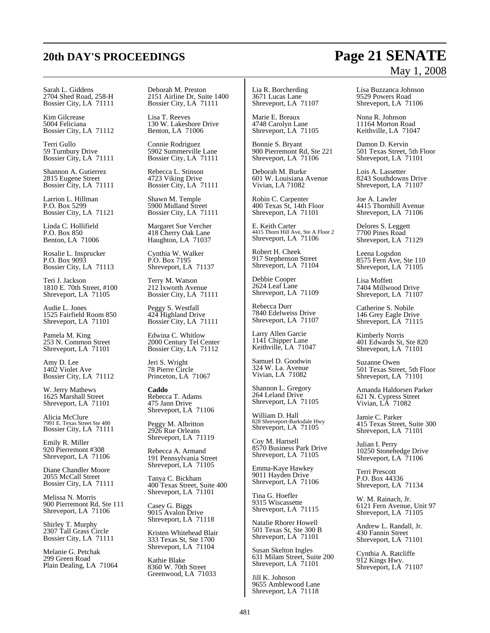# **20th DAY'S PROCEEDINGS Page 21 SENATE**

#### Sarah L. Giddens 2704 Shed Road, 258-H Bossier City, LA 71111

Kim Gilcrease 5004 Feliciana Bossier City, LA 71112

Terri Gullo 59 Turnbury Drive Bossier City, LA 71111

Shannon A. Gutierrez 2815 Eugene Street Bossier City, LA 71111

Larrion L. Hillman P.O. Box 5299 Bossier City, LA 71121

Linda C. Hollifield P.O. Box 850 Benton, LA 71006

Rosalie L. Insprucker P.O. Box 9093 Bossier City, LA 71113

Teri J. Jackson 1810 E. 70th Street, #100 Shreveport, LA 71105

Audie L. Jones 1525 Fairfield Room 850 Shreveport, LA 71101

Pamela M. King 253 N. Common Street Shreveport, LA 71101

Amy D. Lee 1402 Violet Ave Bossier City, LA 71112

W. Jerry Mathews 1625 Marshall Street Shreveport, LA 71101

Alicia McClure 7991 E. Texas Street Ste 400 Bossier City, LA 71111

Emily R. Miller 920 Pierremont #308 Shreveport, LA 71106

Diane Chandler Moore 2055 McCall Street Bossier City, LA 71111

Melissa N. Morris 900 Pierremont Rd, Ste 111 Shreveport, LA 71106

Shirley T. Murphy 2307 Tall Grass Circle Bossier City, LA 71111

Melanie G. Petchak 299 Green Road Plain Dealing, LA 71064 Deborah M. Preston 2151 Airline Dr, Suite 1400 Bossier City, LA 71111

Lisa T. Reeves 130 W. Lakeshore Drive Benton, LA 71006

Connie Rodriguez 5902 Summerville Lane Bossier City, LA 71111

Rebecca L. Stinson 4723 Viking Drive Bossier City, LA 71111

Shawn M. Temple 5900 Midland Street Bossier City, LA 71111

Margaret Sue Vercher 418 Cherry Oak Lane Haughton, LA 71037

Cynthia W. Walker P.O. Box 7195 Shreveport, LA 71137

Terry M. Watson 212 Ixworth Avenue Bossier City, LA 71111

Peggy S. Westfall 424 Highland Drive Bossier City, LA 71111

Edwina C. Whitlow 2000 Century Tel Center Bossier City, LA 71112

Jeri S. Wright 78 Pierre Circle Princeton, LA 71067

**Caddo** Rebecca T. Adams 475 Jann Drive Shreveport, LA 71106

Peggy M. Albritton 2926 Rue Orleans Shreveport, LA 71119

Rebecca A. Armand 191 Pennsylvania Street Shreveport, LA 71105

Tanya C. Bickham 400 Texas Street, Suite 400 Shreveport, LA 71101

Casey G. Biggs 9015 Avalon Drive Shreveport, LA 71118

Kristen Whitehead Blair 333 Texas St, Ste 1700 Shreveport, LA 71104

Kathie Blake 8360 W. 70th Street Greenwood, LA 71033

Lia R. Borcherding 3671 Lucas Lane Shreveport, LA 71107

Marie E. Breaux 4748 Carolyn Lane Shreveport, LA 71105

Bonnie S. Bryant 900 Pierremont Rd, Ste 221 Shreveport, LA 71106

Deborah M. Burke 601 W. Louisiana Avenue Vivian, LA 71082

Robin C. Carpenter 400 Texas St, 14th Floor Shreveport, LA 71101

E. Keith Carter 4415 Thorn Hill Ave, Ste A Floor 2 Shreveport, LA 71106

Robert H. Cheek 917 Stephenson Street Shreveport, LA 71104

Debbie Cooper 2624 Leaf Lane Shreveport, LA 71109

Rebecca Durr 7840 Edelweiss Drive Shreveport, LA 71107

Larry Allen Garcie 1141 Chipper Lane Keithville, LA 71047

Samuel D. Goodwin 324 W. La. Avenue Vivian, LA 71082

Shannon L. Gregory 264 Leland Drive Shreveport, LA 71105

William D. Hall 828 Shreveport-Barksdale Hwy Shreveport, LA 71105

Coy M. Hartsell 8570 Business Park Drive Shreveport, LA 71105

Emma-Kaye Hawkey 9011 Hayden Drive Shreveport, LA 71106

Tina G. Hoefler 9315 Wiscassette Shreveport, LA 71115

Natalie Rhorer Howell 501 Texas St, Ste 300 B Shreveport, LA 71101

Susan Skelton Ingles 631 Milam Street, Suite 200 Shreveport, LA 71101

Jill K. Johnson 9655 Amblewood Lane Shreveport, LA 71118

Lisa Buzzanca Johnson 9529 Powers Road Shreveport, LA 71106

Nona R. Johnson 11164 Morton Road Keithville, LA 71047

Damon D. Kervin 501 Texas Street, 5th Floor Shreveport, LA 71101

Lois A. Lassetter 8243 Southdowns Drive Shreveport, LA 71107

Joe A. Lawler 4415 Thornhill Avenue Shreveport, LA 71106

Delores S. Leggett 7700 Pines Road Shreveport, LA 71129

Leena Logsdon 8575 Fern Ave, Ste 110 Shreveport, LA 71105

Lisa Moffett 7404 Millwood Drive Shreveport, LA 71107

Catherine S. Nobile 146 Grey Eagle Drive Shreveport, LA 71115

Kimberly Norris 401 Edwards St, Ste 820 Shreveport, LA 71101

Suzanne Owen 501 Texas Street, 5th Floor Shreveport, LA 71101

Amanda Haldorsen Parker 621 N. Cypress Street Vivian, LA 71082

Jamie C. Parker 415 Texas Street, Suite 300 Shreveport, LA 71101

Julian I. Perry 10250 Stonehedge Drive Shreveport, LA 71106

Terri Prescott P.O. Box 44336 Shreveport, LA 71134

W. M. Rainach, Jr. 6121 Fern Avenue, Unit 97 Shreveport, LA  $71105$ 

Andrew L. Randall, Jr. 430 Fannin Street Shreveport, LA 71101

Cynthia A. Ratcliffe 912 Kings Hwy. Shreveport, LÁ 71107

# May 1, 2008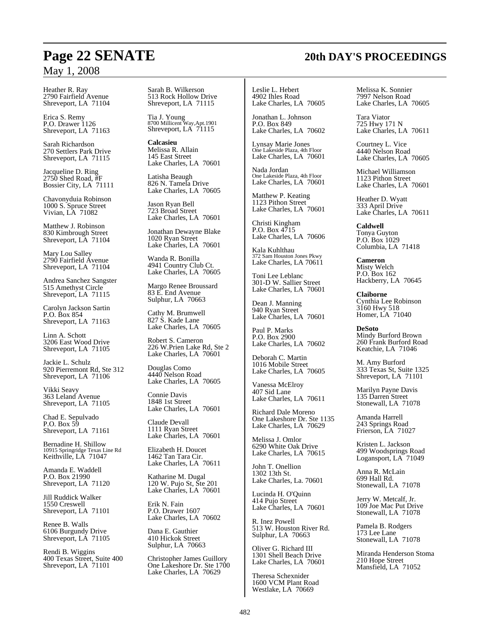Heather R. Ray 2790 Fairfield Avenue Shreveport, LA 71104

Erica S. Remy P.O. Drawer 1126 Shreveport, LA 71163

Sarah Richardson 270 Settlers Park Drive Shreveport, LA 71115

Jacqueline D. Ring 2750 Shed Road, #F Bossier City, LA 71111

Chavonyduia Robinson 1000 S. Spruce Street Vivian, LA 71082

Matthew J. Robinson 830 Kimbrough Street Shreveport, LA 71104

Mary Lou Salley 2790 Fairfield Avenue Shreveport, LA 71104

Andrea Sanchez Sangster 515 Amethyst Circle Shreveport, LA 71115

Carolyn Jackson Sartin P.O. Box 854 Shreveport, LA 71163

Linn A. Schott 3206 East Wood Drive Shreveport, LA 71105

Jackie L. Schulz 920 Pierremont Rd, Ste 312 Shreveport, LA 71106

Vikki Seavy 363 Leland Avenue Shreveport, LA 71105

Chad E. Sepulvado P.O. Box 59 Shreveport, LA 71161

Bernadine H. Shillow 10915 Springridge Texas Line Rd Keithville, LA 71047

Amanda E. Waddell P.O. Box 21990 Shreveport, LA 71120

Jill Ruddick Walker 1550 Creswell Shreveport, LA 71101

Renee B. Walls 6106 Burgundy Drive Shreveport, LA 71105

Rendi B. Wiggins 400 Texas Street, Suite 400 Shreveport, LA  $71101$ 

Sarah B. Wilkerson 513 Rock Hollow Drive Shreveport, LA 71115

Tia J. Young 8700 Millicent Way,Apt.1901 Shreveport, LA 71115

**Calcasieu** Melissa R. Allain 145 East Street Lake Charles, LA 70601

Latisha Beaugh 826 N. Tamela Drive Lake Charles, LA 70605

Jason Ryan Bell 723 Broad Street Lake Charles, LA 70601

Jonathan Dewayne Blake 1020 Ryan Street Lake Charles, LA 70601

Wanda R. Bonilla 4941 Country Club Ct. Lake Charles, LA 70605

Margo Renee Broussard 83 E. End Avenue Sulphur, LA 70663

Cathy M. Brumwell 827 S. Kade Lane Lake Charles, LA 70605

Robert S. Cameron 226 W.Prien Lake Rd, Ste 2 Lake Charles, LA 70601

Douglas Como 4440 Nelson Road Lake Charles, LA 70605

Connie Davis 1848 1st Street Lake Charles, LA 70601

Claude Devall 1111 Ryan Street Lake Charles, LA 70601

Elizabeth H. Doucet 1462 Tan Tara Cir. Lake Charles, LA 70611

Katharine M. Dugal 120 W. Pujo St, Ste 201 Lake Charles, LA 70601

Erik N. Fain P.O. Drawer 1607 Lake Charles, LA 70602

Dana E. Gauthier 410 Hickok Street Sulphur, LA 70663

Christopher James Guillory One Lakeshore Dr. Ste 1700 Lake Charles, LA 70629

Leslie L. Hebert 4902 Ihles Road Lake Charles, LA 70605

Jonathan L. Johnson P.O. Box 849 Lake Charles, LA 70602

Lynsay Marie Jones One Lakeside Plaza, 4th Floor Lake Charles, LA 70601

Nada Jordan One Lakeside Plaza, 4th Floor Lake Charles, LA 70601

Matthew P. Keating 1123 Pithon Street Lake Charles, LA 70601

Christi Kingham P.O. Box 4715 Lake Charles, LA 70606

Kala Kuhlthau 372 Sam Houston Jones Pkwy Lake Charles, LA 70611

Toni Lee Leblanc 301-D W. Sallier Street Lake Charles, LA 70601

Dean J. Manning 940 Ryan Street Lake Charles, LA 70601

Paul P. Marks P.O. Box 2900 Lake Charles, LA 70602

Deborah C. Martin 1016 Mobile Street Lake Charles, LA 70605

Vanessa McElroy 407 Sid Lane Lake Charles, LA 70611

Richard Dale Moreno One Lakeshore Dr. Ste 1135 Lake Charles, LA 70629

Melissa J. Omlor 6290 White Oak Drive Lake Charles, LA 70615

John T. Onellion 1302 13th St. Lake Charles, La. 70601

Lucinda H. O'Quinn 414 Pujo Street Lake Charles, LA 70601

R. Inez Powell 513 W. Houston River Rd. Sulphur, LA 70663

Oliver G. Richard III 1301 Shell Beach Drive Lake Charles, LA 70601

Theresa Schexnider 1600 VCM Plant Road Westlake, LA 70669

Melissa K. Sonnier 7997 Nelson Road Lake Charles, LA 70605

Tara Viator 725 Hwy 171 N Lake Charles, LA 70611

Courtney L. Vice 4440 Nelson Road Lake Charles, LA 70605

Michael Williamson 1123 Pithon Street Lake Charles, LA 70601

Heather D. Wyatt 333 April Drive Lake Charles, LA 70611

**Caldwell** Tonya Guyton P.O. Box 1029 Columbia, LA 71418

**Cameron** Misty Welch P.O. Box 162 Hackberry, LA 70645

**Claiborne** Cynthia Lee Robinson 3160 Hwy 518 Homer, LA 71040

**DeSoto** Mindy Burford Brown 260 Frank Burford Road Keatchie, LA 71046

M. Amy Burford 333 Texas St, Suite 1325 Shreveport, LA 71101

Marilyn Payne Davis 135 Darren Street Stonewall, LA 71078

Amanda Harrell 243 Springs Road Frierson, LA 71027

Kristen L. Jackson 499 Woodsprings Road Logansport, LA 71049

Anna R. McLain 699 Hall Rd. Stonewall, LA 71078

Jerry W. Metcalf, Jr. 109 Joe Mac Put Drive Stonewall, LA 71078

Pamela B. Rodgers 173 Lee Lane Stonewall, LA 71078

Miranda Henderson Stoma 210 Hope Street Mansfield, LA 71052

# **Page 22 SENATE 20th DAY'S PROCEEDINGS**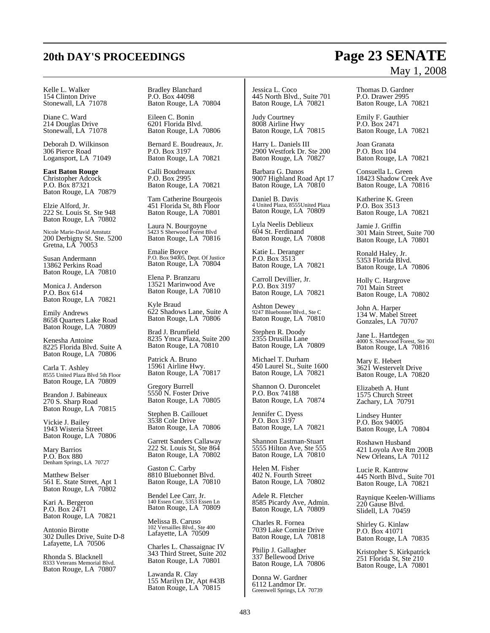# **20th DAY'S PROCEEDINGS Page 23 SENATE**

#### Kelle L. Walker 154 Clinton Drive Stonewall, LA 71078

Diane C. Ward 214 Douglas Drive Stonewall, LA 71078

Deborah D. Wilkinson 306 Pierce Road Logansport, LA 71049

**East Baton Rouge** Christopher Adcock P.O. Box 87321 Baton Rouge, LA 70879

Elzie Alford, Jr. 222 St. Louis St. Ste 948 Baton Rouge, LA 70802

Nicole Marie-David Amstutz 200 Derbigny St. Ste. 5200 Gretna, LA 70053

Susan Andermann 13862 Perkins Road Baton Rouge, LA 70810

Monica J. Anderson P.O. Box 614 Baton Rouge, LA 70821

Emily Andrews 8658 Quarters Lake Road Baton Rouge, LA 70809

Kenesha Antoine 8225 Florida Blvd. Suite A Baton Rouge, LA 70806

Carla T. Ashley 8555 United Plaza Blvd 5th Floor Baton Rouge, LA 70809

Brandon J. Babineaux 270 S. Sharp Road Baton Rouge, LA 70815

Vickie J. Bailey 1943 Wisteria Street Baton Rouge, LA 70806

Mary Barrios P.O. Box 880 Denham Springs, LA 70727

Matthew Belser 561 E. State Street, Apt 1 Baton Rouge, LA 70802

Kari A. Bergeron P.O. Box 2471 Baton Rouge, LA 70821

Antonio Birotte 302 Dulles Drive, Suite D-8 Lafayette, LA 70506

Rhonda S. Blacknell 8333 Veterans Memorial Blvd. Baton Rouge, LA 70807 Bradley Blanchard P.O. Box 44098 Baton Rouge, LA 70804

Eileen C. Bonin 6201 Florida Blvd. Baton Rouge, LA 70806

Bernard E. Boudreaux, Jr. P.O. Box 3197 Baton Rouge, LA 70821

Calli Boudreaux P.O. Box 2995 Baton Rouge, LA 70821

Tam Catherine Bourgeois 451 Florida St, 8th Floor Baton Rouge, LA 70801

Laura N. Bourgoyne 5423 S Sherwood Forest Blvd Baton Rouge, LA 70816

Emalie Boyce P.O. Box 94005, Dept. Of Justice Baton Rouge, LA 70804

Elena P. Branzaru 13521 Marinwood Ave Baton Rouge, LA 70810

Kyle Braud 622 Shadows Lane, Suite A Baton Rouge, LA 70806

Brad J. Brumfield 8235 Ymca Plaza, Suite 200 Baton Rouge, LA 70810

Patrick A. Bruno 15961 Airline Hwy. Baton Rouge, LA 70817

Gregory Burrell 5550 N. Foster Drive Baton Rouge, LA 70805

Stephen B. Caillouet 3538 Cole Drive Baton Rouge, LA 70806

Garrett Sanders Callaway 222 St. Louis St, Ste 864 Baton Rouge, LA 70802

Gaston C. Carby 8810 Bluebonnet Blvd. Baton Rouge, LA 70810

Bendel Lee Carr, Jr. 140 Essen Cntr, 5353 Essen Ln Baton Rouge, LA 70809

Melissa B. Caruso 102 Versailles Blvd., Ste 400 Lafayette, LA 70509

Charles L. Chassaignac IV 343 Third Street, Suite 202 Baton Rouge, LA 70801

Lawanda R. Clay 155 Marilyn Dr, Apt #43B Baton Rouge, LA 70815

Jessica L. Coco 445 North Blvd., Suite 701 Baton Rouge, LA 70821

Judy Courtney 8008 Airline Hwy Baton Rouge, LA 70815

Harry L. Daniels III 2900 Westfork Dr. Ste 200 Baton Rouge, LA 70827

Barbara G. Danos 9007 Highland Road Apt 17 Baton Rouge, LA 70810

Daniel B. Davis 4 United Plaza, 8555United Plaza Baton Rouge, LA 70809

Lyla Neelis Deblieux 604 St. Ferdinand Baton Rouge, LA 70808

Katie L. Deranger P.O. Box 3513 Baton Rouge, LA 70821

Carroll Devillier, Jr. P.O. Box 3197 Baton Rouge, LA 70821

Ashton Dewey 9247 Bluebonnet Blvd., Ste C Baton Rouge, LA 70810

Stephen R. Doody 2355 Drusilla Lane Baton Rouge, LA 70809

Michael T. Durham 450 Laurel St., Suite 1600 Baton Rouge, LA 70821

Shannon O. Duroncelet P.O. Box 74188 Baton Rouge, LA 70874

Jennifer C. Dyess P.O. Box 3197 Baton Rouge, LA 70821

Shannon Eastman-Stuart 5555 Hilton Ave, Ste 555 Baton Rouge, LA 70810

Helen M. Fisher 402 N. Fourth Street Baton Rouge, LA 70802

Adele R. Fletcher 8585 Picardy Ave, Admin. Baton Rouge, LA 70809

Charles R. Fornea 7039 Lake Comite Drive Baton Rouge, LA 70818

Philip J. Gallagher 337 Bellewood Drive Baton Rouge, LA 70806

Donna W. Gardner 6112 Landmor Dr. Greenwell Springs, LA 70739

# May 1, 2008

Thomas D. Gardner P.O. Drawer 2995 Baton Rouge, LA 70821

Emily F. Gauthier P.O. Box 2471 Baton Rouge, LA 70821

Joan Granata P.O. Box 104 Baton Rouge, LA 70821

Consuella L. Green 18423 Shadow Creek Ave Baton Rouge, LA 70816

Katherine K. Green P.O. Box 3513 Baton Rouge, LA 70821

Jamie J. Griffin 301 Main Street, Suite 700 Baton Rouge, LA 70801

Ronald Haley, Jr. 5353 Florida Blvd. Baton Rouge, LA 70806

Holly C. Hargrove 701 Main Street Baton Rouge, LA 70802

John A. Harper 134 W. Mabel Street Gonzales, LA 70707

Jane L. Hartdegen 4000 S. Sherwood Forest, Ste 301 Baton Rouge, LA 70816

Mary E. Hebert 3621 Westervelt Drive Baton Rouge, LA 70820

Elizabeth A. Hunt 1575 Church Street Zachary, LA 70791

Lindsey Hunter P.O. Box 94005 Baton Rouge, LA 70804

Roshawn Husband 421 Loyola Ave Rm 200B New Orleans, LA 70112

Lucie R. Kantrow 445 North Blvd., Suite 701 Baton Rouge, LA 70821

Raynique Keelen-Williams 220 Gause Blvd. Slidell, LA 70459

Shirley G. Kinlaw P.O. Box 41071 Baton Rouge, LA 70835

Kristopher S. Kirkpatrick 251 Florida St, Ste 210 Baton Rouge, LA 70801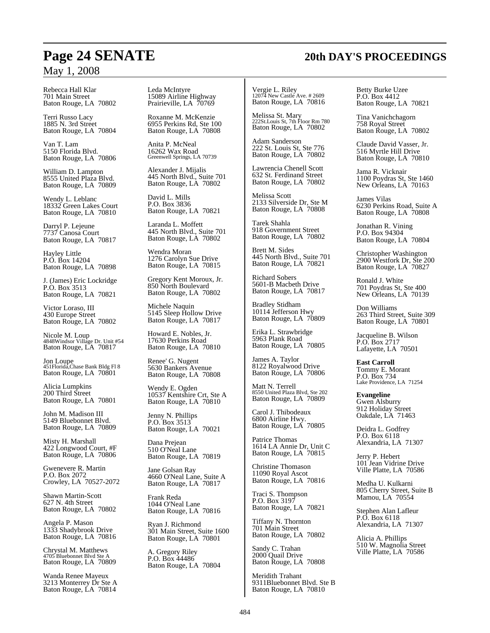Rebecca Hall Klar 701 Main Street Baton Rouge, LA 70802

Terri Russo Lacy 1885 N. 3rd Street Baton Rouge, LA 70804

Van T. Lam 5150 Florida Blvd. Baton Rouge, LA 70806

William D. Lampton 8555 United Plaza Blvd. Baton Rouge, LA 70809

Wendy L. Leblanc 18332 Green Lakes Court Baton Rouge, LA 70810

Darryl P. Lejeune 7737 Canosa Court Baton Rouge, LA 70817

Hayley Little P.O. Box 14204 Baton Rouge, LA 70898

J. (James) Eric Lockridge P.O. Box 3513 Baton Rouge, LA 70821

Victor Loraso, III 430 Europe Street Baton Rouge, LA 70802

Nicole M. Loup 4848Windsor Village Dr. Unit #54 Baton Rouge, LA 70817

Jon Loupe 451Florida,Chase Bank Bldg Fl 8 Baton Rouge, LA 70801

Alicia Lumpkins 200 Third Street Baton Rouge, LA 70801

John M. Madison III 5149 Bluebonnet Blvd. Baton Rouge, LA 70809

Misty H. Marshall 422 Longwood Court, #F Baton Rouge, LA 70806

Gwenevere R. Martin P.O. Box 2072 Crowley, LA 70527-2072

Shawn Martin-Scott 627 N. 4th Street Baton Rouge, LA 70802

Angela P. Mason 1333 Shadybrook Drive Baton Rouge, LA 70816

Chrystal M. Matthews 4705 Bluebonnet Blvd Ste A Baton Rouge, LA 70809

Wanda Renee Mayeux 3213 Monterrey Dr Ste A Baton Rouge, LA 70814

Leda McIntyre 15089 Airline Highway Prairieville, LA 70769

Roxanne M. McKenzie 6955 Perkins Rd, Ste 100 Baton Rouge, LA 70808

Anita P. McNeal 16262 Wax Road Greenwell Springs, LA 70739

Alexander J. Mijalis 445 North Blvd., Suite 701 Baton Rouge, LA 70802

David L. Mills P.O. Box 3836 Baton Rouge, LA 70821

Laranda L. Moffett 445 North Blvd., Suite 701 Baton Rouge, LA 70802

Wendra Moran 1276 Carolyn Sue Drive Baton Rouge, LA 70815

Gregory Kent Moroux, Jr. 850 North Boulevard Baton Rouge, LA 70802

Michele Naquin 5145 Sleep Hollow Drive Baton Rouge, LA 70817

Howard E. Nobles, Jr. 17630 Perkins Road Baton Rouge, LA 70810

Renee' G. Nugent 5630 Bankers Avenue Baton Rouge, LA 70808

Wendy E. Ogden 10537 Kentshire Crt, Ste A Baton Rouge, LA 70810

Jenny N. Phillips P.O. Box 3513 Baton Rouge, LA 70021

Dana Prejean 510 O'Neal Lane Baton Rouge, LA 70819

Jane Golsan Ray 4660 O'Neal Lane, Suite A Baton Rouge, LA 70817

Frank Reda 1044 O'Neal Lane Baton Rouge, LA 70816

Ryan J. Richmond 301 Main Street, Suite 1600 Baton Rouge, LA 70801

A. Gregory Riley P.O. Box 44486 Baton Rouge, LA 70804 Vergie L. Riley 12074 New Castle Ave. # 2609 Baton Rouge, LA 70816

Melissa St. Mary 222St.Louis St, 7th Floor Rm 780 Baton Rouge, LA 70802

Adam Sanderson 222 St. Louis St, Ste 776 Baton Rouge, LA 70802

Lawrencia Chenell Scott 632 St. Ferdinand Street Baton Rouge, LA 70802

Melissa Scott 2133 Silverside Dr, Ste M Baton Rouge, LA 70808

Tarek Shahla 918 Government Street Baton Rouge, LA 70802

Brett M. Sides 445 North Blvd., Suite 701 Baton Rouge, LA 70821

Richard Sobers 5601-B Macbeth Drive Baton Rouge, LA 70817

Bradley Stidham 10114 Jefferson Hwy Baton Rouge, LA 70809

Erika L. Strawbridge 5963 Plank Road Baton Rouge, LA 70805

James A. Taylor 8122 Royalwood Drive Baton Rouge, LA 70806

Matt N. Terrell 8550 United Plaza Blvd, Ste 202 Baton Rouge, LA 70809

Carol J. Thibodeaux 6800 Airline Hwy. Baton Rouge, LA 70805

Patrice Thomas 1614 LA Annie Dr, Unit C Baton Rouge, LA 70815

Christine Thomason 11090 Royal Ascot Baton Rouge, LA 70816

Traci S. Thompson P.O. Box 3197 Baton Rouge, LA 70821

Tiffany N. Thornton 701 Main Street Baton Rouge, LA 70802

Sandy C. Trahan 2000 Quail Drive Baton Rouge, LA 70808

Meridith Trahant 9311Bluebonnet Blvd. Ste B Baton Rouge, LA 70810

Betty Burke Uzee P.O. Box 4412 Baton Rouge, LA 70821

Tina Vanichchagorn 758 Royal Street Baton Rouge, LA 70802

Claude David Vasser, Jr. 516 Myrtle Hill Drive Baton Rouge, LA 70810

Jama R. Vicknair 1100 Poydras St, Ste 1460 New Orleans, LA 70163

James Vilas 6230 Perkins Road, Suite A Baton Rouge, LA 70808

Jonathan R. Vining P.O. Box 94304 Baton Rouge, LA 70804

Christopher Washington 2900 Westfork Dr, Ste 200 Baton Rouge, LA 70827

Ronald J. White 701 Poydras St, Ste 400 New Orleans, LA 70139

Don Williams 263 Third Street, Suite 309 Baton Rouge, LA 70801

Jacqueline B. Wilson P.O. Box 2717 Lafayette, LA 70501

**East Carroll** Tommy E. Morant P.O. Box 734 Lake Providence, LA 71254

**Evangeline** Gwen Alsburry 912 Holiday Street Oakdale, LA 71463

Deidra L. Godfrey P.O. Box 6118 Alexandria, LA 71307

Jerry P. Hebert 101 Jean Vidrine Drive Ville Platte, LA 70586

Medha U. Kulkarni 805 Cherry Street, Suite B Mamou, LA 70554

Stephen Alan Lafleur P.O. Box 6118 Alexandria, LA 71307

Alicia A. Phillips 510 W. Magnolia Street Ville Platte, LA 70586

# **Page 24 SENATE 20th DAY'S PROCEEDINGS**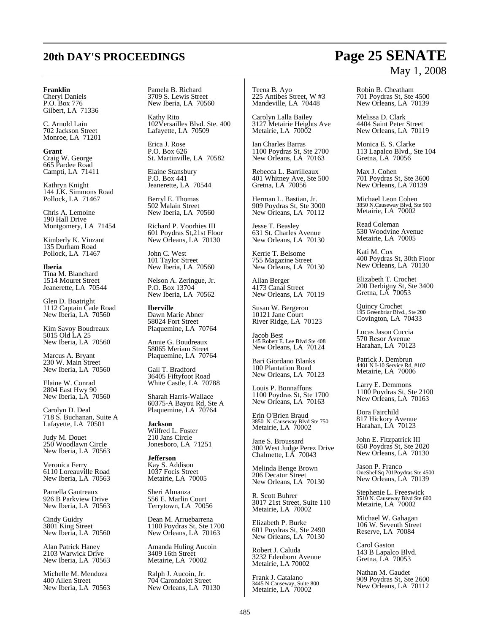#### **Franklin**

Cheryl Daniels P.O. Box 776 Gilbert, LA 71336

C. Arnold Lain 702 Jackson Street Monroe, LA 71201

**Grant** Craig W. George 665 Pardee Road Campti, LA 71411

Kathryn Knight 144 J.K. Simmons Road Pollock, LA 71467

Chris A. Lemoine 190 Hall Drive Montgomery, LA 71454

Kimberly K. Vinzant 135 Durham Road Pollock, LA 71467

**Iberia** Tina M. Blanchard 1514 Mouret Street Jeanerette, LA 70544

Glen D. Boatright 1112 Captain Cade Road New Iberia, LA 70560

Kim Savoy Boudreaux 5015 Old LA 25 New Iberia, LA 70560

Marcus A. Bryant 230 W. Main Street New Iberia, LA 70560

Elaine W. Conrad 2804 East Hwy 90 New Iberia, LA 70560

Carolyn D. Deal 718 S. Buchanan, Suite A Lafayette, LA 70501

Judy M. Douet 250 Woodlawn Circle New Iberia, LA 70563

Veronica Ferry 6110 Loreauville Road New Iberia, LA 70563

Pamella Gautreaux 926 B Parkview Drive New Iberia, LA 70563

Cindy Guidry 3801 King Street New Iberia, LA 70560

Alan Patrick Haney 2103 Warwick Drive New Iberia, LA 70563

Michelle M. Mendoza 400 Allen Street New Iberia, LA 70563 Pamela B. Richard 3709 S. Lewis Street New Iberia, LA 70560

Kathy Rito 102Versailles Blvd. Ste. 400 Lafayette, LA 70509

Erica J. Rose P.O. Box 626 St. Martinville, LA 70582

Elaine Stansbury P.O. Box 441 Jeanerette, LA 70544

Berryl E. Thomas 502 Malain Street New Iberia, LA 70560

Richard P. Voorhies III 601 Poydras St,21st Floor New Orleans, LA 70130

John C. West 101 Taylor Street New Iberia, LA 70560

Nelson A. Zeringue, Jr. P.O. Box 13704 New Iberia, LA 70562

**Iberville** Dawn Marie Abner 58024 Fort Street Plaquemine, LA 70764

Annie G. Boudreaux 58065 Meriam Street Plaquemine, LA 70764

Gail T. Bradford 36405 Fiftyfoot Road White Castle, LA 70788

Sharah Harris-Wallace 60375-A Bayou Rd, Ste A Plaquemine, LA 70764

**Jackson** Wilfred L. Foster 210 Jans Circle Jonesboro, LA 71251

**Jefferson** Kay S. Addison 1037 Focis Street Metairie, LA 70005

Sheri Almanza 556 E. Marlin Court Terrytown, LA 70056

Dean M. Arruebarrena 1100 Poydras St, Ste 1700 New Orleans, LA 70163

Amanda Huling Aucoin 3409 16th Street Metairie, LA 70002

Ralph J. Aucoin, Jr. 704 Carondolet Street New Orleans, LA 70130

Teena B. Ayo 225 Antibes Street, W #3 Mandeville, LA 70448

Carolyn Lalla Bailey 3127 Metairie Heights Ave Metairie, LA 70002

Ian Charles Barras 1100 Poydras St, Ste 2700 New Orleans, LA 70163

Rebecca L. Barrilleaux 401 Whitney Ave, Ste 500 Gretna, LA 70056

Herman L. Bastian, Jr. 909 Poydras St, Ste 3000 New Orleans, LA 70112

Jesse T. Beasley 631 St. Charles Avenue New Orleans, LA 70130

Kerrie T. Belsome 755 Magazine Street New Orleans, LA 70130

Allan Berger 4173 Canal Street New Orleans, LA 70119

Susan W. Bergeron 10121 Jane Court River Ridge, LA 70123

Jacob Best 145 Robert E. Lee Blvd Ste 408 New Orleans, LA 70124

Bari Giordano Blanks 100 Plantation Road New Orleans, LA 70123

Louis P. Bonnaffons 1100 Poydras St, Ste 1700 New Orleans, LA 70163

Erin O'Brien Braud 3850 N. Causeway Blvd Ste 750 Metairie, LA 70002

Jane S. Broussard 300 West Judge Perez Drive Chalmette, LA 70043

Melinda Benge Brown 206 Decatur Street New Orleans, LA 70130

R. Scott Buhrer 3017 21st Street, Suite 110 Metairie, LA 70002

Elizabeth P. Burke 601 Poydras St, Ste 2490 New Orleans, LA 70130

Robert J. Caluda 3232 Edenborn Avenue Metairie, LA 70002

Frank J. Catalano 3445 N.Causeway, Suite 800 Metairie, LA 70002 Robin B. Cheatham 701 Poydras St, Ste 4500 New Orleans, LA 70139

Melissa D. Clark 4404 Saint Peter Street New Orleans, LA 70119

Monica E. S. Clarke 113 Lapalco Blvd., Ste 104 Gretna, LA 70056

Max J. Cohen 701 Poydras St, Ste 3600 New Orleans, LA 70139

Michael Leon Cohen 3850 N.Causeway Blvd, Ste 900 Metairie, LA 70002

Read Coleman 530 Woodvine Avenue Metairie, LA 70005

Kati M. Cox 400 Poydras St, 30th Floor New Orleans, LA 70130

Elizabeth T. Crochet 200 Derbigny St, Ste 3400 Gretna, LA 70053

Quincy Crochet 195 Greenbriar Blvd., Ste 200 Covington, LA 70433

Lucas Jason Cuccia 570 Resor Avenue Harahan, LA 70123

Patrick J. Dembrun 4401 N I-10 Service Rd, #102 Metairie, LA 70006

Larry E. Demmons 1100 Poydras St, Ste 2100 New Orleans, LA 70163

Dora Fairchild 817 Hickory Avenue Harahan, LA 70123

John E. Fitzpatrick III 650 Poydras St, Ste 2020 New Orleans, LA 70130

Jason P. Franco OneShellSq 701Poydras Ste 4500 New Orleans, LA 70139

Stephenie L. Freeswick 3510 N. Causeway Blvd Ste 600 Metairie, LA 70002

Michael W. Gahagan 106 W. Seventh Street Reserve, LA 70084

Carol Gaston 143 B Lapalco Blvd. Gretna, LA 70053

Nathan M. Gaudet 909 Poydras St, Ste 2600 New Orleans, LA 70112

# **20th DAY'S PROCEEDINGS Page 25 SENATE** May 1, 2008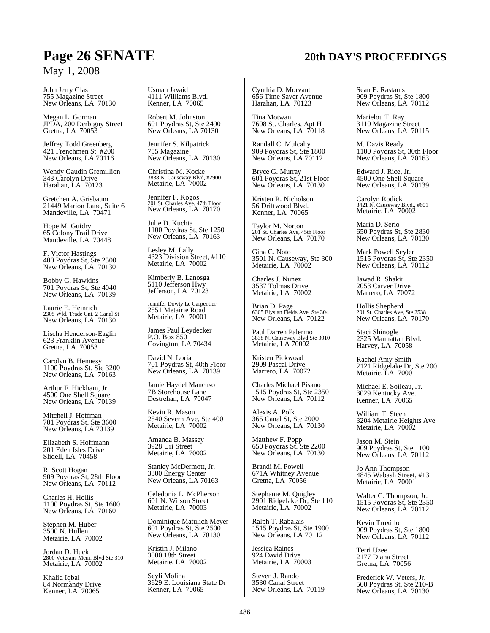John Jerry Glas 755 Magazine Street New Orleans, LA 70130

Megan L. Gorman JPDA, 200 Derbigny Street Gretna, LA 70053

Jeffrey Todd Greenberg 421 Frenchmen St #200 New Orleans, LA 70116

Wendy Gaudin Gremillion 343 Carolyn Drive Harahan, LA 70123

Gretchen A. Grisbaum 21449 Marion Lane, Suite 6 Mandeville, LA 70471

Hope M. Guidry 65 Colony Trail Drive Mandeville, LA 70448

F. Victor Hastings 400 Poydras St, Ste 2500 New Orleans, LA 70130

Bobby G. Hawkins 701 Poydras St, Ste 4040 New Orleans, LA 70139

Laurie E. Heinrich 2305 Wld. Trade Cnt. 2 Canal St New Orleans, LA 70130

Lischa Henderson-Eaglin 623 Franklin Avenue Gretna, LA 70053

Carolyn B. Hennesy 1100 Poydras St, Ste 3200 New Orleans, LA 70163

Arthur F. Hickham, Jr. 4500 One Shell Square New Orleans, LA 70139

Mitchell J. Hoffman 701 Poydras St. Ste 3600 New Orleans, LA 70139

Elizabeth S. Hoffmann 201 Eden Isles Drive Slidell, LA 70458

R. Scott Hogan 909 Poydras St, 28th Floor New Orleans, LA 70112

Charles H. Hollis 1100 Poydras St, Ste 1600 New Orleans, LA 70160

Stephen M. Huber 3500 N. Hullen Metairie, LA 70002

Jordan D. Huck 2800 Veterans Mem. Blvd Ste 310 Metairie, LA 70002

Khalid Iqbal 84 Normandy Drive Kenner, LA 70065

Usman Javaid 4111 Williams Blvd. Kenner, LA 70065

Robert M. Johnston 601 Poydras St, Ste 2490 New Orleans, LA 70130

Jennifer S. Kilpatrick 755 Magazine New Orleans, LA 70130

Christina M. Kocke 3838 N. Causeway Blvd, #2900 Metairie, LA 70002

Jennifer F. Kogos 201 St. Charles Ave, 47th Floor New Orleans, LA 70170

Julie D. Kuchta 1100 Poydras St, Ste 1250 New Orleans, LA 70163

Lesley M. Lally 4323 Division Street, #110 Metairie, LA 70002

Kimberly B. Lanosga 5110 Jefferson Hwy Jefferson, LA 70123

Jennifer Dowty Le Carpentier 2551 Metairie Road Metairie, LA 70001

James Paul Leydecker P.O. Box 850 Covington, LA 70434

David N. Loria 701 Poydras St, 40th Floor New Orleans, LA 70139

Jamie Haydel Mancuso 7B Storehouse Lane Destrehan, LA 70047

Kevin R. Mason 2540 Severn Ave, Ste 400 Metairie, LA 70002

Amanda B. Massey 3928 Uri Street Metairie, LA 70002

Stanley McDermott, Jr. 3300 Energy Center New Orleans, LA 70163

Celedonia L. McPherson 601 N. Wilson Street Metairie, LA 70003

Dominique Matulich Meyer 601 Poydras St, Ste 2500 New Orleans, LA 70130

Kristin J. Milano 3000 18th Street Metairie, LA 70002

Seyli Molina 3629 E. Louisiana State Dr Kenner, LA 70065

Cynthia D. Morvant 656 Time Saver Avenue Harahan, LA 70123

Tina Motwani 7608 St. Charles, Apt H New Orleans, LA 70118

Randall C. Mulcahy 909 Poydras St, Ste 1800 New Orleans, LA 70112

Bryce G. Murray 601 Poydras St, 21st Floor New Orleans, LA 70130

Kristen R. Nicholson 56 Driftwood Blvd. Kenner, LA 70065

Taylor M. Norton 201 St. Charles Ave, 45th Floor New Orleans, LA 70170

Gina C. Noto 3501 N. Causeway, Ste 300 Metairie, LA 70002

Charles J. Nunez 3537 Tolmas Drive Metairie, LA 70002

Brian D. Page 6305 Elysian Fields Ave, Ste 304 New Orleans, LA 70122

Paul Darren Palermo 3838 N. Causeway Blvd Ste 3010 Metairie, LA 70002

Kristen Pickwoad 2909 Pascal Drive Marrero, LA 70072

Charles Michael Pisano 1515 Poydras St, Ste 2350 New Orleans, LA 70112

Alexis A. Polk 365 Canal St, Ste 2000 New Orleans, LA 70130

Matthew F. Popp 650 Poydras St. Ste 2200 New Orleans, LA 70130

Brandi M. Powell 671A Whitney Avenue Gretna, LA 70056

Stephanie M. Quigley 2901 Ridgelake Dr, Ste 110 Metairie, LA 70002

Ralph T. Rabalais 1515 Poydras St, Ste 1900 New Orleans, LA 70112

Jessica Raines 924 David Drive Metairie, LA 70003

Steven J. Rando 3530 Canal Street New Orleans, LA 70119 Sean E. Rastanis 909 Poydras St, Ste 1800 New Orleans, LA 70112

Marielou T. Ray 3110 Magazine Street New Orleans, LA 70115

M. Davis Ready 1100 Poydras St, 30th Floor New Orleans, LA 70163

Edward J. Rice, Jr. 4500 One Shell Square New Orleans, LA 70139

Carolyn Rodick 3421 N. Causeway Blvd., #601 Metairie, LA 70002

Maria D. Serio 650 Poydras St, Ste 2830 New Orleans, LA 70130

Mark Powell Seyler 1515 Poydras St, Ste 2350 New Orleans, LA 70112

Jawad R. Shakir 2053 Carver Drive Marrero, LA 70072

Hollis Shepherd 201 St. Charles Ave, Ste 2538 New Orleans, LA 70170

Staci Shinogle 2325 Manhattan Blvd. Harvey, LA 70058

Rachel Amy Smith 2121 Ridgelake Dr, Ste 200 Metairie, LA 70001

Michael E. Soileau, Jr. 3029 Kentucky Ave. Kenner, LA 70065

William T. Steen 3204 Metairie Heights Ave Metairie, LA 70002

Jason M. Stein 909 Poydras St, Ste 1100 New Orleans, LA 70112

Jo Ann Thompson 4845 Wabash Street, #13 Metairie, LA 70001

Walter C. Thompson, Jr. 1515 Poydras St, Ste 2350 New Orleans, LA 70112

Kevin Truxillo 909 Poydras St, Ste 1800 New Orleans, LA 70112

Terri Uzee 2177 Diana Street Gretna, LA 70056

Frederick W. Veters, Jr. 500 Poydras St, Ste 210-B New Orleans, LA 70130

# **Page 26 SENATE 20th DAY'S PROCEEDINGS**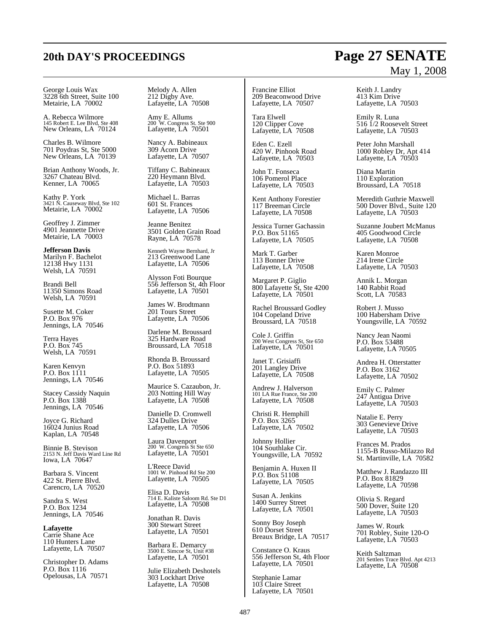# **20th DAY'S PROCEEDINGS Page 27 SENATE**

George Louis Wax 3228 6th Street, Suite 100 Metairie, LA 70002

A. Rebecca Wilmore 145 Robert E. Lee Blvd, Ste 408 New Orleans, LA 70124

Charles B. Wilmore 701 Poydras St, Ste 5000 New Orleans, LA 70139

Brian Anthony Woods, Jr. 3267 Chateau Blvd. Kenner, LA 70065

Kathy P. York 3421 N. Causeway Blvd, Ste 102 Metairie, LA 70002

Geoffrey J. Zimmer 4901 Jeannette Drive Metairie, LA 70003

**Jefferson Davis** Marilyn F. Bachelot 12138 Hwy 1131 Welsh, LA 70591

Brandi Bell 11350 Simons Road Welsh, LA 70591

Susette M. Coker P.O. Box 976 Jennings, LA 70546

Terra Hayes P.O. Box 745 Welsh, LA 70591

Karen Kenvyn P.O. Box 1111 Jennings, LA 70546

Stacey Cassidy Naquin P.O. Box 1388 Jennings, LA 70546

Joyce G. Richard 16024 Junius Road Kaplan, LA 70548

Binnie B. Stevison 2153 N. Jeff Davis Ward Line Rd Iowa, LA 70647

Barbara S. Vincent 422 St. Pierre Blvd. Carencro, LA 70520

Sandra S. West P.O. Box 1234 Jennings, LA 70546

**Lafayette** Carrie Shane Ace 110 Hunters Lane Lafayette, LA 70507

Christopher D. Adams P.O. Box 1116 Opelousas, LA 70571

Melody A. Allen 212 Digby Ave. Lafayette, LA 70508

Amy E. Allums 200 W. Congress St. Ste 900 Lafayette, LA 70501

Nancy A. Babineaux 309 Acorn Drive Lafayette, LA 70507

Tiffany C. Babineaux 220 Heymann Blvd. Lafayette, LA 70503

Michael L. Barras 601 St. Frances Lafayette, LA 70506

Jeanne Benitez 3501 Golden Grain Road Rayne, LA 70578

Kenneth Wayne Bernhard, Jr 213 Greenwood Lane Lafayette, LA 70506

Alysson Foti Bourque 556 Jefferson St, 4th Floor Lafayette, LA 70501

James W. Brodtmann 201 Tours Street Lafayette, LA 70506

Darlene M. Broussard 325 Hardware Road Broussard, LA 70518

Rhonda B. Broussard P.O. Box 51893 Lafayette, LA 70505

Maurice S. Cazaubon, Jr. 203 Notting Hill Way Lafayette, LA 70508

Danielle D. Cromwell 324 Dulles Drive Lafayette, LA 70506

Laura Davenport 200 W. Congress St Ste 650 Lafayette, LA 70501

L'Reece David 1001 W. Pinhood Rd Ste 200 Lafayette, LA 70505

Elisa D. Davis 714 E. Kaliste Saloom Rd. Ste D1 Lafayette, LA 70508

Jonathan R. Davis 300 Stewart Street Lafayette, LA 70501

Barbara E. Demarcy 3500 E. Simcoe St, Unit #38 Lafayette, LA 70501

Julie Elizabeth Deshotels 303 Lockhart Drive Lafayette, LA 70508

Francine Elliot 209 Beaconwood Drive Lafayette, LA 70507

Tara Elwell 120 Clipper Cove Lafayette, LA 70508

Eden C. Ezell 420 W. Pinhook Road Lafayette, LA 70503

John T. Fonseca 106 Pomerol Place Lafayette, LA 70503

Kent Anthony Forestier 117 Breeman Circle Lafayette, LA 70508

Jessica Turner Gachassin P.O. Box 51165 Lafayette, LA 70505

Mark T. Garber 113 Bonner Drive Lafayette, LA 70508

Margaret P. Giglio 800 Lafayette St, Ste 4200 Lafayette, LA 70501

Rachel Broussard Godley 104 Copeland Drive Broussard, LA 70518

Cole J. Griffin 200 West Congress St, Ste 650 Lafayette, LA 70501

Janet T. Grisiaffi 201 Langley Drive Lafayette, LA 70508

Andrew J. Halverson 101 LA Rue France, Ste 200 Lafayette, LA 70508

Christi R. Hemphill P.O. Box 3265 Lafayette, LA 70502

Johnny Hollier 104 Southlake Cir. Youngsville, LA 70592

Benjamin A. Huxen II P.O. Box 51108 Lafayette, LA 70505

Susan A. Jenkins 1400 Surrey Street Lafayette, LA 70501

Sonny Boy Joseph 610 Dorset Street Breaux Bridge, LA 70517

Constance O. Kraus 556 Jefferson St, 4th Floor Lafayette, LA 70501

Stephanie Lamar 103 Claire Street Lafayette, LA 70501

# May 1, 2008

Keith J. Landry 413 Kim Drive Lafayette, LA 70503

Emily R. Luna 516 1/2 Roosevelt Street Lafayette, LA 70503

Peter John Marshall 1000 Robley Dr, Apt 414 Lafayette, LA 70503

Diana Martin 110 Exploration Broussard, LA 70518

Meredith Guthrie Maxwell 500 Dover Blvd., Suite 120 Lafayette, LA 70503

Suzanne Joubert McManus 405 Goodwood Circle Lafayette, LA 70508

Karen Monroe 214 Irene Circle Lafayette, LA 70503

Annik L. Morgan 140 Rabbit Road Scott, LA 70583

Robert J. Musso 100 Habersham Drive Youngsville, LA 70592

Nancy Jean Naomi P.O. Box 53488 Lafayette, LA 70505

Andrea H. Otterstatter P.O. Box 3162 Lafayette, LA 70502

Emily C. Palmer 247 Antigua Drive Lafayette, LA 70503

Natalie E. Perry 303 Genevieve Drive Lafayette, LA 70503

Frances M. Prados 1155-B Russo-Milazzo Rd St. Martinville, LA 70582

Matthew J. Randazzo III P.O. Box 81829 Lafayette, LA 70598

Olivia S. Regard 500 Dover, Suite 120 Lafayette, LA 70503

James W. Rourk 701 Robley, Suite 120-O Lafayette, LA 70503

Keith Saltzman 201 Settlers Trace Blvd. Apt 4213 Lafayette, LA 70508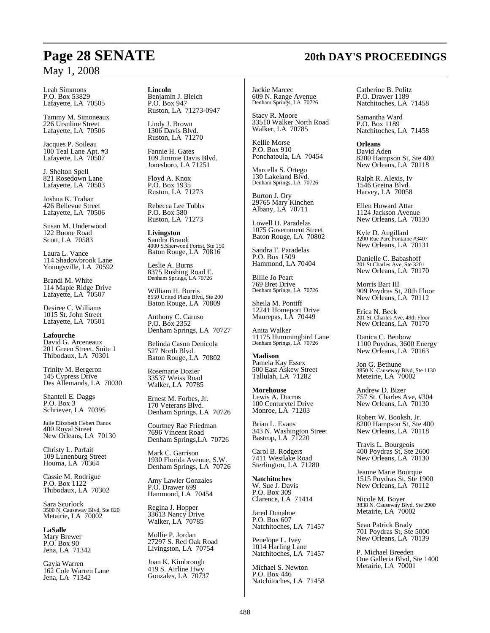Leah Simmons P.O. Box 53829 Lafayette, LA 70505

Tammy M. Simoneaux 226 Ursuline Street Lafayette, LA 70506

Jacques P. Soileau 100 Teal Lane Apt. #3 Lafayette, LA 70507

J. Shelton Spell 821 Rosedown Lane Lafayette, LA 70503

Joshua K. Trahan 426 Bellevue Street Lafayette, LA 70506

Susan M. Underwood 122 Boone Road Scott, LA 70583

Laura L. Vance 114 Shadowbrook Lane Youngsville, LA 70592

Brandi M. White 114 Maple Ridge Drive Lafayette, LA 70507

Desiree C. Williams 1015 St. John Street Lafayette, LA 70501

**Lafourche** David G. Arceneaux 201 Green Street, Suite 1 Thibodaux, LA 70301

Trinity M. Bergeron 145 Cypress Drive Des Allemands, LA 70030

Shantell E. Daggs P.O. Box 3 Schriever, LA 70395

Julie Elizabeth Hebert Danos 400 Royal Street New Orleans, LA 70130

Christy L. Parfait 109 Lunenburg Street Houma, LA 70364

Cassie M. Rodrigue P.O. Box 1122 Thibodaux, LA 70302

Sara Scurlock 3500 N. Causeway Blvd, Ste 820 Metairie, LA 70002

**LaSalle** Mary Brewer P.O. Box 90 Jena, LA 71342

Gayla Warren 162 Cole Warren Lane Jena, LA 71342

**Lincoln** Benjamin J. Bleich P.O. Box 947 Ruston, LA 71273-0947

Lindy J. Brown 1306 Davis Blvd. Ruston, LA 71270

Fannie H. Gates 109 Jimmie Davis Blvd. Jonesboro, LA 71251

Floyd A. Knox P.O. Box 1935 Ruston, LA 71273

Rebecca Lee Tubbs P.O. Box 580 Ruston, LA 71273

**Livingston** Sandra Brandt 4000 S.Sherwood Forest, Ste 150 Baton Rouge, LA 70816

Leslie A. Burns 8375 Rushing Road E. Denham Springs, LA 70726

William H. Burris 8550 United Plaza Blvd, Ste 200 Baton Rouge, LA 70809

Anthony C. Caruso P.O. Box 2352 Denham Springs, LA 70727

Belinda Cason Denicola 527 North Blvd. Baton Rouge, LA 70802

Rosemarie Dozier 33537 Weiss Road Walker, LA 70785

Ernest M. Forbes, Jr. 170 Veterans Blvd. Denham Springs, LA 70726

Courtney Rae Friedman 7696 Vincent Road Denham Springs,LA 70726

Mark C. Garrison 1930 Florida Avenue, S.W. Denham Springs, LA 70726

Amy Lawler Gonzales P.O. Drawer 699 Hammond, LA 70454

Regina J. Hopper 33613 Nancy Drive Walker, LA 70785

Mollie P. Jordan 27297 S. Red Oak Road Livingston, LA 70754

Joan K. Kimbrough 419 S. Airline Hwy Gonzales, LA 70737 Jackie Marcec 609 N. Range Avenue Denham Springs, LA 70726

Stacy R. Moore 33510 Walker North Road Walker, LA 70785

Kellie Morse P.O. Box 910 Ponchatoula, LA 70454

Marcella S. Ortego 130 Lakeland Blvd. Denham Springs, LA 70726

Burton J. Ory 29765 Mary Kinchen Albany, LA 70711

Lowell D. Paradelas 1075 Government Street Baton Rouge, LA 70802

Sandra F. Paradelas P.O. Box 1509 Hammond, LA 70404

Billie Jo Peart 769 Bret Drive Denham Springs, LA 70726

Sheila M. Pontiff 12241 Homeport Drive Maurepas, LA 70449

Anita Walker 11175 Hummingbird Lane Denham Springs, LA 70726

**Madison** Pamela Kay Essex 500 East Askew Street Tallulah, LA 71282

**Morehouse** Lewis A. Ducros 100 Centurytel Drive Monroe, LA 71203

Brian L. Evans 343 N. Washington Street Bastrop, LA 71220

Carol B. Rodgers 7411 Westlake Road Sterlington, LA 71280

**Natchitoches** W. Sue J. Davis P.O. Box 309 Clarence, LA 71414

Jared Dunahoe P.O. Box 607 Natchitoches, LA 71457

Penelope L. Ivey 1014 Harling Lane Natchitoches, LA 71457

Michael S. Newton P.O. Box 446 Natchitoches, LA 71458 Catherine B. Politz P.O. Drawer 1189 Natchitoches, LA 71458

Samantha Ward P.O. Box 1189 Natchitoches, LA 71458

**Orleans** David Aden 8200 Hampson St, Ste 400 New Orleans, LA 70118

Ralph R. Alexis, Iv 1546 Gretna Blvd. Harvey, LA 70058

Ellen Howard Attar 1124 Jackson Avenue New Orleans, LA 70130

Kyle D. Augillard 3200 Rue Parc Fontaine #3407 New Orleans, LA 70131

Danielle C. Babashoff 201 St.Charles Ave, Ste 3201 New Orleans, LA 70170

Morris Bart III 909 Poydras St, 20th Floor New Orleans, LA 70112

Erica N. Beck 201 St. Charles Ave, 49th Floor New Orleans, LA 70170

Danica C. Benbow 1100 Poydras, 3600 Energy New Orleans, LA 70163

Jon G. Bethune 3850 N. Causeway Blvd, Ste 1130 Meteirie, LA 70002

Andrew D. Bizer 757 St. Charles Ave, #304 New Orleans, LA 70130

Robert W. Booksh, Jr. 8200 Hampson St, Ste 400 New Orleans, LA 70118

Travis L. Bourgeois 400 Poydras St, Ste 2600 New Orleans, LA 70130

Jeanne Marie Bourque 1515 Poydras St, Ste 1900 New Orleans, LA 70112

Nicole M. Boyer 3838 N. Causeway Blvd, Ste 2900 Metairie, LA 70002

Sean Patrick Brady 701 Poydras St, Ste 5000 New Orleans, LA 70139

P. Michael Breeden One Galleria Blvd, Ste 1400 Metairie, LA 70001

# **Page 28 SENATE 20th DAY'S PROCEEDINGS**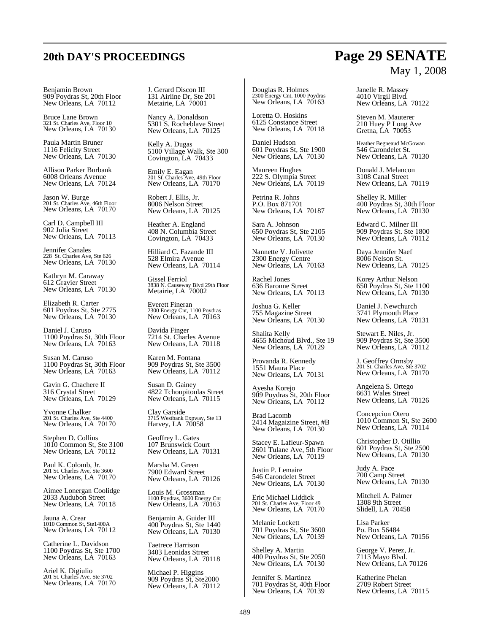#### Benjamin Brown 909 Poydras St, 20th Floor New Orleans, LA 70112

Bruce Lane Brown 321 St. Charles Ave, Floor 10 New Orleans, LA 70130

Paula Martin Bruner 1116 Felicity Street New Orleans, LA 70130

Allison Parker Burbank 6008 Orleans Avenue New Orleans, LA 70124

Jason W. Burge 201 St. Charles Ave, 46th Floor New Orleans, LA 70170

Carl D. Campbell III 902 Julia Street New Orleans, LA 70113

Jennifer Canales 228 St. Charles Ave, Ste 626 New Orleans, LA 70130

Kathryn M. Caraway 612 Gravier Street New Orleans, LA 70130

Elizabeth R. Carter 601 Poydras St, Ste 2775 New Orleans, LA 70130

Daniel J. Caruso 1100 Poydras St, 30th Floor New Orleans, LA 70163

Susan M. Caruso 1100 Poydras St, 30th Floor New Orleans, LA 70163

Gavin G. Chachere II 316 Crystal Street New Orleans, LA 70129

Yvonne Chalker 201 St. Charles Ave, Ste 4400 New Orleans, LA 70170

Stephen D. Collins 1010 Common St, Ste 3100 New Orleans, LA 70112

Paul K. Colomb, Jr. 201 St. Charles Ave, Ste 3600 New Orleans, LA 70170

Aimee Lonergan Coolidge 2033 Audubon Street New Orleans, LA 70118

Jauna A. Crear 1010 Common St, Ste1400A New Orleans, LA 70112

Catherine L. Davidson 1100 Poydras St, Ste 1700 New Orleans, LA 70163

Ariel K. Digiulio 201 St. Charles Ave, Ste 3702 New Orleans, LA 70170 J. Gerard Discon III 131 Airline Dr, Ste 201 Metairie, LA 70001

Nancy A. Donaldson 5301 S. Rocheblave Street New Orleans, LA 70125

Kelly A. Dugas 5100 Village Walk, Ste 300 Covington, LA 70433

Emily E. Eagan 201 St. Charles Ave, 49th Floor New Orleans, LA 70170

Robert J. Ellis, Jr. 8006 Nelson Street New Orleans, LA 70125

Heather A. England 408 N. Columbia Street Covington, LA 70433

Hilliard C. Fazande III 528 Elmira Avenue New Orleans, LA 70114

Gissel Ferriol 3838 N. Causeway Blvd 29th Floor Metairie, LA 70002

Everett Fineran 2300 Energy Cnt, 1100 Poydras New Orleans, LA 70163

Davida Finger 7214 St. Charles Avenue New Orleans, LA 70118

Karen M. Fontana 909 Poydras St, Ste 3500 New Orleans, LA 70112

Susan D. Gainey 4822 Tchoupitoulas Street New Orleans, LA 70115

Clay Garside 3715 Westbank Expway, Ste 13 Harvey, LA 70058

Geoffrey L. Gates 107 Brunswick Court New Orleans, LA 70131

Marsha M. Green 7900 Edward Street New Orleans, LA 70126

Louis M. Grossman 1100 Poydras, 3600 Energy Cnt New Orleans, LA 70163

Benjamin A. Guider III 400 Poydras St, Ste 1440 New Orleans, LA 70130

Taetrece Harrison 3403 Leonidas Street New Orleans, LA 70118

Michael P. Higgins 909 Poydras St, Ste2000 New Orleans, LA 70112 Douglas R. Holmes 2300 Energy Cnt, 1000 Poydras New Orleans, LA 70163

Loretta O. Hoskins 6125 Constance Street New Orleans, LA 70118

Daniel Hudson 601 Poydras St, Ste 1900 New Orleans, LA 70130

Maureen Hughes 222 S. Olympia Street New Orleans, LA 70119

Petrina R. Johns P.O. Box 871701 New Orleans, LA 70187

Sara A. Johnson 650 Poydras St, Ste 2105 New Orleans, LA 70130

Nannette V. Jolivette 2300 Energy Centre New Orleans, LA 70163

Rachel Jones 636 Baronne Street New Orleans, LA 70113

Joshua G. Keller 755 Magazine Street New Orleans, LA 70130

Shalita Kelly 4655 Michoud Blvd., Ste 19 New Orleans, LA 70129

Provanda R. Kennedy 1551 Maura Place New Orleans, LA 70131

Ayesha Korejo 909 Poydras St, 20th Floor New Orleans, LA 70112

Brad Lacomb 2414 Magaizine Street, #B New Orleans, LA 70130

Stacey E. Lafleur-Spawn 2601 Tulane Ave, 5th Floor New Orleans, LA 70119

Justin P. Lemaire 546 Carondelet Street New Orleans, LA 70130

Eric Michael Liddick 201 St. Charles Ave, Floor 49 New Orleans, LA 70170

Melanie Lockett 701 Poydras St, Ste 3600 New Orleans, LA 70139

Shelley A. Martin 400 Poydras St, Ste 2050 New Orleans, LA 70130

Jennifer S. Martinez 701 Poydras St, 40th Floor New Orleans, LA 70139

Janelle R. Massey 4010 Virgil Blvd. New Orleans, LA 70122

Steven M. Mauterer 210 Huey P Long Ave Gretna, LA 70053

Heather Begneaud McGowan 546 Carondelet St. New Orleans, LA 70130

Donald J. Melancon 3108 Canal Street New Orleans, LA 70119

Shelley R. Miller 400 Poydras St, 30th Floor New Orleans, LA 70130

Edward C. Milner III 909 Poydras St. Ste 1800 New Orleans, LA 70112

Daya Jennifer Naef 8006 Nelson St. New Orleans, LA 70125

Korey Arthur Nelson 650 Poydras St, Ste 1100 New Orleans, LA 70130

Daniel J. Newchurch 3741 Plymouth Place New Orleans, LA 70131

Stewart E. Niles, Jr. 909 Poydras St, Ste 3500 New Orleans, LA 70112

J. Geoffrey Ormsby 201 St. Charles Ave, Ste 3702 New Orleans, LA 70170

Angelena S. Ortego 6631 Wales Street New Orleans, LA 70126

Concepcion Otero 1010 Common St, Ste 2600 New Orleans, LA 70114

Christopher D. Otillio 601 Poydras St, Ste 2500 New Orleans, LA 70130

Judy A. Pace 700 Camp Street New Orleans, LA 70130

Mitchell A. Palmer 1308 9th Street Slidell, LA 70458

Lisa Parker Po. Box 56484 New Orleans, LA 70156

George V. Perez, Jr. 7113 Mayo Blvd. New Orleans, LA 70126

Katherine Phelan 2709 Robert Street New Orleans, LA 70115

# **20th DAY'S PROCEEDINGS Page 29 SENATE** May 1, 2008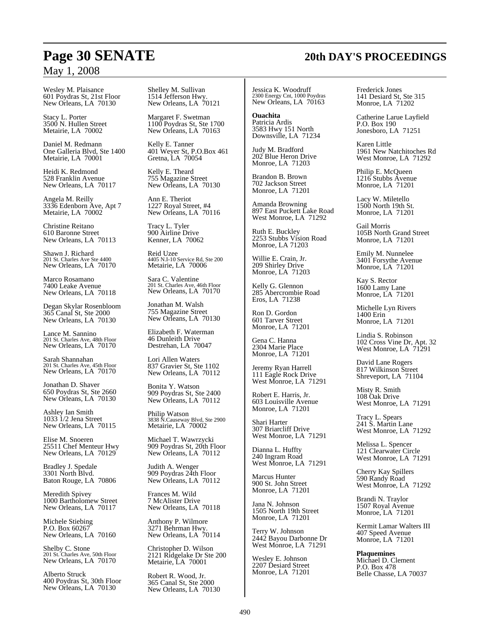Wesley M. Plaisance 601 Poydras St, 21st Floor New Orleans, LA 70130

Stacy L. Porter 3500 N. Hullen Street Metairie, LA 70002

Daniel M. Redmann One Galleria Blvd, Ste 1400 Metairie, LA 70001

Heidi K. Redmond 528 Franklin Avenue New Orleans, LA 70117

Angela M. Reilly 3336 Edenborn Ave, Apt 7 Metairie, LA 70002

Christine Reitano 610 Baronne Street New Orleans, LA 70113

Shawn J. Richard 201 St. Charles Ave Ste 4400 New Orleans, LA 70170

Marco Rosamano 7400 Leake Avenue New Orleans, LA 70118

Degan Skylar Rosenbloom 365 Canal St, Ste 2000 New Orleans, LA 70130

Lance M. Sannino 201 St. Charles Ave, 48th Floor New Orleans, LA 70170

Sarah Shannahan 201 St. Charles Ave, 45th Floor New Orleans, LA 70170

Jonathan D. Shaver 650 Poydras St, Ste 2660 New Orleans, LA 70130

Ashley Ian Smith 1033 1/2 Jena Street New Orleans, LA 70115

Elise M. Snoeren 25511 Chef Menteur Hwy New Orleans, LA 70129

Bradley J. Spedale 3301 North Blvd. Baton Rouge, LA 70806

Meredith Spivey 1000 Bartholomew Street New Orleans, LA 70117

Michele Stiebing P.O. Box 60267 New Orleans, LA 70160

Shelby C. Stone 201 St. Charles Ave, 50th Floor New Orleans, LA 70170

Alberto Struck 400 Poydras St, 30th Floor New Orleans, LA 70130

Shelley M. Sullivan 1514 Jefferson Hwy. New Orleans, LA 70121

Margaret F. Swetman 1100 Poydras St, Ste 1700 New Orleans, LA 70163

Kelly E. Tanner 401 Weyer St, P.O.Box 461 Gretna, LA 70054

Kelly E. Theard 755 Magazine Street New Orleans, LA 70130

Ann E. Theriot 1227 Royal Street, #4 New Orleans, LA 70116

Tracy L. Tyler 900 Airline Drive Kenner, LA 70062

Reid Uzee 4405 N.I-10 Service Rd, Ste 200 Metairie, LA 70006

Sara C. Valentine 201 St. Charles Ave, 46th Floor New Orleans, LA 70170

Jonathan M. Walsh 755 Magazine Street New Orleans, LA 70130

Elizabeth F. Waterman 46 Dunleith Drive Destrehan, LA 70047

Lori Allen Waters 837 Gravier St, Ste 1102 New Orleans, LA 70112

Bonita Y. Watson 909 Poydras St, Ste 2400 New Orleans, LA 70112

Philip Watson 3838 N.Causeway Blvd, Ste 2900 Metairie, LA 70002

Michael T. Wawrzycki 909 Poydras St, 20th Floor New Orleans, LA 70112

Judith A. Wenger 909 Poydras 24th Floor New Orleans, LA 70112

Frances M. Wild 7 McAlister Drive New Orleans, LA 70118

Anthony P. Wilmore 3271 Behrman Hwy. New Orleans, LA 70114

Christopher D. Wilson 2121 Ridgelake Dr Ste 200 Metairie, LA 70001

Robert R. Wood, Jr. 365 Canal St, Ste 2000 New Orleans, LA 70130 Jessica K. Woodruff 2300 Energy Cnt, 1000 Poydras New Orleans, LA 70163

**Ouachita** Patricia Ardis 3583 Hwy 151 North Downsville, LA 71234

Judy M. Bradford 202 Blue Heron Drive

Brandon B. Brown 702 Jackson Street Monroe, LA 71201

Monroe, LA 71203

Amanda Browning 897 East Puckett Lake Road West Monroe, LA 71292

Ruth E. Buckley 2253 Stubbs Vision Road Monroe, LA 71203

Willie E. Crain, Jr. 209 Shirley Drive Monroe, LA 71203

Kelly G. Glennon 285 Abercrombie Road Eros, LA 71238

Ron D. Gordon 601 Tarver Street Monroe, LA 71201

Gena C. Hanna 2304 Marie Place Monroe, LA 71201

Jeremy Ryan Harrell 111 Eagle Rock Drive West Monroe, LA 71291

Robert E. Harris, Jr. 603 Louisville Avenue Monroe, LA 71201

Shari Harter 307 Briarcliff Drive West Monroe, LA 71291

Dianna L. Huffty 240 Ingram Road West Monroe, LA 71291

Marcus Hunter 900 St. John Street Monroe, LA 71201

Jana N. Johnson 1505 North 19th Street Monroe, LA 71201

Terry W. Johnson 2442 Bayou Darbonne Dr West Monroe, LA 71291

Wesley E. Johnson 2207 Desiard Street Monroe, LA 71201 Frederick Jones 141 Desiard St, Ste 315 Monroe, LA 71202

Catherine Larue Layfield P.O. Box 190 Jonesboro, LA 71251

Karen Little 1961 New Natchitoches Rd West Monroe, LA 71292

Philip E. McQueen 1216 Stubbs Avenue Monroe, LA 71201

Lacy W. Miletello 1500 North 19th St. Monroe, LA 71201

Gail Morris 105B North Grand Street Monroe, LA 71201

Emily M. Nunnelee 3401 Forsythe Avenue Monroe, LA 71201

Kay S. Rector 1600 Lamy Lane Monroe, LA 71201

Michelle Lyn Rivers 1400 Erin Monroe, LA 71201

Lindia S. Robinson 102 Cross Vine Dr, Apt. 32 West Monroe, LA 71291

David Lane Rogers 817 Wilkinson Street Shreveport, LA 71104

Misty R. Smith 108 Oak Drive West Monroe, LA 71291

Tracy L. Spears 241 S. Martin Lane West Monroe, LA 71292

Melissa L. Spencer 121 Clearwater Circle West Monroe, LA 71291

Cherry Kay Spillers 590 Randy Road West Monroe, LA 71292

Brandi N. Traylor 1507 Royal Avenue Monroe, LA 71201

Kermit Lamar Walters III 407 Speed Avenue Monroe, LA 71201

**Plaquemines** Michael D. Clement P.O. Box 478 Belle Chasse, LA 70037

# **Page 30 SENATE 20th DAY'S PROCEEDINGS**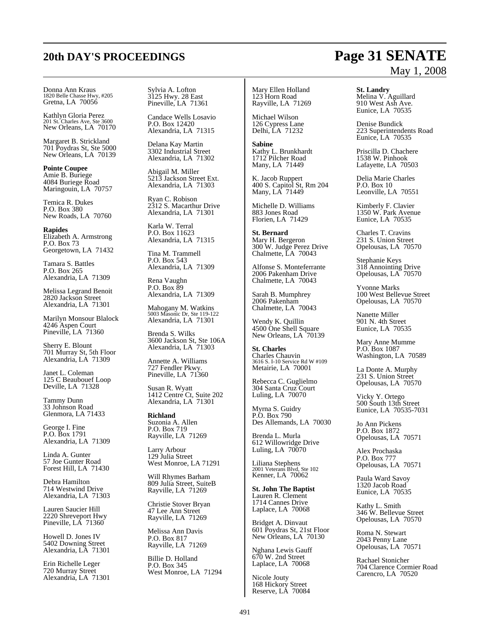# **20th DAY'S PROCEEDINGS Page 31 SENATE**

Donna Ann Kraus 1820 Belle Chasse Hwy, #205 Gretna, LA 70056

Kathlyn Gloria Perez 201 St. Charles Ave, Ste 3600 New Orleans, LA 70170

Margaret B. Strickland 701 Poydras St, Ste 5000 New Orleans, LA 70139

**Pointe Coupee** Amie B. Buriege 4084 Buriege Road Maringouin, LA 70757

Temica R. Dukes P.O. Box 380 New Roads, LA 70760

**Rapides** Elizabeth A. Armstrong P.O. Box 73 Georgetown, LA 71432

Tamara S. Battles P.O. Box 265 Alexandria, LA 71309

Melissa Legrand Benoit 2820 Jackson Street Alexandria, LA 71301

Marilyn Monsour Blalock 4246 Aspen Court Pineville, LA 71360

Sherry E. Blount 701 Murray St, 5th Floor Alexandria, LA 71309

Janet L. Coleman 125 C Beaubouef Loop Deville, LA 71328

Tammy Dunn 33 Johnson Road Glenmora, LA 71433

George I. Fine P.O. Box 1791 Alexandria, LA 71309

Linda A. Gunter 57 Joe Gunter Road Forest Hill, LA 71430

Debra Hamilton 714 Westwind Drive Alexandria, LA 71303

Lauren Saucier Hill 2220 Shreveport Hwy Pineville, LA 71360

Howell D. Jones IV 5402 Downing Street Alexandria, LA 71301

Erin Richelle Leger 720 Murray Street Alexandria, LA 71301 Sylvia A. Lofton 3125 Hwy. 28 East Pineville, LA 71361

Candace Wells Losavio P.O. Box 12420 Alexandria, LA 71315

Delana Kay Martin 3302 Industrial Street Alexandria, LA 71302

Abigail M. Miller 5213 Jackson Street Ext. Alexandria, LA 71303

Ryan C. Robison 2312 S. Macarthur Drive Alexandria, LA 71301

Karla W. Terral P.O. Box 11623 Alexandria, LA 71315

Tina M. Trammell P.O. Box 543 Alexandria, LA 71309

Rena Vaughn P.O. Box 89 Alexandria, LA 71309

Mahogany M. Watkins 5003 Masonic Dr, Ste 119-122 Alexandria, LA 71301

Brenda S. Wilks 3600 Jackson St, Ste 106A Alexandria, LA 71303

Annette A. Williams 727 Fendler Pkwy. Pineville, LA 71360

Susan R. Wyatt 1412 Centre Ct, Suite 202 Alexandria, LA 71301

**Richland** Suzonia A. Allen P.O. Box 719 Rayville, LA 71269

Larry Arbour 129 Julia Street West Monroe, LA 71291

Will Rhymes Barham 809 Julia Street, SuiteB Rayville, LA 71269

Christie Stover Bryan 47 Lee Ann Street Rayville, LA 71269

Melissa Ann Davis P.O. Box 817 Rayville, LA 71269

Billie D. Holland P.O. Box 345 West Monroe, LA 71294

#### Mary Ellen Holland 123 Horn Road Rayville, LA 71269

Michael Wilson 126 Cypress Lane Delhi, LA 71232

**Sabine** Kathy L. Brunkhardt 1712 Pilcher Road Many, LA 71449

K. Jacob Ruppert 400 S. Capitol St, Rm 204 Many, LA 71449

Michelle D. Williams 883 Jones Road Florien, LA 71429

**St. Bernard** Mary H. Bergeron 300 W. Judge Perez Drive Chalmette, LA 70043

Alfonse S. Monteferrante 2006 Pakenham Drive Chalmette, LA 70043

Sarah B. Mumphrey 2006 Pakenham Chalmette, LA 70043

Wendy K. Quillin 4500 One Shell Square New Orleans, LA 70139

**St. Charles** Charles Chauvin 3616 S. I-10 Service Rd W #109 Metairie, LA 70001

Rebecca C. Guglielmo 304 Santa Cruz Court Luling, LA 70070

Myrna S. Guidry P.O. Box 790 Des Allemands, LA 70030

Brenda L. Murla 612 Willowridge Drive Luling, LA 70070

Liliana Stephens 2001 Veterans Blvd, Ste 102 Kenner, LA 70062

**St. John The Baptist** Lauren R. Clement 1714 Cannes Drive Laplace, LA 70068

Bridget A. Dinvaut 601 Poydras St, 21st Floor New Orleans, LA 70130

Nghana Lewis Gauff 670 W. 2nd Street Laplace, LA 70068

Nicole Jouty 168 Hickory Street Reserve, LA 70084

# May 1, 2008

**St. Landry** Melina V. Aguillard 910 West Ash Ave. Eunice, LA 70535

Denise Bundick 223 Superintendents Road Eunice, LA 70535

Priscilla D. Chachere 1538 W. Pinhook Lafayette, LA 70503

Delia Marie Charles P.O. Box 10 Leonville, LA 70551

Kimberly F. Clavier 1350 W. Park Avenue Eunice, LA 70535

Charles T. Cravins 231 S. Union Street Opelousas, LA 70570

Stephanie Keys 318 Annointing Drive Opelousas, LA 70570

Yvonne Marks 100 West Bellevue Street Opelousas, LA 70570

Nanette Miller 901 N. 4th Street Eunice, LA 70535

Mary Anne Mumme P.O. Box 1087 Washington, LA 70589

La Donte A. Murphy 231 S. Union Street Opelousas, LA 70570

Vicky Y. Ortego 500 South 13th Street Eunice, LA 70535-7031

Jo Ann Pickens P.O. Box 1872 Opelousas, LA 70571

Alex Prochaska P.O. Box 777 Opelousas, LA 70571

Paula Ward Savoy 1320 Jacob Road Eunice, LA 70535

Kathy L. Smith 346 W. Bellevue Street Opelousas, LA 70570

Roma N. Stewart 2043 Penny Lane Opelousas, LA 70571

Rachael Stonicher 704 Clarence Cormier Road Carencro, LA 70520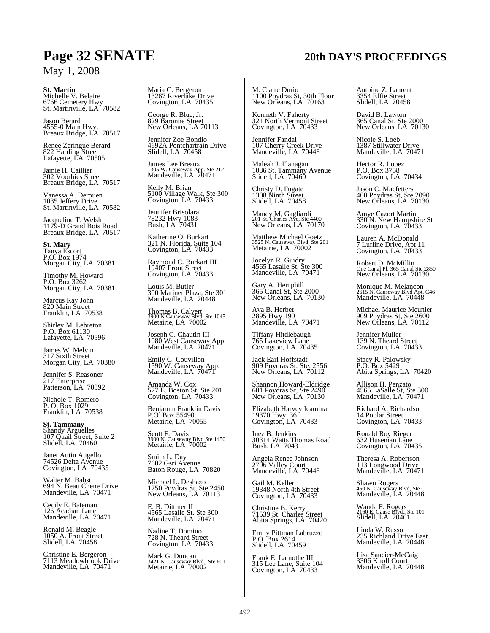**St. Martin** Michelle V. Belaire 6766 Cemetery Hwy St. Martinville, LA 70582

Jason Berard 4555-0 Main Hwy. Breaux Bridge, LA 70517

Renee Zeringue Berard 822 Harding Street Lafayette, LA 70505

Jamie H. Caillier 302 Voorhies Street Breaux Bridge, LA 70517

Vanessa A. Derouen 1035 Jeffery Drive St. Martinville, LA 70582

Jacqueline T. Welsh 1179-D Grand Bois Road Breaux Bridge, LA 70517

**St. Mary** Tanya Escort P.O. Box 1974 Morgan City, LA 70381

Timothy M. Howard P.O. Box 3262 Morgan City, LA 70381

Marcus Ray John 820 Main Street Franklin, LA 70538

Shirley M. Lebreton P.O. Box 61130 Lafayette, LA 70596

James W. Melvin 317 Sixth Street Morgan City, LA 70380

Jennifer S. Reasoner 217 Enterprise Patterson, LA 70392

Nichole T. Romero P. O. Box 1029 Franklin, LA 70538

**St. Tammany** Shandy Arguelles 107 Quail Street, Suite 2 Slidell, LA 70460

Janet Autin Augello 74526 Delta Avenue Covington, LA 70435

Walter M. Babst 694 N. Beau Chene Drive Mandeville, LA 70471

Cecily E. Bateman 126 Acadian Lane Mandeville, LA 70471

Ronald M. Beagle 1050 A. Front Street Slidell, LA 70458

Christine E. Bergeron 7113 Meadowbrook Drive Mandeville, LA 70471

Maria C. Bergeron 13267 Riverlake Drive Covington, LA 70435

George R. Blue, Jr. 829 Baronne Street New Orleans, LA 70113

Jennifer Zoe Bondio 4692A Pontchartrain Drive Slidell, LA 70458

James Lee Breaux 1305 W. Causeway App. Ste 212 Mandeville, LA 70471

Kelly M. Brian 5100 Village Walk, Ste 300 Covington, LA 70433

Jennifer Brisolara 78232 Hwy 1083 Bush, LA 70431

Katherine O. Burkart 321 N. Florida, Suite 104 Covington, LA 70433

Raymond C. Burkart III 19407 Front Street Covington, LA 70433

Louis M. Butler 300 Mariner Plaza, Ste 301 Mandeville, LA 70448

Thomas B. Calvert 3900 N Causeway Blvd, Ste 1045 Metairie, LA 70002

Joseph C. Chautin III 1080 West Causeway App. Mandeville, LA 70471

Emily G. Couvillon 1590 W. Causeway App. Mandeville, LA 70471

Amanda W. Cox 527 E. Boston St, Ste 201 Covington, LA 70433

Benjamin Franklin Davis P.O. Box 55490 Metairie, LA 70055

Scott F. Davis 3900 N. Causeway Blvd Ste 1450 Metairie, LA 70002

Smith L. Day 7602 Gsri Avenue Baton Rouge, LA 70820

Michael L. Deshazo 1250 Poydras St, Ste 2450 New Orleans, LA 70113

E. B. Dittmer II 4565 Lasalle St. Ste 300 Mandeville, LA 70471

Nadine T. Domino 728 N. Theard Street Covington, LA 70433

Mark G. Duncan 3421 N. Causeway Blvd., Ste 601 Metairie, LA 70002

M. Claire Durio 1100 Poydras St, 30th Floor New Orleans, LA 70163

Kenneth V. Faherty 321 North Vermont Street Covington, LA 70433

Jennifer Fandal 107 Cherry Creek Drive Mandeville, LA 70448

Maleah J. Flanagan 1086 St. Tammany Avenue Slidell, LA 70460

Christy D. Fugate 1308 Ninth Street Slidell, LA 70458

Mandy M. Gagliardi 201 St. Charles Ave, Ste 4400 New Orleans, LA 70170

Matthew Michael Goetz 3525 N. Causeway Blvd, Ste 201 Metairie, LA 70002

Jocelyn R. Guidry 4565 Lasalle St, Ste 300 Mandeville, LA 70471

Gary A. Hemphill 365 Canal St, Ste 2000 New Orleans, LA 70130

Ava B. Herbet 2895 Hwy 190 Mandeville, LA 70471

Tiffany Hitdlebaugh 765 Lakeview Lane Covington, LA 70435

Jack Earl Hoffstadt 909 Poydras St. Ste. 2556 New Orleans, LA 70112

Shannon Howard-Eldridge 601 Poydras St, Ste 2490 New Orleans, LA 70130

Elizabeth Harvey Icamina 19370 Hwy. 36 Covington, LA 70433

Inez B. Jenkins 30314 Watts Thomas Road Bush, LA 70431

Angela Renee Johnson 2706 Valley Court Mandeville, LA 70448

Gail M. Keller 19348 North 4th Street Covington, LA 70433

Christine B. Kerry 71539 St. Charles Street Abita Springs, LA 70420

Emily Pittman Labruzzo P.O. Box 2614 Slidell, LA 70459

Frank E. Lamothe III 315 Lee Lane, Suite 104 Covington, LA 70433 Antoine Z. Laurent 3354 Effie Street Slidell, LA 70458

David B. Lawton 365 Canal St, Ste 2000 New Orleans, LA 70130

Nicole S. Loeb 1387 Stillwater Drive Mandeville, LA 70471

Hector R. Lopez P.O. Box 3758 Covington, LA 70434

Jason C. Macfetters 400 Poydras St, Ste 2090 New Orleans, LA 70130

Amye Cazort Martin 330 N. New Hampshire St Covington, LA 70433

Lauren A. McDonald 7 Lurline Drive, Apt 11 Covington, LA 70433

Robert D. McMillin One Canal Pl. 365 Canal Ste 2850 New Orleans, LA 70130

Monique M. Melancon 2615 N. Causeway Blvd Apt. C46 Mandeville, LA 70448

Michael Maurice Meunier 909 Poydras St, Ste 2600 New Orleans, LA 70112

Jennifer Muller 139 N. Theard Street Covington, LA 70433

Stacy R. Palowsky P.O. Box 5429 Abita Springs, LA 70420

Allison H. Penzato 4565 LaSalle St, Ste 300 Mandeville, LA 70471

Richard A. Richardson 14 Poplar Street Covington, LA 70433

Ronald Roy Rieger 632 Huseman Lane Covington, LA 70435

Theresa A. Robertson 113 Longwood Drive Mandeville, LA 70471

Shawn Rogers 450 N. Causeway Blvd, Ste C Mandeville, LA 70448

Wanda F. Rogers 2160 E. Gause Blvd., Ste 101 Slidell, LA 70461

Linda W. Russo 235 Richland Drive East Mandeville, LA 70448

Lisa Saucier-McCaig 3306 Knoll Court Mandeville, LA 70448

# **Page 32 SENATE 20th DAY'S PROCEEDINGS**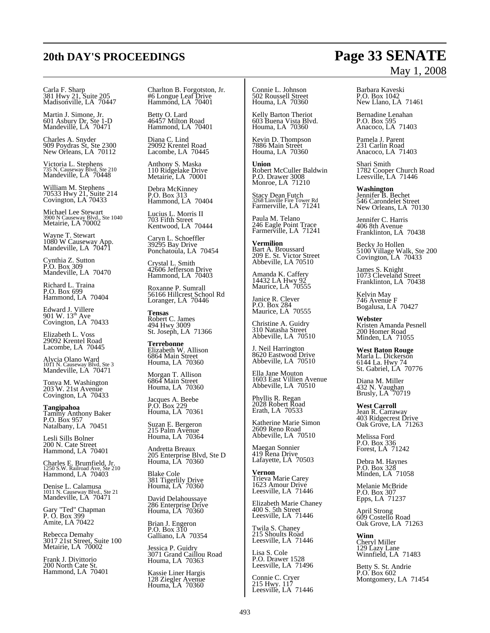# Carla F. Sharp 381 Hwy 21, Suite 205 Madisonville, LA 70447

Martin J. Simone, Jr. 601 Asbury Dr, Ste 1-D Mandeville, LA 70471

Charles A. Snyder 909 Poydras St, Ste 2300 New Orleans, LA 70112

Victoria L. Stephens 735 N. Causeway Blvd, Ste 210 Mandeville, LA 70448

William M. Stephens 70533 Hwy 21, Suite 214 Covington, LA 70433

Michael Lee Stewart 3900 N Causeway Blvd., Ste 1040 Metairie, LA 70002

Wayne T. Stewart 1080 W Causeway App. Mandeville, LA 70471

Cynthia Z. Sutton P.O. Box 309 Mandeville, LA 70470

Richard L. Traina P.O. Box 699 Hammond, LA 70404

Edward J. Villere<br>901 W. 13<sup>th</sup> Ave<br>Covington, LA 70433

Elizabeth L. Voss 29092 Krentel Road Lacombe, LA 70445

Alycia Olano Ward 1011 N. Causeway Blvd, Ste 3 Mandeville, LA 70471

Tonya M. Washington 203 W. 21st Avenue Covington, LA 70433

**Tangipahoa** Tammy Anthony Baker P.O. Box 957 Natalbany, LA 70451

Lesli Sills Bolner 200 N. Cate Street Hammond, LA 70401

Charles E. Brumfield, Jr. 1250 S.W. Railroad Ave, Ste 210 Hammond, LA 70403

Denise L. Calamusa 1011 N. Causeway Blvd., Ste 21 Mandeville, LA 70471

Gary "Ted" Chapman P. O. Box 399 Amite, LA 70422

Rebecca Demahy 3017 21st Street, Suite 100 Metairie, LA 70002

Frank J. Divittorio 200 North Cate St. Hammond, LA 70401 Charlton B. Forgotston, Jr. #6 Longue Leaf Drive Hammond, LA 70401

Betty O. Lard 46457 Milton Road Hammond, LA 70401

Diana C. Lind 29092 Krentel Road Lacombe, LA 70445

Anthony S. Maska 110 Ridgelake Drive Metairie, LA 70001

Debra McKinney P.O. Box 313 Hammond, LA 70404

Lucius L. Morris II 703 Fifth Street Kentwood, LA 70444

Caryn L. Schoeffler 39295 Bay Drive Ponchatoula, LA 70454

Crystal L. Smith 42606 Jefferson Drive Hammond, LA 70403

Roxanne P. Sumrall 56166 Hillcrest School Rd Loranger, LA 70446

**Tensas** Robert C. James 494 Hwy 3009 St. Joseph, LA 71366

**Terrebonne** Elizabeth W. Allison 6864 Main Street Houma, LA 70360

Morgan T. Allison 6864 Main Street Houma, LA 70360

Jacques A. Beebe P.O. Box 229 Houma, LA 70361

Suzan E. Bergeron 215 Palm Avenue Houma, LA 70364

Andretta Breaux 205 Enterprise Blvd, Ste D Houma, LA 70360

Blake Cole 381 Tigerlily Drive Houma, LA 70360

David Delahoussaye 286 Enterprise Drive Houma, LA 70360

Brian J. Engeron P.O. Box 310 Galliano, LA 70354

Jessica P. Guidry 3071 Grand Caillou Road Houma, LA 70363

Kassie Liner Hargis 128 Ziegler Avenue Houma, LA 70360 Connie L. Johnson 502 Roussell Street Houma, LA 70360

Kelly Barton Theriot 603 Buena Vista Blvd. Houma, LA 70360

Kevin D. Thompson 7886 Main Street Houma, LA 70360

**Union** Robert McCuller Baldwin P.O. Drawer 3008 Monroe, LA 71210

Stacy Dean Futch 3268 Linville Fire Tower Rd Farmerville, LA 71241

Paula M. Telano 246 Eagle Point Trace Farmerville, LA 71241

**Vermilion** Bart A. Broussard 209 E. St. Victor Street Abbeville, LA 70510

Amanda K. Caffery 14432 LA Hwy 92 Maurice, LA 70555

Janice R. Clever P.O. Box 284 Maurice, LA 70555

Christine A. Guidry 310 Natasha Street Abbeville, LA 70510

J. Neil Harrington 8620 Eastwood Drive Abbeville, LA 70510

Ella Jane Mouton 1603 East Villien Avenue Abbeville, LA 70510

Phyllis R. Regan 2028 Robert Road Erath, LA 70533

Katherine Marie Simon 2609 Reno Road Abbeville, LA 70510

Maegan Sonnier 419 Rena Drive Lafayette, LA 70503

**Vernon** Trieva Marie Carey 1623 Amour Drive Leesville, LA 71446

Elizabeth Marie Chaney 400 S. 5th Street Leesville, LA 71446

Twila S. Chaney 215 Shoults Road Leesville, LA 71446

Lisa S. Cole P.O. Drawer 1528 Leesville, LA 71496

Connie C. Cryer 215 Hwy. 117 Leesville, LA 71446

# May 1, 2008

Barbara Kaveski P.O. Box 1042 New Llano, LA 71461

Bernadine Lenahan P.O. Box 595 Anacoco, LA 71403

Pamela J. Parent 231 Carlin Road Anacoco, LA 71403

Shari Smith 1782 Cooper Church Road Leesville, LA 71446

**Washington** Jennifer B. Bechet 546 Carondelet Street New Orleans, LA 70130

Jennifer C. Harris 406 8th Avenue Franklinton, LA 70438

Becky Jo Hollen 5100 Village Walk, Ste 200 Covington, LA 70433

James S. Knight 1073 Cleveland Street Franklinton, LA 70438

Kelvin May 746 Avenue F Bogalusa, LA 70427

**Webster** Kristen Amanda Pesnell 200 Homer Road Minden, LA 71055

**West Baton Rouge** Marla L. Dickerson 6144 La. Hwy 74 St. Gabriel, LA 70776

Diana M. Miller 432 N. Vaughan Brusly, LA 70719

**West Carroll** Jean R. Carraway 403 Ridgecrest Drive Oak Grove, LA 71263

Melissa Ford P.O. Box 336 Forest, LA 71242

Debra M. Haynes P.O. Box 328 Minden, LA 71058

Melanie McBride P.O. Box 307 Epps, LA 71237

April Strong 609 Costello Road Oak Grove, LA 71263

**Winn** Cheryl Miller 129 Lazy Lane Winnfield, LA 71483

Betty S. St. Andrie P.O. Box 602 Montgomery, LA 71454

# **20th DAY'S PROCEEDINGS Page 33 SENATE**